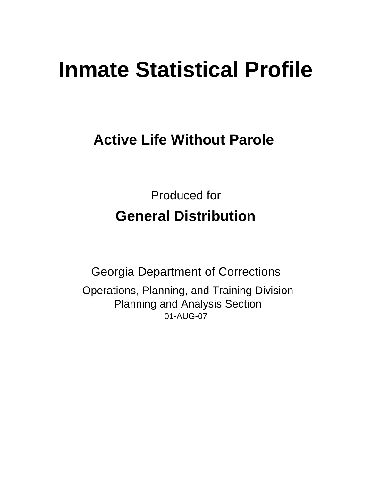# **Inmate Statistical Profile**

# **Active Life Without Parole**

Produced for **General Distribution**

01-AUG-07 Georgia Department of Corrections Operations, Planning, and Training Division Planning and Analysis Section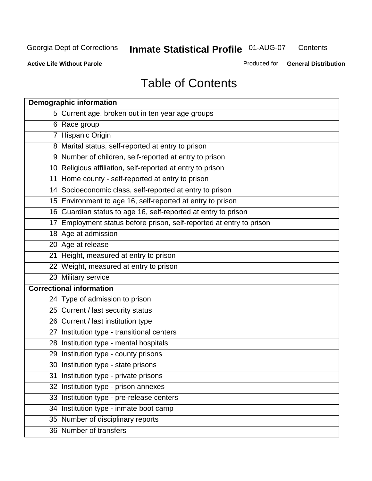**Contents** 

**Active Life Without Parole** 

Produced for **General Distribution**

# Table of Contents

| <b>Demographic information</b>                                       |
|----------------------------------------------------------------------|
| 5 Current age, broken out in ten year age groups                     |
| 6 Race group                                                         |
| 7 Hispanic Origin                                                    |
| 8 Marital status, self-reported at entry to prison                   |
| 9 Number of children, self-reported at entry to prison               |
| 10 Religious affiliation, self-reported at entry to prison           |
| 11 Home county - self-reported at entry to prison                    |
| 14 Socioeconomic class, self-reported at entry to prison             |
| 15 Environment to age 16, self-reported at entry to prison           |
| 16 Guardian status to age 16, self-reported at entry to prison       |
| 17 Employment status before prison, self-reported at entry to prison |
| 18 Age at admission                                                  |
| 20 Age at release                                                    |
| 21 Height, measured at entry to prison                               |
| 22 Weight, measured at entry to prison                               |
| 23 Military service                                                  |
| <b>Correctional information</b>                                      |
| 24 Type of admission to prison                                       |
| 25 Current / last security status                                    |
| 26 Current / last institution type                                   |
| 27 Institution type - transitional centers                           |
| 28 Institution type - mental hospitals                               |
| 29 Institution type - county prisons                                 |
| 30 Institution type - state prisons                                  |
| 31 Institution type - private prisons                                |
| 32 Institution type - prison annexes                                 |
| 33 Institution type - pre-release centers                            |
| 34 Institution type - inmate boot camp                               |
| 35 Number of disciplinary reports                                    |
| 36 Number of transfers                                               |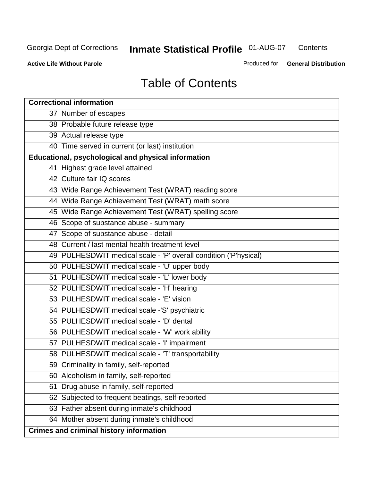**Contents** 

**Active Life Without Parole** 

Produced for **General Distribution**

# Table of Contents

| <b>Correctional information</b>                                  |
|------------------------------------------------------------------|
| 37 Number of escapes                                             |
| 38 Probable future release type                                  |
| 39 Actual release type                                           |
| 40 Time served in current (or last) institution                  |
| Educational, psychological and physical information              |
| 41 Highest grade level attained                                  |
| 42 Culture fair IQ scores                                        |
| 43 Wide Range Achievement Test (WRAT) reading score              |
| 44 Wide Range Achievement Test (WRAT) math score                 |
| 45 Wide Range Achievement Test (WRAT) spelling score             |
| 46 Scope of substance abuse - summary                            |
| 47 Scope of substance abuse - detail                             |
| 48 Current / last mental health treatment level                  |
| 49 PULHESDWIT medical scale - 'P' overall condition ('P'hysical) |
| 50 PULHESDWIT medical scale - 'U' upper body                     |
| 51 PULHESDWIT medical scale - 'L' lower body                     |
| 52 PULHESDWIT medical scale - 'H' hearing                        |
| 53 PULHESDWIT medical scale - 'E' vision                         |
| 54 PULHESDWIT medical scale -'S' psychiatric                     |
| 55 PULHESDWIT medical scale - 'D' dental                         |
| 56 PULHESDWIT medical scale - 'W' work ability                   |
| 57 PULHESDWIT medical scale - 'I' impairment                     |
| 58 PULHESDWIT medical scale - 'T' transportability               |
| 59 Criminality in family, self-reported                          |
| 60 Alcoholism in family, self-reported                           |
| Drug abuse in family, self-reported<br>61                        |
| 62 Subjected to frequent beatings, self-reported                 |
| 63 Father absent during inmate's childhood                       |
| 64 Mother absent during inmate's childhood                       |
| <b>Crimes and criminal history information</b>                   |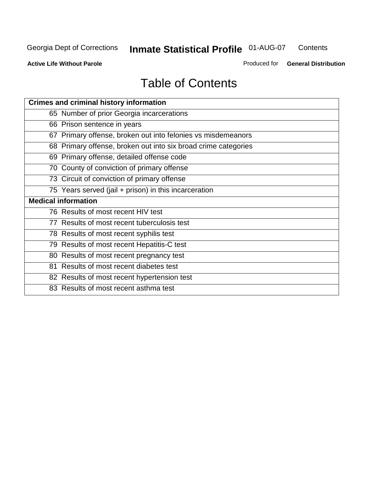**Contents** 

**Active Life Without Parole** 

Produced for **General Distribution**

# Table of Contents

| <b>Crimes and criminal history information</b>                 |
|----------------------------------------------------------------|
| 65 Number of prior Georgia incarcerations                      |
| 66 Prison sentence in years                                    |
| 67 Primary offense, broken out into felonies vs misdemeanors   |
| 68 Primary offense, broken out into six broad crime categories |
| 69 Primary offense, detailed offense code                      |
| 70 County of conviction of primary offense                     |
| 73 Circuit of conviction of primary offense                    |
| 75 Years served (jail + prison) in this incarceration          |
|                                                                |
| <b>Medical information</b>                                     |
| 76 Results of most recent HIV test                             |
| 77 Results of most recent tuberculosis test                    |
| 78 Results of most recent syphilis test                        |
| 79 Results of most recent Hepatitis-C test                     |
| 80 Results of most recent pregnancy test                       |
| 81 Results of most recent diabetes test                        |
| 82 Results of most recent hypertension test                    |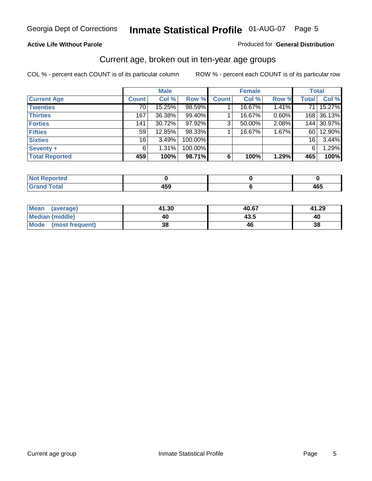#### **Active Life Without Parole**

#### Produced for **General Distribution**

#### Current age, broken out in ten-year age groups

|                       |              | <b>Male</b> |         |              | <b>Female</b> |       |              | <b>Total</b> |
|-----------------------|--------------|-------------|---------|--------------|---------------|-------|--------------|--------------|
| <b>Current Age</b>    | <b>Count</b> | Col %       | Row %   | <b>Count</b> | Col %         | Row % | <b>Total</b> | Col %        |
| <b>Twenties</b>       | 70           | 15.25%      | 98.59%  |              | 16.67%        | 1.41% | 71 I         | 15.27%       |
| <b>Thirties</b>       | 167          | 36.38%      | 99.40%  |              | 16.67%        | 0.60% |              | 168 36.13%   |
| <b>Forties</b>        | 141          | 30.72%      | 97.92%  | 3            | 50.00%        | 2.08% |              | 144 30.97%   |
| <b>Fifties</b>        | 59           | 12.85%      | 98.33%  |              | 16.67%        | 1.67% | 60 I         | 12.90%       |
| <b>Sixties</b>        | 16           | 3.49%       | 100.00% |              |               |       | 16           | 3.44%        |
| Seventy +             | 6            | 1.31%       | 100.00% |              |               |       | 6            | 1.29%        |
| <b>Total Reported</b> | 459          | 100%        | 98.71%  | 6            | 100%          | 1.29% | 465          | 100%         |

| <b>Not Reported</b> |       |     |
|---------------------|-------|-----|
| <b>Total</b>        | 1 P A | 165 |
| $\mathbf{v}$ and    | າວະ   | 40J |

| Mean (average)       | 41.30 | 40.67 | 41.29 |
|----------------------|-------|-------|-------|
| Median (middle)      | 40    | 43.5  | 40    |
| Mode (most frequent) | 38    | 46    | 38    |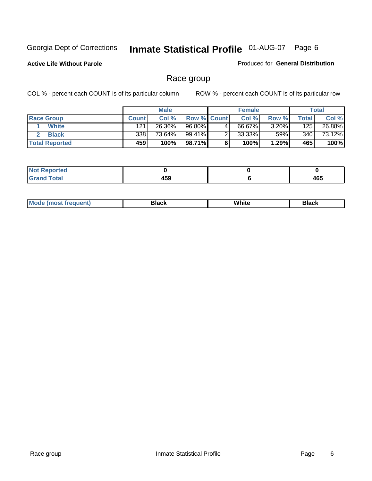**Active Life Without Parole** 

Produced for **General Distribution**

#### Race group

|                       |              | <b>Male</b> |                    |   | <b>Female</b> |          |       | <b>Total</b> |
|-----------------------|--------------|-------------|--------------------|---|---------------|----------|-------|--------------|
| <b>Race Group</b>     | <b>Count</b> | Col %       | <b>Row % Count</b> |   | Col %         | Row %    | Total | Col %        |
| <b>White</b>          | 121          | 26.36%      | 96.80%             | 4 | 66.67%        | $3.20\%$ | 125   | 26.88%       |
| <b>Black</b>          | 338          | 73.64%      | 99.41%             |   | $33.33\%$     | .59%     | 340   | 73.12%       |
| <b>Total Reported</b> | 459          | 100%        | 98.71%             |   | 100%          | 1.29%    | 465   | 100%         |

| eported<br>$\mathbf{r}$ . The set of $\mathbf{r}$ |     |     |
|---------------------------------------------------|-----|-----|
| fota'<br>_____                                    | 459 | 465 |

| $^1$ Mo. | Rlack | White | 3lack |
|----------|-------|-------|-------|
| .        |       |       |       |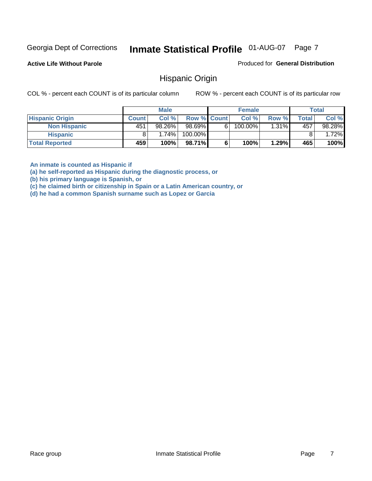**Active Life Without Parole** 

Produced for **General Distribution**

#### Hispanic Origin

COL % - percent each COUNT is of its particular column ROW % - percent each COUNT is of its particular row

|                        |              | <b>Male</b> |             |    | <b>Female</b> |       |       | <b>Total</b> |
|------------------------|--------------|-------------|-------------|----|---------------|-------|-------|--------------|
| <b>Hispanic Origin</b> | <b>Count</b> | Col%        | Row % Count |    | Col %         | Row % | Total | Col %        |
| <b>Non Hispanic</b>    | 451          | 98.26%      | 98.69%      | 61 | 100.00%       | 1.31% | 457   | 98.28%       |
| <b>Hispanic</b>        |              | 1.74%       | 100.00%     |    |               |       |       | 1.72%        |
| <b>Total Reported</b>  | 459          | 100%        | 98.71%      |    | 100%          | 1.29% | 465   | 100%         |

**An inmate is counted as Hispanic if** 

**(a) he self-reported as Hispanic during the diagnostic process, or** 

**(b) his primary language is Spanish, or** 

**(c) he claimed birth or citizenship in Spain or a Latin American country, or** 

**(d) he had a common Spanish surname such as Lopez or Garcia**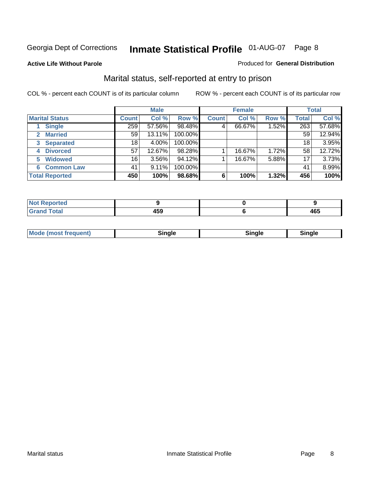#### **Active Life Without Parole**

#### Produced for **General Distribution**

#### Marital status, self-reported at entry to prison

|                        | <b>Male</b>  |          |         | <b>Female</b> |        |       | <b>Total</b> |        |
|------------------------|--------------|----------|---------|---------------|--------|-------|--------------|--------|
| <b>Marital Status</b>  | <b>Count</b> | Col %    | Row %   | <b>Count</b>  | Col %  | Row % | <b>Total</b> | Col %  |
| <b>Single</b>          | 259          | 57.56%   | 98.48%  | 4             | 66.67% | 1.52% | 263          | 57.68% |
| <b>Married</b><br>2    | 59           | 13.11%   | 100.00% |               |        |       | 59           | 12.94% |
| <b>Separated</b><br>3  | 18           | 4.00%    | 100.00% |               |        |       | 18           | 3.95%  |
| <b>Divorced</b><br>4   | 57           | 12.67%   | 98.28%  |               | 16.67% | 1.72% | 58           | 12.72% |
| <b>Widowed</b><br>5    | 16           | $3.56\%$ | 94.12%  |               | 16.67% | 5.88% | 17           | 3.73%  |
| <b>Common Law</b><br>6 | 41           | 9.11%    | 100.00% |               |        |       | 41           | 8.99%  |
| <b>Total Reported</b>  | 450          | 100%     | 98.68%  | 6             | 100%   | 1.32% | 456          | 100%   |

| _____ | .<br>TV.<br>__ | 1 C C<br>᠇ᢦᢦ<br>__ |
|-------|----------------|--------------------|

| <b>Mode (most frequent)</b><br>sınale | Sinale | Single |
|---------------------------------------|--------|--------|
|---------------------------------------|--------|--------|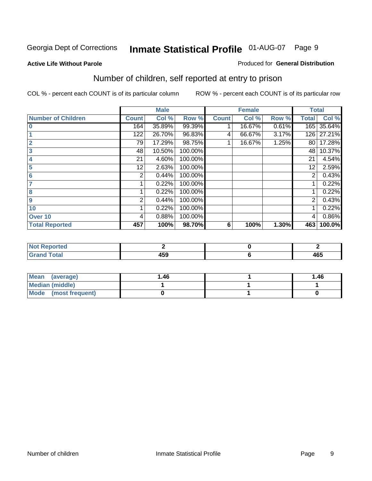#### **Active Life Without Parole**

#### Produced for **General Distribution**

### Number of children, self reported at entry to prison

|                           |              | <b>Male</b> |         |              | <b>Female</b> |       | <b>Total</b> |        |
|---------------------------|--------------|-------------|---------|--------------|---------------|-------|--------------|--------|
| <b>Number of Children</b> | <b>Count</b> | Col %       | Row %   | <b>Count</b> | Col %         | Row % | <b>Total</b> | Col %  |
| $\bf{0}$                  | 164          | 35.89%      | 99.39%  |              | 16.67%        | 0.61% | 165          | 35.64% |
|                           | 122          | 26.70%      | 96.83%  | 4            | 66.67%        | 3.17% | 126          | 27.21% |
| $\overline{2}$            | 79           | 17.29%      | 98.75%  |              | 16.67%        | 1.25% | 80           | 17.28% |
| 3                         | 48           | 10.50%      | 100.00% |              |               |       | 48           | 10.37% |
| 4                         | 21           | 4.60%       | 100.00% |              |               |       | 21           | 4.54%  |
| 5                         | 12           | 2.63%       | 100.00% |              |               |       | 12           | 2.59%  |
| $6\phantom{a}$            | 2            | 0.44%       | 100.00% |              |               |       | 2            | 0.43%  |
|                           |              | 0.22%       | 100.00% |              |               |       |              | 0.22%  |
| 8                         |              | 0.22%       | 100.00% |              |               |       |              | 0.22%  |
| 9                         | 2            | 0.44%       | 100.00% |              |               |       | 2            | 0.43%  |
| 10                        |              | 0.22%       | 100.00% |              |               |       |              | 0.22%  |
| Over 10                   | 4            | 0.88%       | 100.00% |              |               |       | 4            | 0.86%  |
| <b>Total Reported</b>     | 457          | 100%        | 98.70%  | 6            | 100%          | 1.30% | 463          | 100.0% |

| ™rteu<br>$\sim$  |     |                 |
|------------------|-----|-----------------|
| <b>otal</b>      | .   | $\overline{10}$ |
| $\mathbf{v}$ and | rJJ | 403             |

| <b>Mean</b><br>(average) | 1.46 | 1.46 |
|--------------------------|------|------|
| Median (middle)          |      |      |
| Mode (most frequent)     |      |      |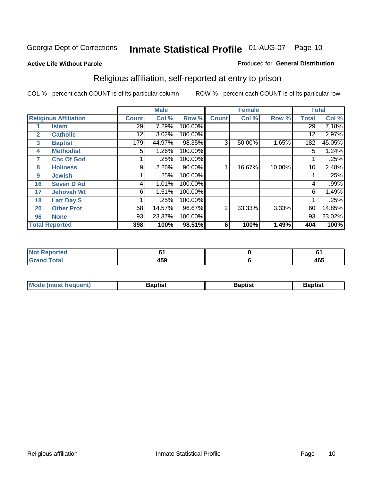#### **Active Life Without Parole**

#### Produced for **General Distribution**

### Religious affiliation, self-reported at entry to prison

|              |                              |              | <b>Male</b> |         |              | <b>Female</b> |        |              | <b>Total</b> |
|--------------|------------------------------|--------------|-------------|---------|--------------|---------------|--------|--------------|--------------|
|              | <b>Religious Affiliation</b> | <b>Count</b> | Col %       | Row %   | <b>Count</b> | Col %         | Row %  | <b>Total</b> | Col %        |
|              | <b>Islam</b>                 | 29           | 7.29%       | 100.00% |              |               |        | 29           | 7.18%        |
| $\mathbf{2}$ | <b>Catholic</b>              | 12           | 3.02%       | 100.00% |              |               |        | 12           | 2.97%        |
| 3            | <b>Baptist</b>               | 179          | 44.97%      | 98.35%  | 3            | 50.00%        | 1.65%  | 182          | 45.05%       |
| 4            | <b>Methodist</b>             | 5            | 1.26%       | 100.00% |              |               |        | 5            | 1.24%        |
| 7            | <b>Chc Of God</b>            |              | .25%        | 100.00% |              |               |        |              | .25%         |
| 8            | <b>Holiness</b>              | 9            | 2.26%       | 90.00%  |              | 16.67%        | 10.00% | 10           | 2.48%        |
| 9            | <b>Jewish</b>                |              | .25%        | 100.00% |              |               |        |              | .25%         |
| 16           | <b>Seven D Ad</b>            | 4            | 1.01%       | 100.00% |              |               |        | 4            | .99%         |
| 17           | <b>Jehovah Wt</b>            | 6            | 1.51%       | 100.00% |              |               |        | 6            | 1.49%        |
| 18           | <b>Latr Day S</b>            |              | .25%        | 100.00% |              |               |        |              | .25%         |
| 20           | <b>Other Prot</b>            | 58           | 14.57%      | 96.67%  | 2            | 33.33%        | 3.33%  | 60           | 14.85%       |
| 96           | <b>None</b>                  | 93           | 23.37%      | 100.00% |              |               |        | 93           | 23.02%       |
|              | <b>Total Reported</b>        | 398          | 100%        | 98.51%  | 6            | 100%          | 1.49%  | 404          | 100%         |

| <b>ported</b> |            | u   |
|---------------|------------|-----|
| <b>otal</b>   | ""^<br>れつこ | 465 |

| ' Mo<br>went | <b>}aptist</b> | Baptist<br>$ -$ | <b>Baptist</b> |
|--------------|----------------|-----------------|----------------|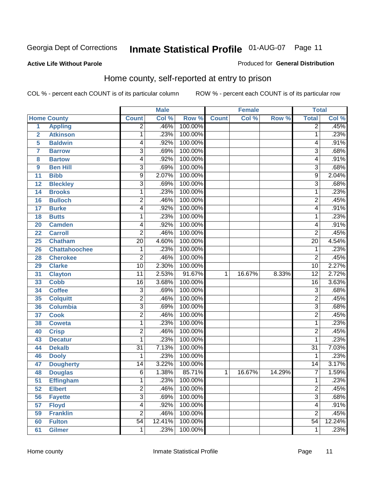Produced for **General Distribution**

#### **Active Life Without Parole**

#### Home county, self-reported at entry to prison

|                |                      |                 | <b>Male</b> |         |              | <b>Female</b> |        | <b>Total</b>    |        |
|----------------|----------------------|-----------------|-------------|---------|--------------|---------------|--------|-----------------|--------|
|                | <b>Home County</b>   | <b>Count</b>    | Col %       | Row %   | <b>Count</b> | Col %         | Row %  | <b>Total</b>    | Col %  |
| $\overline{1}$ | <b>Appling</b>       | $\overline{2}$  | .46%        | 100.00% |              |               |        | $\overline{2}$  | .45%   |
| $\overline{2}$ | <b>Atkinson</b>      | 1               | .23%        | 100.00% |              |               |        | 1               | .23%   |
| 5              | <b>Baldwin</b>       | 4               | .92%        | 100.00% |              |               |        | 4               | .91%   |
| 7              | <b>Barrow</b>        | $\overline{3}$  | .69%        | 100.00% |              |               |        | 3               | .68%   |
| 8              | <b>Bartow</b>        | 4               | .92%        | 100.00% |              |               |        | 4               | .91%   |
| 9              | <b>Ben Hill</b>      | 3               | .69%        | 100.00% |              |               |        | $\overline{3}$  | .68%   |
| 11             | <b>Bibb</b>          | $\overline{9}$  | 2.07%       | 100.00% |              |               |        | 9               | 2.04%  |
| 12             | <b>Bleckley</b>      | 3               | .69%        | 100.00% |              |               |        | 3               | .68%   |
| 14             | <b>Brooks</b>        | 1               | .23%        | 100.00% |              |               |        | 1               | .23%   |
| 16             | <b>Bulloch</b>       | $\overline{2}$  | .46%        | 100.00% |              |               |        | $\overline{2}$  | .45%   |
| 17             | <b>Burke</b>         | 4               | .92%        | 100.00% |              |               |        | 4               | .91%   |
| 18             | <b>Butts</b>         | 1               | .23%        | 100.00% |              |               |        | 1               | .23%   |
| 20             | <b>Camden</b>        | 4               | .92%        | 100.00% |              |               |        | 4               | .91%   |
| 22             | <b>Carroll</b>       | $\overline{2}$  | .46%        | 100.00% |              |               |        | $\overline{2}$  | .45%   |
| 25             | <b>Chatham</b>       | $\overline{20}$ | 4.60%       | 100.00% |              |               |        | $\overline{20}$ | 4.54%  |
| 26             | <b>Chattahoochee</b> | 1               | .23%        | 100.00% |              |               |        | 1               | .23%   |
| 28             | <b>Cherokee</b>      | $\overline{2}$  | .46%        | 100.00% |              |               |        | $\overline{2}$  | .45%   |
| 29             | <b>Clarke</b>        | $\overline{10}$ | 2.30%       | 100.00% |              |               |        | 10              | 2.27%  |
| 31             | <b>Clayton</b>       | $\overline{11}$ | 2.53%       | 91.67%  | 1            | 16.67%        | 8.33%  | $\overline{12}$ | 2.72%  |
| 33             | <b>Cobb</b>          | $\overline{16}$ | 3.68%       | 100.00% |              |               |        | 16              | 3.63%  |
| 34             | <b>Coffee</b>        | $\overline{3}$  | .69%        | 100.00% |              |               |        | $\overline{3}$  | .68%   |
| 35             | <b>Colquitt</b>      | $\overline{2}$  | .46%        | 100.00% |              |               |        | $\overline{2}$  | .45%   |
| 36             | <b>Columbia</b>      | $\overline{3}$  | .69%        | 100.00% |              |               |        | $\overline{3}$  | .68%   |
| 37             | <b>Cook</b>          | 2               | .46%        | 100.00% |              |               |        | $\overline{2}$  | .45%   |
| 38             | <b>Coweta</b>        | 1               | .23%        | 100.00% |              |               |        | 1               | .23%   |
| 40             | <b>Crisp</b>         | $\overline{2}$  | .46%        | 100.00% |              |               |        | $\overline{2}$  | .45%   |
| 43             | <b>Decatur</b>       | 1               | .23%        | 100.00% |              |               |        | 1               | .23%   |
| 44             | <b>Dekalb</b>        | $\overline{31}$ | 7.13%       | 100.00% |              |               |        | $\overline{31}$ | 7.03%  |
| 46             | <b>Dooly</b>         | 1               | .23%        | 100.00% |              |               |        | 1               | .23%   |
| 47             | <b>Dougherty</b>     | 14              | 3.22%       | 100.00% |              |               |        | $\overline{14}$ | 3.17%  |
| 48             | <b>Douglas</b>       | 6               | 1.38%       | 85.71%  | 1            | 16.67%        | 14.29% | $\overline{7}$  | 1.59%  |
| 51             | <b>Effingham</b>     | 1               | .23%        | 100.00% |              |               |        | 1               | .23%   |
| 52             | <b>Elbert</b>        | $\overline{2}$  | .46%        | 100.00% |              |               |        | $\overline{2}$  | .45%   |
| 56             | <b>Fayette</b>       | $\overline{3}$  | .69%        | 100.00% |              |               |        | $\overline{3}$  | .68%   |
| 57             | <b>Floyd</b>         | $\overline{4}$  | .92%        | 100.00% |              |               |        | 4               | .91%   |
| 59             | <b>Franklin</b>      | $\overline{2}$  | .46%        | 100.00% |              |               |        | $\overline{2}$  | .45%   |
| 60             | <b>Fulton</b>        | $\overline{54}$ | 12.41%      | 100.00% |              |               |        | $\overline{54}$ | 12.24% |
| 61             | <b>Gilmer</b>        | 1               | .23%        | 100.00% |              |               |        | 1               | .23%   |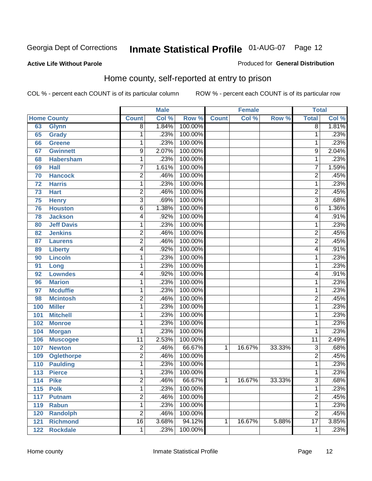#### **Active Life Without Parole**

#### Produced for **General Distribution**

#### Home county, self-reported at entry to prison

|     |                    |                 | <b>Male</b> |         |              | <b>Female</b> |        | <b>Total</b>    |       |
|-----|--------------------|-----------------|-------------|---------|--------------|---------------|--------|-----------------|-------|
|     | <b>Home County</b> | <b>Count</b>    | Col %       | Row %   | <b>Count</b> | Col %         | Row %  | <b>Total</b>    | Col % |
| 63  | <b>Glynn</b>       | $\overline{8}$  | 1.84%       | 100.00% |              |               |        | $\overline{8}$  | 1.81% |
| 65  | Grady              | 1               | .23%        | 100.00% |              |               |        | 1               | .23%  |
| 66  | <b>Greene</b>      | 1               | .23%        | 100.00% |              |               |        | 1               | .23%  |
| 67  | <b>Gwinnett</b>    | 9               | 2.07%       | 100.00% |              |               |        | 9               | 2.04% |
| 68  | <b>Habersham</b>   | $\mathbf{1}$    | .23%        | 100.00% |              |               |        | 1               | .23%  |
| 69  | <b>Hall</b>        | $\overline{7}$  | 1.61%       | 100.00% |              |               |        | $\overline{7}$  | 1.59% |
| 70  | <b>Hancock</b>     | $\overline{2}$  | .46%        | 100.00% |              |               |        | $\overline{2}$  | .45%  |
| 72  | <b>Harris</b>      | 1               | .23%        | 100.00% |              |               |        | 1               | .23%  |
| 73  | <b>Hart</b>        | $\overline{c}$  | .46%        | 100.00% |              |               |        | $\overline{2}$  | .45%  |
| 75  | <b>Henry</b>       | 3               | .69%        | 100.00% |              |               |        | $\overline{3}$  | .68%  |
| 76  | <b>Houston</b>     | $\overline{6}$  | 1.38%       | 100.00% |              |               |        | $\overline{6}$  | 1.36% |
| 78  | <b>Jackson</b>     | 4               | .92%        | 100.00% |              |               |        | 4               | .91%  |
| 80  | <b>Jeff Davis</b>  | 1               | .23%        | 100.00% |              |               |        | 1               | .23%  |
| 82  | <b>Jenkins</b>     | 2               | .46%        | 100.00% |              |               |        | $\overline{2}$  | .45%  |
| 87  | <b>Laurens</b>     | $\overline{2}$  | .46%        | 100.00% |              |               |        | $\overline{2}$  | .45%  |
| 89  | <b>Liberty</b>     | 4               | .92%        | 100.00% |              |               |        | 4               | .91%  |
| 90  | Lincoln            | 1               | .23%        | 100.00% |              |               |        | 1               | .23%  |
| 91  | Long               | 1               | .23%        | 100.00% |              |               |        | 1               | .23%  |
| 92  | <b>Lowndes</b>     | 4               | .92%        | 100.00% |              |               |        | 4               | .91%  |
| 96  | <b>Marion</b>      | 1               | .23%        | 100.00% |              |               |        | 1               | .23%  |
| 97  | <b>Mcduffie</b>    | 1               | .23%        | 100.00% |              |               |        | 1               | .23%  |
| 98  | <b>Mcintosh</b>    | $\overline{2}$  | .46%        | 100.00% |              |               |        | $\overline{2}$  | .45%  |
| 100 | <b>Miller</b>      | $\mathbf{1}$    | .23%        | 100.00% |              |               |        | 1               | .23%  |
| 101 | <b>Mitchell</b>    | 1               | .23%        | 100.00% |              |               |        | 1               | .23%  |
| 102 | <b>Monroe</b>      | 1               | .23%        | 100.00% |              |               |        | 1               | .23%  |
| 104 | <b>Morgan</b>      | 1               | .23%        | 100.00% |              |               |        | 1               | .23%  |
| 106 | <b>Muscogee</b>    | $\overline{11}$ | 2.53%       | 100.00% |              |               |        | $\overline{11}$ | 2.49% |
| 107 | <b>Newton</b>      | 2               | .46%        | 66.67%  | 1            | 16.67%        | 33.33% | 3               | .68%  |
| 109 | <b>Oglethorpe</b>  | $\overline{2}$  | .46%        | 100.00% |              |               |        | $\overline{2}$  | .45%  |
| 110 | <b>Paulding</b>    | 1               | .23%        | 100.00% |              |               |        | 1               | .23%  |
| 113 | <b>Pierce</b>      | 1               | .23%        | 100.00% |              |               |        | 1               | .23%  |
| 114 | <b>Pike</b>        | 2               | .46%        | 66.67%  | 1            | 16.67%        | 33.33% | 3               | .68%  |
| 115 | <b>Polk</b>        | 1               | .23%        | 100.00% |              |               |        | 1               | .23%  |
| 117 | <b>Putnam</b>      | $\overline{2}$  | .46%        | 100.00% |              |               |        | $\overline{2}$  | .45%  |
| 119 | <b>Rabun</b>       | $\mathbf 1$     | .23%        | 100.00% |              |               |        | 1               | .23%  |
| 120 | <b>Randolph</b>    | $\overline{2}$  | .46%        | 100.00% |              |               |        | $\overline{2}$  | .45%  |
| 121 | <b>Richmond</b>    | $\overline{16}$ | 3.68%       | 94.12%  | 1            | 16.67%        | 5.88%  | $\overline{17}$ | 3.85% |
| 122 | <b>Rockdale</b>    | 1               | .23%        | 100.00% |              |               |        | 1               | .23%  |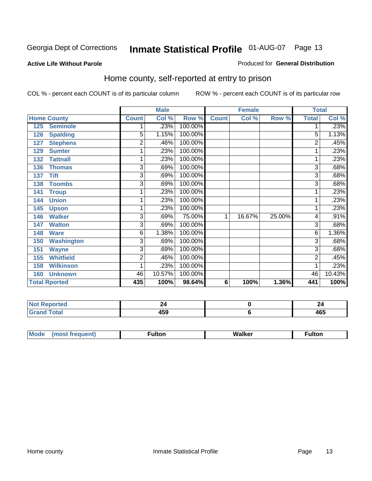#### **Active Life Without Parole**

#### Produced for **General Distribution**

#### Home county, self-reported at entry to prison

|     |                      |                | <b>Male</b> |         |              | <b>Female</b> |        | <b>Total</b> |        |
|-----|----------------------|----------------|-------------|---------|--------------|---------------|--------|--------------|--------|
|     | <b>Home County</b>   | <b>Count</b>   | Col %       | Row %   | <b>Count</b> | Col %         | Row %  | <b>Total</b> | Col %  |
| 125 | <b>Seminole</b>      |                | .23%        | 100.00% |              |               |        |              | .23%   |
| 126 | <b>Spalding</b>      | $\overline{5}$ | 1.15%       | 100.00% |              |               |        | 5            | 1.13%  |
| 127 | <b>Stephens</b>      | $\overline{2}$ | .46%        | 100.00% |              |               |        | 2            | .45%   |
| 129 | <b>Sumter</b>        | 1              | .23%        | 100.00% |              |               |        |              | .23%   |
| 132 | <b>Tattnall</b>      | 1              | .23%        | 100.00% |              |               |        | 1            | .23%   |
| 136 | <b>Thomas</b>        | $\overline{3}$ | .69%        | 100.00% |              |               |        | 3            | .68%   |
| 137 | <b>Tift</b>          | 3              | .69%        | 100.00% |              |               |        | 3            | .68%   |
| 138 | <b>Toombs</b>        | 3              | .69%        | 100.00% |              |               |        | 3            | .68%   |
| 141 | <b>Troup</b>         | 1              | .23%        | 100.00% |              |               |        |              | .23%   |
| 144 | <b>Union</b>         | 1              | .23%        | 100.00% |              |               |        |              | .23%   |
| 145 | <b>Upson</b>         | 1              | .23%        | 100.00% |              |               |        |              | .23%   |
| 146 | <b>Walker</b>        | 3              | .69%        | 75.00%  | 1            | 16.67%        | 25.00% | 4            | .91%   |
| 147 | <b>Walton</b>        | 3              | .69%        | 100.00% |              |               |        | 3            | .68%   |
| 148 | <b>Ware</b>          | 6              | 1.38%       | 100.00% |              |               |        | 6            | 1.36%  |
| 150 | <b>Washington</b>    | 3              | .69%        | 100.00% |              |               |        | 3            | .68%   |
| 151 | <b>Wayne</b>         | $\overline{3}$ | .69%        | 100.00% |              |               |        | 3            | .68%   |
| 155 | <b>Whitfield</b>     | 2              | .46%        | 100.00% |              |               |        | 2            | .45%   |
| 158 | <b>Wilkinson</b>     | 1              | .23%        | 100.00% |              |               |        |              | .23%   |
| 160 | <b>Unknown</b>       | 46             | 10.57%      | 100.00% |              |               |        | 46           | 10.43% |
|     | <b>Total Rported</b> | 435            | 100%        | 98.64%  | 6            | 100%          | 1.36%  | 441          | 100%   |

| .<br><b>Reported</b> | . .                  | 44                      |
|----------------------|----------------------|-------------------------|
| <b>c</b> otal        | $\sim$ $\sim$ $\sim$ | 465                     |
| --                   | ເວນ                  | $\cdot$ $\cdot$ $\cdot$ |

| $^{\circ}$ M <sub>c</sub><br>w | __________ |
|--------------------------------|------------|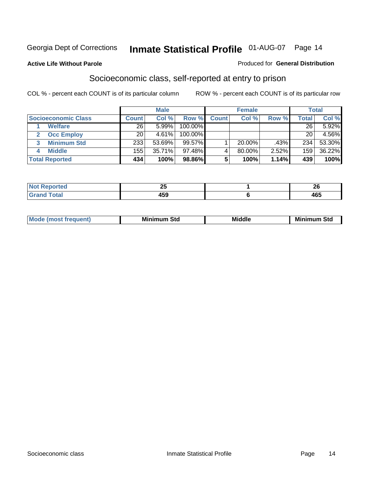#### **Active Life Without Parole**

#### Produced for **General Distribution**

#### Socioeconomic class, self-reported at entry to prison

|                            | <b>Male</b>  |          | <b>Female</b> |              |           | <b>Total</b> |              |        |
|----------------------------|--------------|----------|---------------|--------------|-----------|--------------|--------------|--------|
| <b>Socioeconomic Class</b> | <b>Count</b> | Col %    | Row %         | <b>Count</b> | Col %     | Row %        | <b>Total</b> | Col %  |
| <b>Welfare</b>             | 26           | 5.99%    | 100.00%       |              |           |              | 26           | 5.92%  |
| <b>Occ Employ</b>          | 20           | $4.61\%$ | 100.00%       |              |           |              | 20           | 4.56%  |
| <b>Minimum Std</b>         | 233          | 53.69%   | 99.57%        |              | $20.00\%$ | .43%         | 234          | 53.30% |
| <b>Middle</b>              | 155          | 35.71%   | 97.48%I       |              | 80.00%    | 2.52%        | 159          | 36.22% |
| <b>Total Reported</b>      | 434          | 100%     | 98.86%        |              | 100%      | 1.14%        | 439          | 100%   |

| тео      | --<br>ΔJ | $\sim$<br>$\epsilon$ |
|----------|----------|----------------------|
| Contact: | - ר      | $\overline{10}$      |
| $\sim$   | - 53     | 40J                  |

| M<br>Mir<br>Mi<br><b>Middle</b><br><b>C</b> ta<br>Sta<br>oτu<br>.<br>the contract of the contract of the contract of the contract of the contract of the contract of the contract of<br>___ |
|---------------------------------------------------------------------------------------------------------------------------------------------------------------------------------------------|
|---------------------------------------------------------------------------------------------------------------------------------------------------------------------------------------------|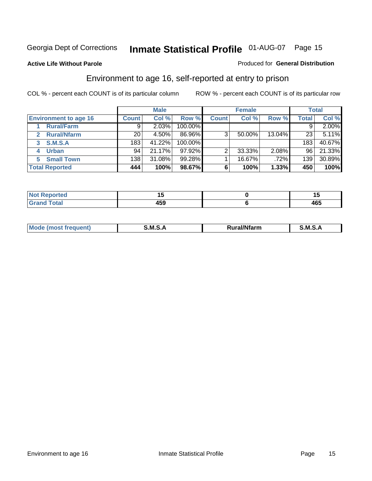**Active Life Without Parole** 

#### Produced for **General Distribution**

#### Environment to age 16, self-reported at entry to prison

|                              |              | <b>Male</b> |           |              | <b>Female</b> |        |              | <b>Total</b> |
|------------------------------|--------------|-------------|-----------|--------------|---------------|--------|--------------|--------------|
| <b>Environment to age 16</b> | <b>Count</b> | Col %       | Row %     | <b>Count</b> | Col %         | Row %  | <b>Total</b> | Col %        |
| <b>Rural/Farm</b>            | 9            | 2.03%       | 100.00%   |              |               |        |              | 2.00%        |
| <b>Rural/Nfarm</b><br>2      | 20           | 4.50%       | 86.96%    | 3            | 50.00%        | 13.04% | 23           | 5.11%        |
| <b>S.M.S.A</b><br>3          | 183          | 41.22%      | 100.00%   |              |               |        | 183          | 40.67%       |
| <b>Urban</b><br>4            | 94           | 21.17%      | $97.92\%$ |              | 33.33%        | 2.08%  | 96           | 21.33%       |
| <b>Small Town</b>            | 138          | 31.08%      | 99.28%    |              | 16.67%        | .72%   | 139          | 30.89%       |
| <b>Total Reported</b>        | 444          | 100%        | 98.67%    | 6            | 100%          | 1.33%  | 450          | 100%         |

| Reported<br>Not       |     |     |
|-----------------------|-----|-----|
| <b>Total</b><br>Grand | 459 | 465 |

| <b>Mo</b> | ---<br>м | .<br>'tarn | м |
|-----------|----------|------------|---|
|           |          |            |   |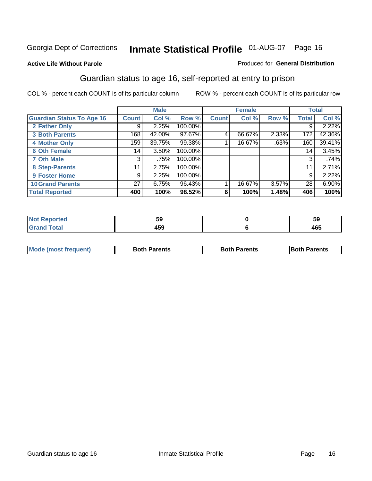#### **Active Life Without Parole**

#### Produced for **General Distribution**

#### Guardian status to age 16, self-reported at entry to prison

|                                  |                 | <b>Male</b> |         |              | <b>Female</b> |       |              | <b>Total</b> |
|----------------------------------|-----------------|-------------|---------|--------------|---------------|-------|--------------|--------------|
| <b>Guardian Status To Age 16</b> | <b>Count</b>    | Col %       | Row %   | <b>Count</b> | Col %         | Row % | <b>Total</b> | Col %        |
| 2 Father Only                    | 9               | 2.25%       | 100.00% |              |               |       | 9            | 2.22%        |
| <b>3 Both Parents</b>            | 168             | 42.00%      | 97.67%  | 4            | 66.67%        | 2.33% | 172          | 42.36%       |
| <b>4 Mother Only</b>             | 159             | 39.75%      | 99.38%  |              | 16.67%        | .63%  | 160          | 39.41%       |
| <b>6 Oth Female</b>              | 14              | 3.50%       | 100.00% |              |               |       | 14           | 3.45%        |
| <b>7 Oth Male</b>                | 3               | .75%        | 100.00% |              |               |       | 3            | .74%         |
| 8 Step-Parents                   | 11              | 2.75%       | 100.00% |              |               |       | 11           | 2.71%        |
| 9 Foster Home                    | 9               | 2.25%       | 100.00% |              |               |       | 9            | 2.22%        |
| <b>10 Grand Parents</b>          | 27 <sup>1</sup> | 6.75%       | 96.43%  |              | 16.67%        | 3.57% | 28           | 6.90%        |
| <b>Total Reported</b>            | 400             | 100%        | 98.52%  | 6            | 100%          | 1.48% | 406          | 100%         |

|                             | --<br>u. | - -<br>ວນ |
|-----------------------------|----------|-----------|
| $\sim$ $\sim$ $\sim$ $\sim$ | ᠇୰୰      | 465       |

| <b>Mode (most frequent)</b> | <b>Both Parents</b> | <b>Both Parents</b> | <b>IBoth Parents</b> |
|-----------------------------|---------------------|---------------------|----------------------|
|                             |                     |                     |                      |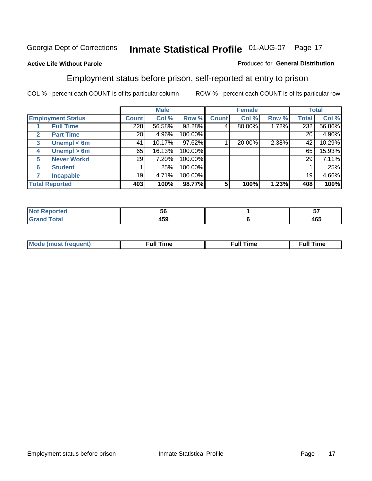#### **Active Life Without Parole**

#### Produced for **General Distribution**

#### Employment status before prison, self-reported at entry to prison

|              |                          |              | <b>Male</b> |         |              | <b>Female</b> |       |       | <b>Total</b> |
|--------------|--------------------------|--------------|-------------|---------|--------------|---------------|-------|-------|--------------|
|              | <b>Employment Status</b> | <b>Count</b> | Col %       | Row %   | <b>Count</b> | Col %         | Row % | Total | Col %        |
|              | <b>Full Time</b>         | 228          | 56.58%      | 98.28%  |              | 80.00%        | 1.72% | 232   | 56.86%       |
| $\mathbf{2}$ | <b>Part Time</b>         | 20           | 4.96%       | 100.00% |              |               |       | 20    | 4.90%        |
| 3            | Unempl $<$ 6m            | 41           | 10.17%      | 97.62%  |              | 20.00%        | 2.38% | 42    | 10.29%       |
| 4            | Unempl $> 6m$            | 65           | 16.13%      | 100.00% |              |               |       | 65    | 15.93%       |
| 5            | <b>Never Workd</b>       | 29           | 7.20%       | 100.00% |              |               |       | 29    | 7.11%        |
| 6            | <b>Student</b>           |              | .25%        | 100.00% |              |               |       |       | .25%         |
|              | <b>Incapable</b>         | 19           | 4.71%       | 100.00% |              |               |       | 19    | 4.66%        |
|              | <b>Total Reported</b>    | 403          | 100%        | 98.77%  | 5            | 100%          | 1.23% | 408   | 100%         |

| ver. | უი    | v                 |
|------|-------|-------------------|
| $ -$ | 1 E N | $\sqrt{2}$<br>465 |

| Mo | 'me<br>uн<br>the contract of the contract of the contract of the contract of the contract of the contract of the contract of | ïme<br>uı.<br>the contract of the contract of the contract of the contract of the contract of the contract of the contract of the contract of the contract of the contract of the contract of the contract of the contract of the contract o |
|----|------------------------------------------------------------------------------------------------------------------------------|----------------------------------------------------------------------------------------------------------------------------------------------------------------------------------------------------------------------------------------------|
|    |                                                                                                                              |                                                                                                                                                                                                                                              |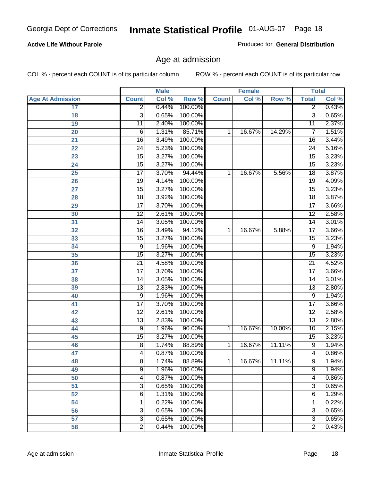#### **Active Life Without Parole**

Produced for **General Distribution**

#### Age at admission

|                         |                 | <b>Male</b> |         |              | <b>Female</b> |        | <b>Total</b>    |       |
|-------------------------|-----------------|-------------|---------|--------------|---------------|--------|-----------------|-------|
| <b>Age At Admission</b> | <b>Count</b>    | Col %       | Row %   | <b>Count</b> | Col %         | Row %  | <b>Total</b>    | Col % |
| 17                      | $\overline{2}$  | 0.44%       | 100.00% |              |               |        | 2               | 0.43% |
| 18                      | $\overline{3}$  | 0.65%       | 100.00% |              |               |        | $\overline{3}$  | 0.65% |
| 19                      | $\overline{11}$ | 2.40%       | 100.00% |              |               |        | $\overline{11}$ | 2.37% |
| 20                      | 6               | 1.31%       | 85.71%  | 1            | 16.67%        | 14.29% | 7               | 1.51% |
| 21                      | $\overline{16}$ | 3.49%       | 100.00% |              |               |        | 16              | 3.44% |
| 22                      | $\overline{24}$ | 5.23%       | 100.00% |              |               |        | $\overline{24}$ | 5.16% |
| 23                      | $\overline{15}$ | 3.27%       | 100.00% |              |               |        | $\overline{15}$ | 3.23% |
| 24                      | $\overline{15}$ | 3.27%       | 100.00% |              |               |        | 15              | 3.23% |
| 25                      | $\overline{17}$ | 3.70%       | 94.44%  | 1            | 16.67%        | 5.56%  | $\overline{18}$ | 3.87% |
| 26                      | 19              | 4.14%       | 100.00% |              |               |        | 19              | 4.09% |
| 27                      | $\overline{15}$ | 3.27%       | 100.00% |              |               |        | $\overline{15}$ | 3.23% |
| 28                      | $\overline{18}$ | 3.92%       | 100.00% |              |               |        | 18              | 3.87% |
| 29                      | $\overline{17}$ | 3.70%       | 100.00% |              |               |        | $\overline{17}$ | 3.66% |
| 30                      | $\overline{12}$ | 2.61%       | 100.00% |              |               |        | $\overline{12}$ | 2.58% |
| 31                      | $\overline{14}$ | 3.05%       | 100.00% |              |               |        | $\overline{14}$ | 3.01% |
| 32                      | 16              | 3.49%       | 94.12%  | 1            | 16.67%        | 5.88%  | 17              | 3.66% |
| 33                      | 15              | 3.27%       | 100.00% |              |               |        | 15              | 3.23% |
| 34                      | 9               | 1.96%       | 100.00% |              |               |        | 9               | 1.94% |
| 35                      | 15              | 3.27%       | 100.00% |              |               |        | $\overline{15}$ | 3.23% |
| 36                      | $\overline{21}$ | 4.58%       | 100.00% |              |               |        | $\overline{21}$ | 4.52% |
| 37                      | $\overline{17}$ | 3.70%       | 100.00% |              |               |        | $\overline{17}$ | 3.66% |
| 38                      | $\overline{14}$ | 3.05%       | 100.00% |              |               |        | 14              | 3.01% |
| 39                      | $\overline{13}$ | 2.83%       | 100.00% |              |               |        | $\overline{13}$ | 2.80% |
| 40                      | 9               | 1.96%       | 100.00% |              |               |        | 9               | 1.94% |
| 41                      | $\overline{17}$ | 3.70%       | 100.00% |              |               |        | $\overline{17}$ | 3.66% |
| 42                      | $\overline{12}$ | 2.61%       | 100.00% |              |               |        | 12              | 2.58% |
| 43                      | $\overline{13}$ | 2.83%       | 100.00% |              |               |        | $\overline{13}$ | 2.80% |
| 44                      | 9               | 1.96%       | 90.00%  | 1            | 16.67%        | 10.00% | 10              | 2.15% |
| 45                      | 15              | 3.27%       | 100.00% |              |               |        | $\overline{15}$ | 3.23% |
| 46                      | 8               | 1.74%       | 88.89%  | 1            | 16.67%        | 11.11% | 9               | 1.94% |
| 47                      | 4               | 0.87%       | 100.00% |              |               |        | $\overline{4}$  | 0.86% |
| 48                      | 8               | 1.74%       | 88.89%  | 1            | 16.67%        | 11.11% | 9               | 1.94% |
| 49                      | 9               | 1.96%       | 100.00% |              |               |        | 9               | 1.94% |
| 50                      | 4               | 0.87%       | 100.00% |              |               |        | 4               | 0.86% |
| 51                      | 3               | 0.65%       | 100.00% |              |               |        | $\overline{3}$  | 0.65% |
| 52                      | 6               | 1.31%       | 100.00% |              |               |        | 6               | 1.29% |
| 54                      | 1               | 0.22%       | 100.00% |              |               |        | 1               | 0.22% |
| 56                      | 3               | 0.65%       | 100.00% |              |               |        | $\overline{3}$  | 0.65% |
| 57                      | $\overline{3}$  | 0.65%       | 100.00% |              |               |        | $\overline{3}$  | 0.65% |
| 58                      | $\overline{2}$  | 0.44%       | 100.00% |              |               |        | $\overline{2}$  | 0.43% |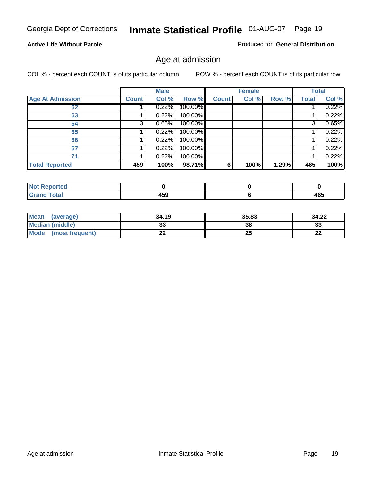#### **Active Life Without Parole**

Produced for **General Distribution**

#### Age at admission

|                         |              | <b>Male</b> |         |              | <b>Female</b> |       |              | <b>Total</b> |
|-------------------------|--------------|-------------|---------|--------------|---------------|-------|--------------|--------------|
| <b>Age At Admission</b> | <b>Count</b> | Col %       | Row %   | <b>Count</b> | Col %         | Row % | <b>Total</b> | Col %        |
| 62                      |              | 0.22%       | 100.00% |              |               |       |              | 0.22%        |
| 63                      |              | 0.22%       | 100.00% |              |               |       |              | 0.22%        |
| 64                      | 3            | 0.65%       | 100.00% |              |               |       | 3            | 0.65%        |
| 65                      |              | 0.22%       | 100.00% |              |               |       |              | 0.22%        |
| 66                      |              | 0.22%       | 100.00% |              |               |       |              | 0.22%        |
| 67                      |              | 0.22%       | 100.00% |              |               |       |              | 0.22%        |
| 71                      |              | 0.22%       | 100.00% |              |               |       |              | 0.22%        |
| <b>Total Reported</b>   | 459          | 100%        | 98.71%  | 6            | 100%          | 1.29% | 465          | 100%         |

| 1 F A<br>- - -<br>__ | $\sqrt{2}$<br>יטי |
|----------------------|-------------------|

| Mean<br>(average)       | 34.19 | 35.83 | 34.22   |
|-------------------------|-------|-------|---------|
| Median (middle)         | აა    | 38    | 33      |
| Mode<br>(most frequent) | ∸∸    | 25    | …<br>LL |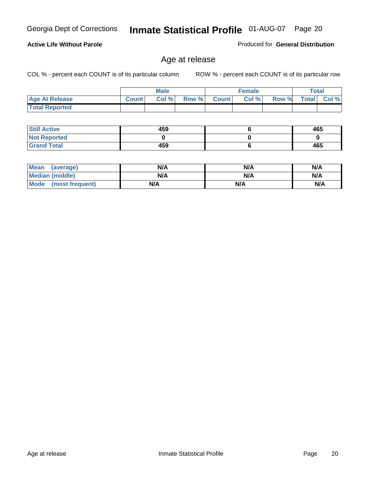#### **Active Life Without Parole**

Produced for **General Distribution**

#### Age at release

|                       |              | <b>Male</b> |       |              | <b>Female</b> |       | <b>Total</b> |          |
|-----------------------|--------------|-------------|-------|--------------|---------------|-------|--------------|----------|
| <b>Age At Release</b> | <b>Count</b> | Col%        | Row % | <b>Count</b> | Col %         | Row % | <b>Total</b> | $CoI \%$ |
| <b>Total Reported</b> |              |             |       |              |               |       |              |          |

| <b>Still Active</b> | 459 | 465 |
|---------------------|-----|-----|
| <b>Not Reported</b> |     |     |
| <b>Grand Total</b>  | 459 | 465 |

| <b>Mean</b><br>(average) | N/A | N/A | N/A |
|--------------------------|-----|-----|-----|
| Median (middle)          | N/A | N/A | N/A |
| Mode (most frequent)     | N/A | N/A | N/A |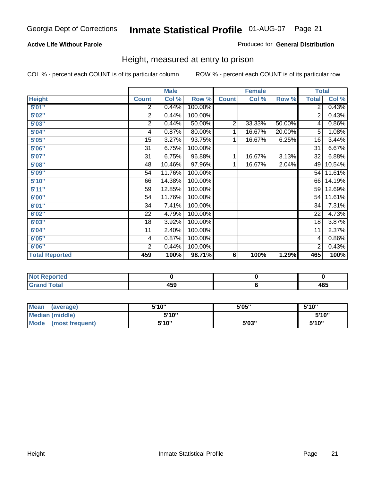#### **Active Life Without Parole**

#### Produced for **General Distribution**

#### Height, measured at entry to prison

|                       |                | <b>Male</b> |         |                | <b>Female</b> |        | <b>Total</b>    |        |
|-----------------------|----------------|-------------|---------|----------------|---------------|--------|-----------------|--------|
| <b>Height</b>         | <b>Count</b>   | Col %       | Row %   | <b>Count</b>   | Col %         | Row %  | <b>Total</b>    | Col %  |
| 5'01''                | 2              | 0.44%       | 100.00% |                |               |        | $\overline{2}$  | 0.43%  |
| 5'02"                 | $\overline{2}$ | 0.44%       | 100.00% |                |               |        | 2               | 0.43%  |
| 5'03"                 | 2              | 0.44%       | 50.00%  | $\overline{2}$ | 33.33%        | 50.00% | 4               | 0.86%  |
| 5'04"                 | 4              | 0.87%       | 80.00%  | 1              | 16.67%        | 20.00% | 5               | 1.08%  |
| 5'05"                 | 15             | 3.27%       | 93.75%  | 1              | 16.67%        | 6.25%  | 16              | 3.44%  |
| 5'06"                 | 31             | 6.75%       | 100.00% |                |               |        | $\overline{31}$ | 6.67%  |
| 5'07''                | 31             | 6.75%       | 96.88%  | 1              | 16.67%        | 3.13%  | 32              | 6.88%  |
| 5'08"                 | 48             | 10.46%      | 97.96%  | $\mathbf{1}$   | 16.67%        | 2.04%  | 49              | 10.54% |
| 5'09"                 | 54             | 11.76%      | 100.00% |                |               |        | 54              | 11.61% |
| 5'10''                | 66             | 14.38%      | 100.00% |                |               |        | 66              | 14.19% |
| 5'11''                | 59             | 12.85%      | 100.00% |                |               |        | 59              | 12.69% |
| 6'00"                 | 54             | 11.76%      | 100.00% |                |               |        | 54              | 11.61% |
| 6'01''                | 34             | 7.41%       | 100.00% |                |               |        | 34              | 7.31%  |
| 6'02"                 | 22             | 4.79%       | 100.00% |                |               |        | 22              | 4.73%  |
| 6'03"                 | 18             | 3.92%       | 100.00% |                |               |        | 18              | 3.87%  |
| 6'04"                 | 11             | 2.40%       | 100.00% |                |               |        | 11              | 2.37%  |
| 6'05"                 | 4              | 0.87%       | 100.00% |                |               |        | 4               | 0.86%  |
| 6'06"                 | $\overline{2}$ | 0.44%       | 100.00% |                |               |        | 2               | 0.43%  |
| <b>Total Reported</b> | 459            | 100%        | 98.71%  | 6              | 100%          | 1.29%  | 465             | 100%   |

| τeα<br>. |             |            |
|----------|-------------|------------|
| _____    | 459<br>$ -$ | ACF<br>40J |

| Mean<br>(average)              | 5'10" | 5'05" | 5'10" |
|--------------------------------|-------|-------|-------|
| Median (middle)                | 5'10" |       | 5'10" |
| <b>Mode</b><br>(most frequent) | 5'10" | 5'03" | 5'10" |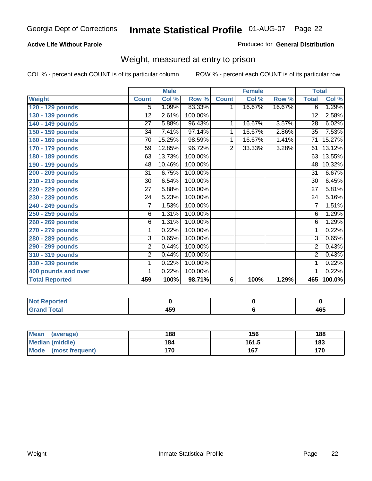#### **Active Life Without Parole**

#### Produced for **General Distribution**

#### Weight, measured at entry to prison

|                       |                 | <b>Male</b> |         |                | <b>Female</b> |        |                 | <b>Total</b>         |
|-----------------------|-----------------|-------------|---------|----------------|---------------|--------|-----------------|----------------------|
| Weight                | <b>Count</b>    | Col %       | Row %   | <b>Count</b>   | Col %         | Row %  | <b>Total</b>    | Col %                |
| 120 - 129 pounds      | 5               | 1.09%       | 83.33%  | 1              | 16.67%        | 16.67% | 6               | 1.29%                |
| 130 - 139 pounds      | 12              | 2.61%       | 100.00% |                |               |        | 12              | 2.58%                |
| 140 - 149 pounds      | 27              | 5.88%       | 96.43%  | 1              | 16.67%        | 3.57%  | $\overline{28}$ | 6.02%                |
| 150 - 159 pounds      | 34              | 7.41%       | 97.14%  | 1              | 16.67%        | 2.86%  | $\overline{35}$ | 7.53%                |
| 160 - 169 pounds      | 70              | 15.25%      | 98.59%  | 1              | 16.67%        | 1.41%  | 71              | 15.27%               |
| 170 - 179 pounds      | 59              | 12.85%      | 96.72%  | $\overline{2}$ | 33.33%        | 3.28%  | 61              | 13.12%               |
| 180 - 189 pounds      | 63              | 13.73%      | 100.00% |                |               |        | 63              | 13.55%               |
| 190 - 199 pounds      | 48              | 10.46%      | 100.00% |                |               |        | 48              | 10.32%               |
| 200 - 209 pounds      | 31              | 6.75%       | 100.00% |                |               |        | 31              | 6.67%                |
| 210 - 219 pounds      | 30              | 6.54%       | 100.00% |                |               |        | 30              | 6.45%                |
| 220 - 229 pounds      | $\overline{27}$ | 5.88%       | 100.00% |                |               |        | 27              | 5.81%                |
| 230 - 239 pounds      | 24              | 5.23%       | 100.00% |                |               |        | $\overline{24}$ | 5.16%                |
| 240 - 249 pounds      | 7               | 1.53%       | 100.00% |                |               |        | $\overline{7}$  | 1.51%                |
| 250 - 259 pounds      | 6               | 1.31%       | 100.00% |                |               |        | 6               | 1.29%                |
| 260 - 269 pounds      | 6               | 1.31%       | 100.00% |                |               |        | 6               | 1.29%                |
| 270 - 279 pounds      | 1               | 0.22%       | 100.00% |                |               |        | 1               | 0.22%                |
| 280 - 289 pounds      | 3               | 0.65%       | 100.00% |                |               |        | 3               | 0.65%                |
| 290 - 299 pounds      | $\overline{2}$  | 0.44%       | 100.00% |                |               |        | $\overline{2}$  | 0.43%                |
| 310 - 319 pounds      | $\overline{2}$  | 0.44%       | 100.00% |                |               |        | $\overline{2}$  | 0.43%                |
| 330 - 339 pounds      | 1               | 0.22%       | 100.00% |                |               |        | 1               | 0.22%                |
| 400 pounds and over   | 1               | 0.22%       | 100.00% |                |               |        | $\mathbf{1}$    | 0.22%                |
| <b>Total Reported</b> | 459             | 100%        | 98.71%  | $6\phantom{a}$ | 100%          | 1.29%  | 465             | $\overline{100.0\%}$ |

| N0<br>oorted        |                               |              |
|---------------------|-------------------------------|--------------|
| `otal<br>_<br>_____ | $\overline{ }$<br>יטו<br>$ -$ | 1 C C<br>40J |

| Mean<br>(average)    | 188 | 156   | 188 |
|----------------------|-----|-------|-----|
| Median (middle)      | 184 | 161.5 | 183 |
| Mode (most frequent) | 170 | 167   | 170 |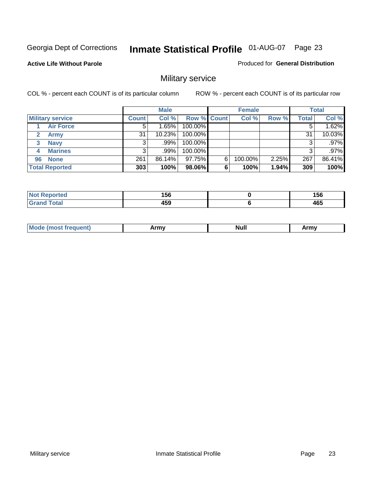**Active Life Without Parole** 

Produced for **General Distribution**

### Military service

|                         |              | <b>Male</b> |                    |   | <b>Female</b> |          |       | <b>Total</b> |
|-------------------------|--------------|-------------|--------------------|---|---------------|----------|-------|--------------|
| <b>Military service</b> | <b>Count</b> | Col %       | <b>Row % Count</b> |   | Col %         | Row %    | Total | Col %        |
| <b>Air Force</b>        | $5^{\circ}$  | 1.65%       | 100.00%            |   |               |          |       | 1.62%        |
| <b>Army</b>             | 31           | 10.23%      | 100.00%            |   |               |          | 31    | 10.03%       |
| <b>Navy</b><br>3        |              | $.99\%$     | 100.00%            |   |               |          |       | .97%         |
| <b>Marines</b><br>4     | 3            | $.99\%$     | 100.00%            |   |               |          | 3     | .97%         |
| 96 None                 | 261          | 86.14%      | 97.75%             | 6 | 100.00%       | $2.25\%$ | 267   | 86.41%       |
| <b>Total Reported</b>   | 303          | 100%        | 98.06%             | 6 | 100%          | 1.94%    | 309   | 100%         |

| the mode and control<br>тео | 1 E C<br>סכו<br>__ | 156<br>$ -$ |
|-----------------------------|--------------------|-------------|
| Cotot                       | 1 E O<br>າວວ       | 465         |

| M<br><b>IVUII</b><br>.<br>. |
|-----------------------------|
|-----------------------------|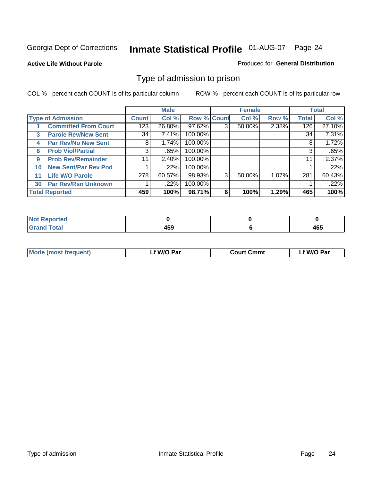#### **Active Life Without Parole**

#### Produced for **General Distribution**

#### Type of admission to prison

|    |                             |              | <b>Male</b> |                    |   | <b>Female</b> |       |              | <b>Total</b> |
|----|-----------------------------|--------------|-------------|--------------------|---|---------------|-------|--------------|--------------|
|    | <b>Type of Admission</b>    | <b>Count</b> | Col %       | <b>Row % Count</b> |   | Col %         | Row % | <b>Total</b> | Col %        |
|    | <b>Committed From Court</b> | 123          | 26.80%      | 97.62%             | 3 | 50.00%        | 2.38% | 126          | 27.10%       |
| 3  | <b>Parole Rev/New Sent</b>  | 34           | 7.41%       | 100.00%            |   |               |       | 34           | 7.31%        |
| 4  | <b>Par Rev/No New Sent</b>  | 8            | 1.74%       | 100.00%            |   |               |       | 8            | 1.72%        |
| 6  | <b>Prob Viol/Partial</b>    | 3            | .65%        | 100.00%            |   |               |       | 3            | .65%         |
| 9  | <b>Prob Rev/Remainder</b>   | 11           | 2.40%       | 100.00%            |   |               |       | 11           | 2.37%        |
| 10 | <b>New Sent/Par Rev Pnd</b> |              | .22%        | 100.00%            |   |               |       |              | .22%         |
| 11 | <b>Life W/O Parole</b>      | 278          | 60.57%      | 98.93%             | 3 | 50.00%        | 1.07% | 281          | 60.43%       |
| 30 | <b>Par Rev/Rsn Unknown</b>  |              | .22%        | 100.00%            |   |               |       |              | .22%         |
|    | <b>Total Reported</b>       | 459          | 100%        | 98.71%             | 6 | 100%          | 1.29% | 465          | 100%         |

| Reported<br><b>NOT</b>        |   |            |
|-------------------------------|---|------------|
| <b>Total</b><br>Gra<br>$\sim$ | . | ACE<br>40J |

| <b>Mode (most frequent)</b> | <b>W/O Par</b> | <b>Court Cmmt</b> | M/O Par |
|-----------------------------|----------------|-------------------|---------|
|                             |                |                   |         |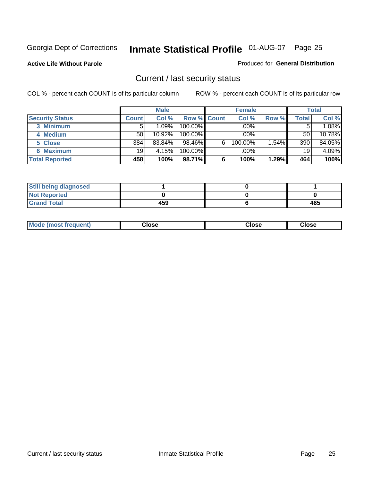**Active Life Without Parole** 

Produced for **General Distribution**

#### Current / last security status

|                        |              | <b>Male</b> |                    |   | <b>Female</b> |       |       | <b>Total</b> |
|------------------------|--------------|-------------|--------------------|---|---------------|-------|-------|--------------|
| <b>Security Status</b> | <b>Count</b> | Col %       | <b>Row % Count</b> |   | Col %         | Row % | Total | Col %        |
| 3 Minimum              |              | 1.09%       | $100.00\%$         |   | .00%          |       |       | 1.08%        |
| 4 Medium               | 50           | 10.92%      | $100.00\%$         |   | $.00\%$       |       | 50    | 10.78%       |
| 5 Close                | 384          | 83.84%      | $98.46\%$          | 6 | 100.00%       | 1.54% | 390   | 84.05%       |
| 6 Maximum              | 19           | 4.15%       | 100.00%            |   | .00%          |       | 19    | 4.09%        |
| <b>Total Reported</b>  | 458          | 100%        | 98.71%             | 6 | 100%          | 1.29% | 464   | 100%         |

| <b>Still being diagnosed</b> |     |     |
|------------------------------|-----|-----|
| <b>Not Reported</b>          |     |     |
| <b>Grand Total</b>           | 459 | 465 |

|  | Mo<br>frequent)<br>יצניות ו | Close<br>. | ાose<br>. | <b>OSE</b><br>. |
|--|-----------------------------|------------|-----------|-----------------|
|--|-----------------------------|------------|-----------|-----------------|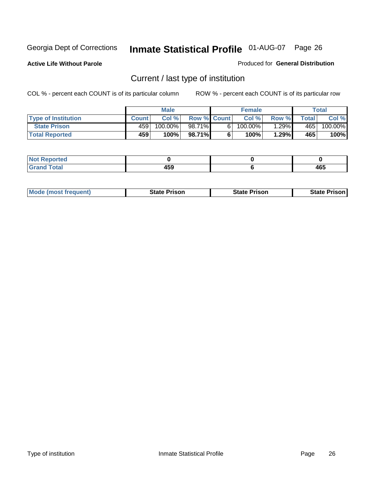**Active Life Without Parole** 

Produced for **General Distribution**

### Current / last type of institution

|                            |              | <b>Male</b> |                    |    | <b>Female</b> |         |              | Total   |
|----------------------------|--------------|-------------|--------------------|----|---------------|---------|--------------|---------|
| <b>Type of Institution</b> | <b>Count</b> | Col%        | <b>Row % Count</b> |    | Col %         | Row %   | <b>Total</b> | Col %   |
| <b>State Prison</b>        | 459          | 100.00%     | 98.71%             | 61 | 100.00%       | $.29\%$ | 465          | 100.00% |
| <b>Total Reported</b>      | 459          | 100%        | 98.71%             |    | $100\%$       | 1.29%   | 465          | 100%    |

| <b>rted</b><br>. |             |     |
|------------------|-------------|-----|
| $ -$             | 1 F A<br>__ | 465 |

| <b>Mode (most frequent)</b> | <b>State Prison</b> | <b>State Prison</b> | <b>State Prison I</b> |
|-----------------------------|---------------------|---------------------|-----------------------|
|                             |                     |                     |                       |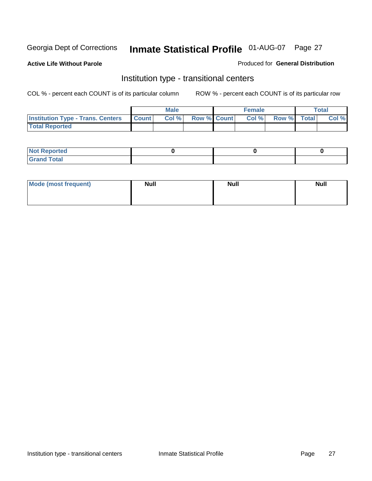**Active Life Without Parole** 

Produced for **General Distribution**

#### Institution type - transitional centers

|                                          |              | <b>Male</b> |                    | <b>Female</b> |             | Total |
|------------------------------------------|--------------|-------------|--------------------|---------------|-------------|-------|
| <b>Institution Type - Trans. Centers</b> | <b>Count</b> | Col%        | <b>Row % Count</b> | Col %         | Row % Total | Col % |
| <b>Total Reported</b>                    |              |             |                    |               |             |       |

| rtea<br>20 NGL 2<br>  |  |  |
|-----------------------|--|--|
| into!<br>---<br>_____ |  |  |

| Mode (most frequent) | <b>Null</b> | <b>Null</b> | <b>Null</b> |
|----------------------|-------------|-------------|-------------|
|                      |             |             |             |
|                      |             |             |             |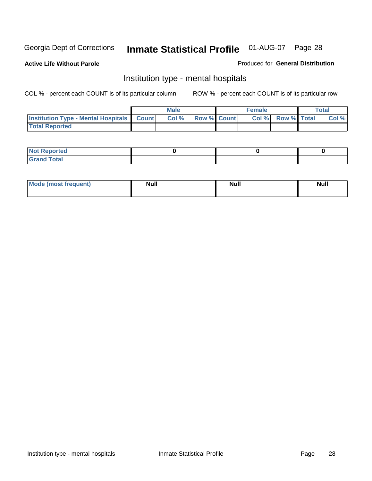**Active Life Without Parole** 

Produced for **General Distribution**

#### Institution type - mental hospitals

|                                                  | <b>Male</b> |                    | <b>Female</b> |                   | <b>Total</b> |
|--------------------------------------------------|-------------|--------------------|---------------|-------------------|--------------|
| <b>Institution Type - Mental Hospitals Count</b> | Col%        | <b>Row % Count</b> |               | Col % Row % Total | Col %        |
| <b>Total Reported</b>                            |             |                    |               |                   |              |

| <b>Not Reported</b> |  |  |
|---------------------|--|--|
| <b>Fotal</b><br>Cro |  |  |

| Mode (most frequent) | <b>Null</b> | <b>Null</b> | <b>Null</b> |
|----------------------|-------------|-------------|-------------|
|                      |             |             |             |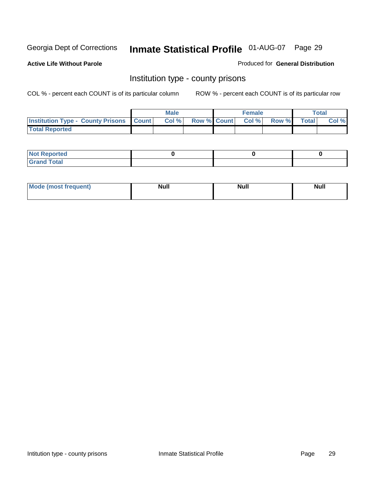**Active Life Without Parole** 

Produced for **General Distribution**

#### Institution type - county prisons

|                                                    | <b>Male</b> |                          | <b>Female</b> |       |              | Total |
|----------------------------------------------------|-------------|--------------------------|---------------|-------|--------------|-------|
| <b>Institution Type - County Prisons   Count  </b> | Col %       | <b>Row % Count Col %</b> |               | Row % | <b>Total</b> | Col % |
| <b>Total Reported</b>                              |             |                          |               |       |              |       |

| <b>Not</b><br><b>Reported</b> |  |  |
|-------------------------------|--|--|
| <b>Grand Total</b>            |  |  |

| <b>Mo</b><br>frequent) | NI. . II<br>1u 11 | <b>Moll</b> | <b>Null</b> |
|------------------------|-------------------|-------------|-------------|
|                        |                   |             |             |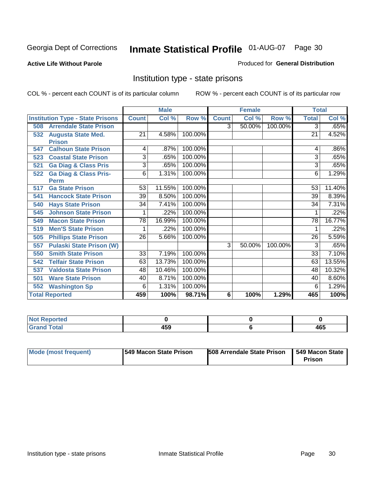**Active Life Without Parole** 

Produced for **General Distribution**

#### Institution type - state prisons

|                       |                                         |                 | <b>Male</b> |         |              | <b>Female</b> |         | <b>Total</b> |        |
|-----------------------|-----------------------------------------|-----------------|-------------|---------|--------------|---------------|---------|--------------|--------|
|                       | <b>Institution Type - State Prisons</b> | <b>Count</b>    | Col %       | Row %   | <b>Count</b> | Col %         | Row %   | <b>Total</b> | Col %  |
| 508                   | <b>Arrendale State Prison</b>           |                 |             |         | 3            | 50.00%        | 100.00% | 3            | .65%   |
| 532                   | <b>Augusta State Med.</b>               | 21              | 4.58%       | 100.00% |              |               |         | 21           | 4.52%  |
|                       | <b>Prison</b>                           |                 |             |         |              |               |         |              |        |
| 547                   | <b>Calhoun State Prison</b>             | 4               | .87%        | 100.00% |              |               |         | 4            | .86%   |
| 523                   | <b>Coastal State Prison</b>             | 3               | .65%        | 100.00% |              |               |         | 3            | .65%   |
| 521                   | <b>Ga Diag &amp; Class Pris</b>         | 3               | .65%        | 100.00% |              |               |         | 3            | .65%   |
| 522                   | <b>Ga Diag &amp; Class Pris-</b>        | 6               | 1.31%       | 100.00% |              |               |         | 6            | 1.29%  |
|                       | Perm                                    |                 |             |         |              |               |         |              |        |
| 517                   | <b>Ga State Prison</b>                  | 53              | 11.55%      | 100.00% |              |               |         | 53           | 11.40% |
| 541                   | <b>Hancock State Prison</b>             | 39              | 8.50%       | 100.00% |              |               |         | 39           | 8.39%  |
| 540                   | <b>Hays State Prison</b>                | 34              | 7.41%       | 100.00% |              |               |         | 34           | 7.31%  |
| 545                   | <b>Johnson State Prison</b>             | 1               | .22%        | 100.00% |              |               |         |              | .22%   |
| 549                   | <b>Macon State Prison</b>               | 78              | 16.99%      | 100.00% |              |               |         | 78           | 16.77% |
| 519                   | <b>Men'S State Prison</b>               |                 | .22%        | 100.00% |              |               |         |              | .22%   |
| 505                   | <b>Phillips State Prison</b>            | 26              | 5.66%       | 100.00% |              |               |         | 26           | 5.59%  |
| 557                   | <b>Pulaski State Prison (W)</b>         |                 |             |         | 3            | 50.00%        | 100.00% | 3            | .65%   |
| 550                   | <b>Smith State Prison</b>               | $\overline{33}$ | 7.19%       | 100.00% |              |               |         | 33           | 7.10%  |
| 542                   | <b>Telfair State Prison</b>             | 63              | 13.73%      | 100.00% |              |               |         | 63           | 13.55% |
| 537                   | <b>Valdosta State Prison</b>            | 48              | 10.46%      | 100.00% |              |               |         | 48           | 10.32% |
| 501                   | <b>Ware State Prison</b>                | 40              | 8.71%       | 100.00% |              |               |         | 40           | 8.60%  |
| 552                   | <b>Washington Sp</b>                    | 6               | 1.31%       | 100.00% |              |               |         | 6            | 1.29%  |
| <b>Total Reported</b> |                                         | 459             | 100%        | 98.71%  | 6            | 100%          | 1.29%   | 465          | 100%   |

| <b>rteg</b>     |           |     |
|-----------------|-----------|-----|
| √Tota<br>______ | 459<br>__ | 465 |

| Mode (most frequent) | 1549 Macon State Prison | <b>508 Arrendale State Prison</b> | 1549 Macon State<br>Prison |
|----------------------|-------------------------|-----------------------------------|----------------------------|
|----------------------|-------------------------|-----------------------------------|----------------------------|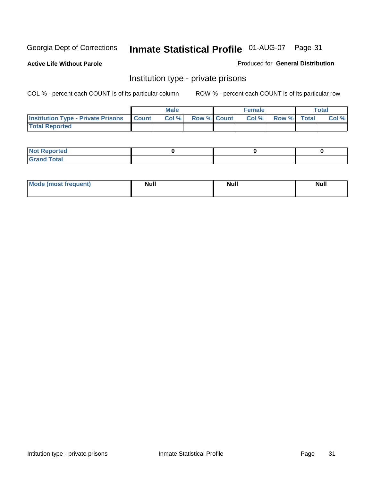**Active Life Without Parole** 

Produced for **General Distribution**

#### Institution type - private prisons

|                                                     | <b>Male</b> |                    | <b>Female</b> |             | <b>Total</b> |
|-----------------------------------------------------|-------------|--------------------|---------------|-------------|--------------|
| <b>Institution Type - Private Prisons   Count  </b> | Col %       | <b>Row % Count</b> | Col%          | Row % Total | Col %        |
| <b>Total Reported</b>                               |             |                    |               |             |              |

| <b>Not Reported</b>             |  |  |
|---------------------------------|--|--|
| Cotal<br>Cror<br>. <del>.</del> |  |  |

| Mode (most frequent) | <b>Null</b> | <b>Null</b> | <b>Null</b> |
|----------------------|-------------|-------------|-------------|
|                      |             |             |             |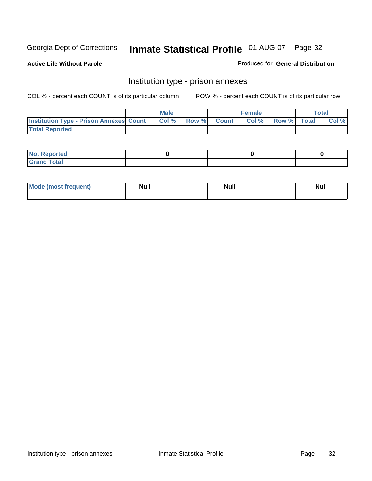**Active Life Without Parole** 

Produced for **General Distribution**

#### Institution type - prison annexes

|                                                | <b>Male</b> |             | <b>Female</b> |             | <b>Total</b> |
|------------------------------------------------|-------------|-------------|---------------|-------------|--------------|
| <b>Institution Type - Prison Annexes Count</b> | Col %       | Row % Count | Col%          | Row % Total | Col %        |
| <b>Total Reported</b>                          |             |             |               |             |              |

| <b>Not Reported</b>            |  |  |
|--------------------------------|--|--|
| <b>Total</b><br>Croi<br>$\sim$ |  |  |

| Mode (most frequent) | <b>Null</b> | <b>Null</b> | <b>Null</b> |
|----------------------|-------------|-------------|-------------|
|                      |             |             |             |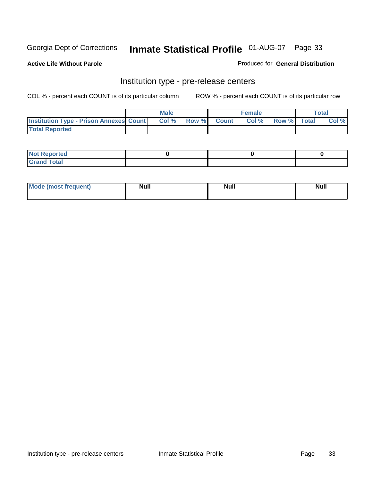**Active Life Without Parole** 

Produced for **General Distribution**

#### Institution type - pre-release centers

|                                                | <b>Male</b> |                    | <b>Female</b> |             | <b>Total</b> |
|------------------------------------------------|-------------|--------------------|---------------|-------------|--------------|
| <b>Institution Type - Prison Annexes Count</b> | Col %       | <b>Row % Count</b> | Col %         | Row % Total | Col %        |
| <b>Total Reported</b>                          |             |                    |               |             |              |

| <b>Not</b><br><b>Reported</b>    |  |  |
|----------------------------------|--|--|
| <b>Total</b><br>Gran<br>$\sim$ . |  |  |

| Mode (most frequent) | <b>Null</b> | <b>Null</b><br>_____ | <b>Null</b> |
|----------------------|-------------|----------------------|-------------|
|                      |             |                      |             |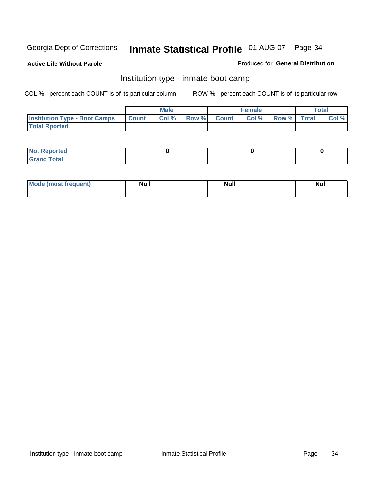**Active Life Without Parole** 

Produced for **General Distribution**

#### Institution type - inmate boot camp

|                                      |              | Male  |             | <b>Female</b> |             | <b>Total</b> |
|--------------------------------------|--------------|-------|-------------|---------------|-------------|--------------|
| <b>Institution Type - Boot Camps</b> | <b>Count</b> | Col % | Row % Count | Col%          | Row % Total | Col %        |
| <b>Total Rported</b>                 |              |       |             |               |             |              |

| <b>Not Reported</b>           |  |  |
|-------------------------------|--|--|
| <b>Total</b><br>Gra<br>$\sim$ |  |  |

| <b>Mode (most frequent)</b> | <b>Null</b> | <b>Null</b> | <b>Null</b> |
|-----------------------------|-------------|-------------|-------------|
|                             |             |             |             |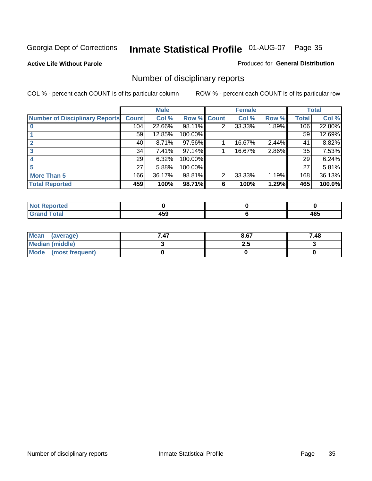#### **Active Life Without Parole**

#### Produced for **General Distribution**

### Number of disciplinary reports

|                                       |              | <b>Male</b> |             |   | <b>Female</b> |       |              | <b>Total</b> |
|---------------------------------------|--------------|-------------|-------------|---|---------------|-------|--------------|--------------|
| <b>Number of Disciplinary Reports</b> | <b>Count</b> | Col %       | Row % Count |   | Col %         | Row % | <b>Total</b> | Col %        |
|                                       | 104          | 22.66%      | 98.11%      | 2 | 33.33%        | 1.89% | 106          | 22.80%       |
|                                       | 59           | 12.85%      | 100.00%     |   |               |       | 59           | 12.69%       |
|                                       | 40           | 8.71%       | 97.56%      |   | 16.67%        | 2.44% | 41           | 8.82%        |
|                                       | 34           | 7.41%       | 97.14%      |   | 16.67%        | 2.86% | 35           | 7.53%        |
|                                       | 29           | 6.32%       | 100.00%     |   |               |       | 29           | 6.24%        |
|                                       | 27           | 5.88%       | 100.00%     |   |               |       | 27           | 5.81%        |
| <b>More Than 5</b>                    | 166          | 36.17%      | 98.81%      | 2 | 33.33%        | 1.19% | 168          | 36.13%       |
| <b>Total Reported</b>                 | 459          | 100%        | 98.71%      | 6 | 100%          | 1.29% | 465          | 100.0%       |

| .<br>N<br>Tet. |                                     |          |
|----------------|-------------------------------------|----------|
| Г∩tal          | .<br>TJJ<br>$\cdot$ $\cdot$ $\cdot$ | .<br>−∪∪ |

| Mean (average)       | 7.47 | 8.67 | 7.48 |
|----------------------|------|------|------|
| Median (middle)      |      | 2.J  |      |
| Mode (most frequent) |      |      |      |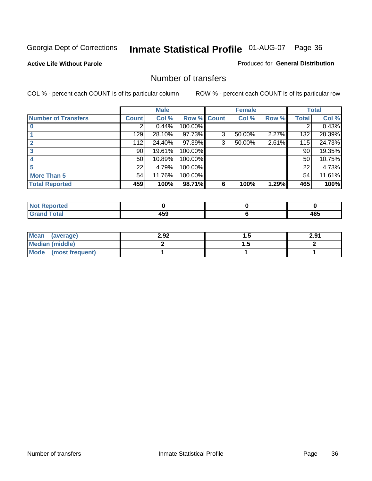#### **Active Life Without Parole**

#### Produced for **General Distribution**

#### Number of transfers

|                            |         | <b>Male</b> |             |   | <b>Female</b> |       |              | <b>Total</b> |
|----------------------------|---------|-------------|-------------|---|---------------|-------|--------------|--------------|
| <b>Number of Transfers</b> | Count l | Col %       | Row % Count |   | Col %         | Row % | <b>Total</b> | Col %        |
|                            | 2       | 0.44%       | 100.00%     |   |               |       | 2            | 0.43%        |
|                            | 129     | 28.10%      | 97.73%      | 3 | 50.00%        | 2.27% | 132          | 28.39%       |
|                            | 112     | 24.40%      | 97.39%      | 3 | 50.00%        | 2.61% | 115          | 24.73%       |
| 3                          | 90      | 19.61%      | 100.00%     |   |               |       | 90           | 19.35%       |
|                            | 50      | 10.89%      | 100.00%     |   |               |       | 50           | 10.75%       |
| 5                          | 22      | 4.79%       | 100.00%     |   |               |       | 22           | 4.73%        |
| <b>More Than 5</b>         | 54      | 11.76%      | 100.00%     |   |               |       | 54           | 11.61%       |
| <b>Total Reported</b>      | 459     | 100%        | 98.71%      | 6 | 100%          | 1.29% | 465          | 100%         |

| N<br>TER.                                |                    |          |
|------------------------------------------|--------------------|----------|
| $T$ ntori<br>$\sim$ $\sim$ $\sim$ $\sim$ | $- - -$<br>.<br>__ | .<br>40J |

| Mean (average)       | 2.92 |   | 2.91 |
|----------------------|------|---|------|
| Median (middle)      |      | . |      |
| Mode (most frequent) |      |   |      |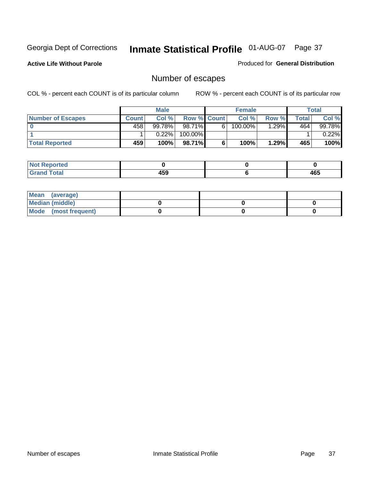**Active Life Without Parole** 

Produced for **General Distribution**

# Number of escapes

|                       |         | <b>Male</b> |                    |    | <b>Female</b> |        |       | <b>Total</b> |
|-----------------------|---------|-------------|--------------------|----|---------------|--------|-------|--------------|
| Number of Escapes     | Count l | Col %       | <b>Row % Count</b> |    | Col %         | Row %  | Total | Col %        |
|                       | 458'    | 99.78%      | $98.71\%$          | 6' | $100.00\%$    | .29%   | 464   | 99.78%       |
|                       |         | 0.22%       | 100.00%            |    |               |        |       | 0.22%        |
| <b>Total Reported</b> | 459     | 100%        | 98.71%             |    | 100%          | ا%1.29 | 465   | 100%         |

| n eo                            |              |     |
|---------------------------------|--------------|-----|
| <b>otal</b><br>$\mathbf{v}$ and | 1 E C<br>10a | 465 |

| Mean (average)       |  |  |
|----------------------|--|--|
| Median (middle)      |  |  |
| Mode (most frequent) |  |  |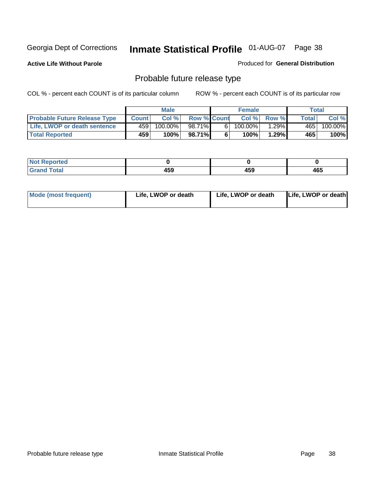**Active Life Without Parole** 

Produced for **General Distribution**

# Probable future release type

|                                     |              | <b>Male</b> |                    |   | <b>Female</b> |          |       | Total   |
|-------------------------------------|--------------|-------------|--------------------|---|---------------|----------|-------|---------|
| <b>Probable Future Release Type</b> | <b>Count</b> | Col%        | <b>Row % Count</b> |   | Col%          | Row %    | Total | Col %   |
| Life, LWOP or death sentence        | 459          | $100.00\%$  | 98.71%             | 6 | 100.00%       | $1.29\%$ | 465   | 100.00% |
| <b>Total Reported</b>               | 459          | 100%        | 98.71%             | 6 | 100%          | $1.29\%$ | 465   | 100%    |

| <b>Reported</b><br>NOI |     |     |     |
|------------------------|-----|-----|-----|
| <b>Total</b>           | 459 | 459 | 465 |

| <b>Mode (most frequent)</b> | Life, LWOP or death | Life, LWOP or death | Life, LWOP or death |
|-----------------------------|---------------------|---------------------|---------------------|
|-----------------------------|---------------------|---------------------|---------------------|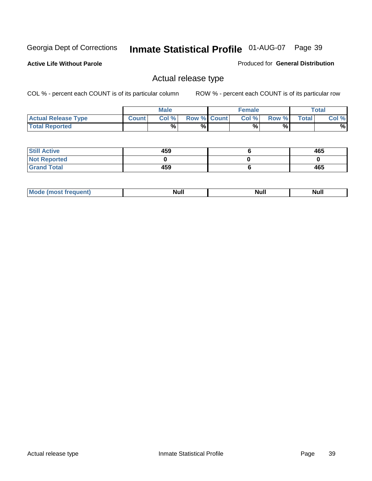**Active Life Without Parole** 

Produced for **General Distribution**

### Actual release type

|                            |              | <b>Male</b> |                    | <b>Female</b> |       |              | Total |
|----------------------------|--------------|-------------|--------------------|---------------|-------|--------------|-------|
| <b>Actual Release Type</b> | <b>Count</b> | Col %       | <b>Row % Count</b> | Col %         | Row % | <b>Total</b> | Col % |
| <b>Total Reported</b>      |              | $\%$        | %                  | %             | %     |              | %     |

| <b>Still Active</b> | 459 | 465 |
|---------------------|-----|-----|
| <b>Not Reported</b> |     |     |
| <b>Grand Total</b>  | 459 | 465 |

| M<br>____<br>_____ | NI | Null | $\cdots$ |
|--------------------|----|------|----------|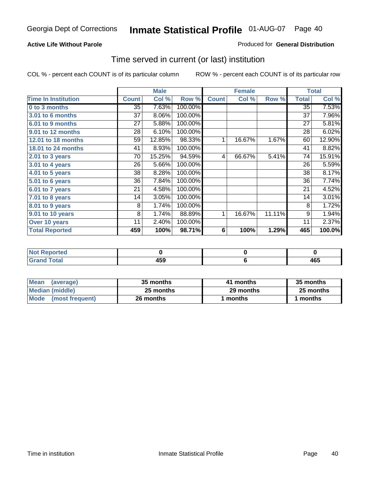#### **Active Life Without Parole**

#### Produced for **General Distribution**

### Time served in current (or last) institution

|                            |              | <b>Male</b> |         |              | <b>Female</b> |        |                 | <b>Total</b> |
|----------------------------|--------------|-------------|---------|--------------|---------------|--------|-----------------|--------------|
| <b>Time In Institution</b> | <b>Count</b> | Col %       | Row %   | <b>Count</b> | Col %         | Row %  | <b>Total</b>    | Col %        |
| 0 to 3 months              | 35           | 7.63%       | 100.00% |              |               |        | $\overline{35}$ | 7.53%        |
| 3.01 to 6 months           | 37           | 8.06%       | 100.00% |              |               |        | 37              | 7.96%        |
| 6.01 to 9 months           | 27           | 5.88%       | 100.00% |              |               |        | 27              | 5.81%        |
| 9.01 to 12 months          | 28           | 6.10%       | 100.00% |              |               |        | 28              | 6.02%        |
| 12.01 to 18 months         | 59           | 12.85%      | 98.33%  | 1            | 16.67%        | 1.67%  | 60              | 12.90%       |
| 18.01 to 24 months         | 41           | 8.93%       | 100.00% |              |               |        | 41              | 8.82%        |
| 2.01 to 3 years            | 70           | 15.25%      | 94.59%  | 4            | 66.67%        | 5.41%  | 74              | 15.91%       |
| 3.01 to 4 years            | 26           | 5.66%       | 100.00% |              |               |        | 26              | 5.59%        |
| 4.01 to 5 years            | 38           | 8.28%       | 100.00% |              |               |        | 38              | 8.17%        |
| 5.01 to 6 years            | 36           | 7.84%       | 100.00% |              |               |        | 36              | 7.74%        |
| 6.01 to 7 years            | 21           | 4.58%       | 100.00% |              |               |        | 21              | 4.52%        |
| $7.01$ to 8 years          | 14           | 3.05%       | 100.00% |              |               |        | 14              | 3.01%        |
| 8.01 to 9 years            | 8            | 1.74%       | 100.00% |              |               |        | 8               | 1.72%        |
| 9.01 to 10 years           | 8            | 1.74%       | 88.89%  | 1            | 16.67%        | 11.11% | 9               | 1.94%        |
| Over 10 years              | 11           | 2.40%       | 100.00% |              |               |        | 11              | 2.37%        |
| <b>Total Reported</b>      | 459          | 100%        | 98.71%  | 6            | 100%          | 1.29%  | 465             | 100.0%       |

| <b>Reported</b><br><b>NOT</b> |            |     |
|-------------------------------|------------|-----|
| <b>Total</b>                  | 150<br>433 | 465 |

| <b>Mean</b><br>(average) | 35 months | 41 months | 35 months |  |
|--------------------------|-----------|-----------|-----------|--|
| Median (middle)          | 25 months | 29 months | 25 months |  |
| Mode<br>(most frequent)  | 26 months | ∣ months  | months    |  |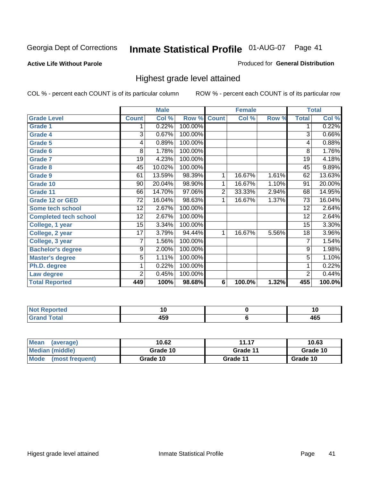#### **Active Life Without Parole**

#### Produced for **General Distribution**

### Highest grade level attained

|                              |                 | <b>Male</b> |         |                | <b>Female</b> |       |                 | <b>Total</b> |
|------------------------------|-----------------|-------------|---------|----------------|---------------|-------|-----------------|--------------|
| <b>Grade Level</b>           | <b>Count</b>    | Col %       | Row %   | <b>Count</b>   | Col %         | Row % | <b>Total</b>    | Col %        |
| <b>Grade 1</b>               | 1               | 0.22%       | 100.00% |                |               |       | 1               | 0.22%        |
| <b>Grade 4</b>               | 3               | 0.67%       | 100.00% |                |               |       | $\overline{3}$  | 0.66%        |
| Grade 5                      | 4               | 0.89%       | 100.00% |                |               |       | 4               | 0.88%        |
| Grade 6                      | 8               | 1.78%       | 100.00% |                |               |       | 8               | 1.76%        |
| <b>Grade 7</b>               | 19              | 4.23%       | 100.00% |                |               |       | $\overline{19}$ | 4.18%        |
| Grade 8                      | 45              | 10.02%      | 100.00% |                |               |       | 45              | 9.89%        |
| <b>Grade 9</b>               | 61              | 13.59%      | 98.39%  | 1              | 16.67%        | 1.61% | 62              | 13.63%       |
| Grade 10                     | $\overline{90}$ | 20.04%      | 98.90%  | 1              | 16.67%        | 1.10% | $\overline{91}$ | 20.00%       |
| Grade 11                     | 66              | 14.70%      | 97.06%  | $\overline{2}$ | 33.33%        | 2.94% | 68              | 14.95%       |
| <b>Grade 12 or GED</b>       | 72              | 16.04%      | 98.63%  | 1              | 16.67%        | 1.37% | 73              | 16.04%       |
| <b>Some tech school</b>      | 12              | 2.67%       | 100.00% |                |               |       | 12              | 2.64%        |
| <b>Completed tech school</b> | 12              | 2.67%       | 100.00% |                |               |       | 12              | 2.64%        |
| College, 1 year              | 15              | 3.34%       | 100.00% |                |               |       | 15              | 3.30%        |
| College, 2 year              | 17              | 3.79%       | 94.44%  | 1              | 16.67%        | 5.56% | 18              | 3.96%        |
| College, 3 year              | 7               | 1.56%       | 100.00% |                |               |       | 7               | 1.54%        |
| <b>Bachelor's degree</b>     | 9               | 2.00%       | 100.00% |                |               |       | 9               | 1.98%        |
| <b>Master's degree</b>       | 5               | 1.11%       | 100.00% |                |               |       | $\overline{5}$  | 1.10%        |
| Ph.D. degree                 | 1               | 0.22%       | 100.00% |                |               |       | 1               | 0.22%        |
| Law degree                   | $\overline{2}$  | 0.45%       | 100.00% |                |               |       | $\overline{2}$  | 0.44%        |
| <b>Total Reported</b>        | 449             | 100%        | 98.68%  | 6              | 100.0%        | 1.32% | 455             | 100.0%       |

| المناسب<br>rtea<br>N0<br>. | . w         | יי  |
|----------------------------|-------------|-----|
| $T = 4 - T$                | . רמ<br>᠇ᢦᢦ | 465 |

| <b>Mean</b><br>(average)       | 10.62    | 11.17    | 10.63    |
|--------------------------------|----------|----------|----------|
| Median (middle)                | Grade 10 | Grade 11 | Grade 10 |
| <b>Mode</b><br>(most frequent) | Grade 10 | Grade 11 | Grade 10 |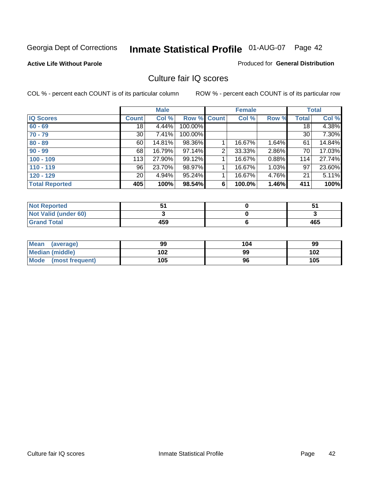### **Active Life Without Parole**

#### Produced for **General Distribution**

### Culture fair IQ scores

|                       |                 | <b>Male</b> |         |              | <b>Female</b> |       |              | <b>Total</b> |
|-----------------------|-----------------|-------------|---------|--------------|---------------|-------|--------------|--------------|
| <b>IQ Scores</b>      | <b>Count</b>    | Col %       | Row %   | <b>Count</b> | Col %         | Row % | <b>Total</b> | Col %        |
| $60 - 69$             | 18              | 4.44%       | 100.00% |              |               |       | 18           | 4.38%        |
| $70 - 79$             | 30 <sup>1</sup> | 7.41%       | 100.00% |              |               |       | 30           | 7.30%        |
| $80 - 89$             | 60              | 14.81%      | 98.36%  |              | 16.67%        | 1.64% | 61           | 14.84%       |
| $90 - 99$             | 68              | 16.79%      | 97.14%  | 2            | 33.33%        | 2.86% | 70           | 17.03%       |
| $100 - 109$           | 113             | 27.90%      | 99.12%  |              | 16.67%        | 0.88% | 114          | 27.74%       |
| $110 - 119$           | 96              | 23.70%      | 98.97%  |              | 16.67%        | 1.03% | 97           | 23.60%       |
| $120 - 129$           | 20 <sub>1</sub> | 4.94%       | 95.24%  |              | 16.67%        | 4.76% | 21           | 5.11%        |
| <b>Total Reported</b> | 405             | 100%        | 98.54%  | 6            | 100.0%        | 1.46% | 411          | 100%         |

| <b>Not Reported</b>         |     | ◡   |
|-----------------------------|-----|-----|
| <b>Not Valid (under 60)</b> |     |     |
| <b>Grand Total</b>          | 459 | 465 |

| <b>Mean</b><br>(average) | 99  | 104 | 99  |
|--------------------------|-----|-----|-----|
| Median (middle)          | 102 | 99  | 102 |
| Mode (most frequent)     | 105 | 96  | 105 |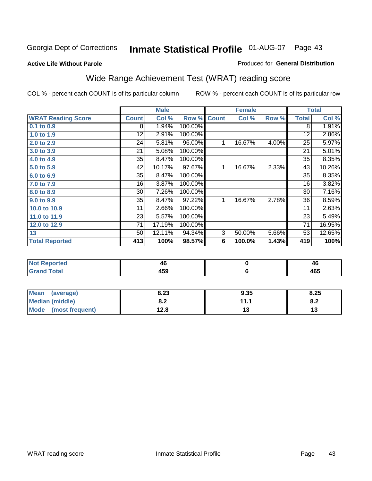#### **Active Life Without Parole**

### Produced for **General Distribution**

### Wide Range Achievement Test (WRAT) reading score

|                           | <b>Male</b><br><b>Female</b> |        |         | <b>Total</b> |           |       |              |        |  |
|---------------------------|------------------------------|--------|---------|--------------|-----------|-------|--------------|--------|--|
| <b>WRAT Reading Score</b> | <b>Count</b>                 | Col %  | Row %   | <b>Count</b> | Col %     | Row % | <b>Total</b> | Col %  |  |
| $0.1$ to $0.9$            | 8                            | 1.94%  | 100.00% |              |           |       | 8            | 1.91%  |  |
| 1.0 to 1.9                | 12                           | 2.91%  | 100.00% |              |           |       | 12           | 2.86%  |  |
| 2.0 to 2.9                | 24                           | 5.81%  | 96.00%  | 1            | 16.67%    | 4.00% | 25           | 5.97%  |  |
| 3.0 to 3.9                | 21                           | 5.08%  | 100.00% |              |           |       | 21           | 5.01%  |  |
| 4.0 to 4.9                | 35                           | 8.47%  | 100.00% |              |           |       | 35           | 8.35%  |  |
| 5.0 to 5.9                | 42                           | 10.17% | 97.67%  | 1            | 16.67%    | 2.33% | 43           | 10.26% |  |
| 6.0 to 6.9                | 35                           | 8.47%  | 100.00% |              |           |       | 35           | 8.35%  |  |
| 7.0 to 7.9                | 16                           | 3.87%  | 100.00% |              |           |       | 16           | 3.82%  |  |
| 8.0 to 8.9                | 30                           | 7.26%  | 100.00% |              |           |       | 30           | 7.16%  |  |
| 9.0 to 9.9                | 35                           | 8.47%  | 97.22%  | 1            | 16.67%    | 2.78% | 36           | 8.59%  |  |
| 10.0 to 10.9              | 11                           | 2.66%  | 100.00% |              |           |       | 11           | 2.63%  |  |
| 11.0 to 11.9              | 23                           | 5.57%  | 100.00% |              |           |       | 23           | 5.49%  |  |
| 12.0 to 12.9              | 71                           | 17.19% | 100.00% |              |           |       | 71           | 16.95% |  |
| 13                        | 50                           | 12.11% | 94.34%  | 3            | 50.00%    | 5.66% | 53           | 12.65% |  |
| <b>Total Reported</b>     | 413                          | 100%   | 98.57%  | 6            | 100.0%    | 1.43% | 419          | 100%   |  |
|                           |                              |        |         |              |           |       |              |        |  |
| <b>Not Reported</b>       |                              | 46     |         |              | $\pmb{0}$ |       |              | 46     |  |
| <b>Grand Total</b>        |                              | 459    |         |              | 6         |       |              | 465    |  |

| <b>Mean</b><br>(average) | 8.23       | 9.35    | 8.25 |
|--------------------------|------------|---------|------|
| <b>Median (middle)</b>   | י ה<br>0.Z | 144     | O.A  |
| Mode<br>(most frequent)  | 12.8       | $\cdot$ | IJ   |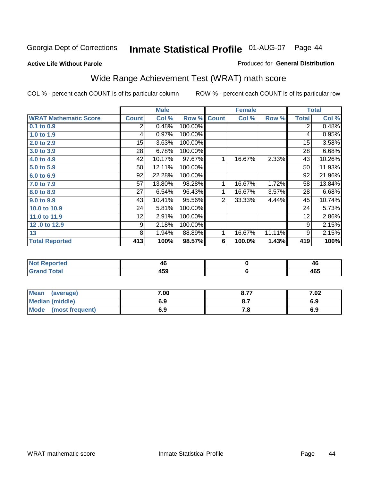#### **Active Life Without Parole**

#### Produced for **General Distribution**

# Wide Range Achievement Test (WRAT) math score

|                              |              | <b>Male</b> |         | <b>Female</b>  |        |        | <b>Total</b> |        |
|------------------------------|--------------|-------------|---------|----------------|--------|--------|--------------|--------|
| <b>WRAT Mathematic Score</b> | <b>Count</b> | Col %       | Row %   | <b>Count</b>   | Col %  | Row %  | <b>Total</b> | Col %  |
| $0.1$ to $0.9$               | 2            | 0.48%       | 100.00% |                |        |        | 2            | 0.48%  |
| 1.0 to 1.9                   | 4            | 0.97%       | 100.00% |                |        |        | 4            | 0.95%  |
| 2.0 to 2.9                   | 15           | 3.63%       | 100.00% |                |        |        | 15           | 3.58%  |
| 3.0 to 3.9                   | 28           | 6.78%       | 100.00% |                |        |        | 28           | 6.68%  |
| 4.0 to 4.9                   | 42           | 10.17%      | 97.67%  | 1              | 16.67% | 2.33%  | 43           | 10.26% |
| 5.0 to 5.9                   | 50           | 12.11%      | 100.00% |                |        |        | 50           | 11.93% |
| 6.0 to 6.9                   | 92           | 22.28%      | 100.00% |                |        |        | 92           | 21.96% |
| 7.0 to 7.9                   | 57           | 13.80%      | 98.28%  | 1              | 16.67% | 1.72%  | 58           | 13.84% |
| 8.0 to 8.9                   | 27           | 6.54%       | 96.43%  | 1              | 16.67% | 3.57%  | 28           | 6.68%  |
| 9.0 to 9.9                   | 43           | 10.41%      | 95.56%  | 2 <sub>1</sub> | 33.33% | 4.44%  | 45           | 10.74% |
| 10.0 to 10.9                 | 24           | 5.81%       | 100.00% |                |        |        | 24           | 5.73%  |
| 11.0 to 11.9                 | 12           | 2.91%       | 100.00% |                |        |        | 12           | 2.86%  |
| 12.0 to 12.9                 | 9            | 2.18%       | 100.00% |                |        |        | 9            | 2.15%  |
| 13                           | 8            | 1.94%       | 88.89%  | 1              | 16.67% | 11.11% | 9            | 2.15%  |
| <b>Total Reported</b>        | 413          | 100%        | 98.57%  | 6              | 100.0% | 1.43%  | 419          | 100%   |

| <b>Not Reported</b> | 40  | 4c  |
|---------------------|-----|-----|
| <b>Grand Total</b>  | 459 | 465 |

| Mean<br>(average)    | 7.00 | 8.77 | 7.02 |
|----------------------|------|------|------|
| Median (middle)      | 6.9  |      | 6.9  |
| Mode (most frequent) | 6.9  | .o   | 6.9  |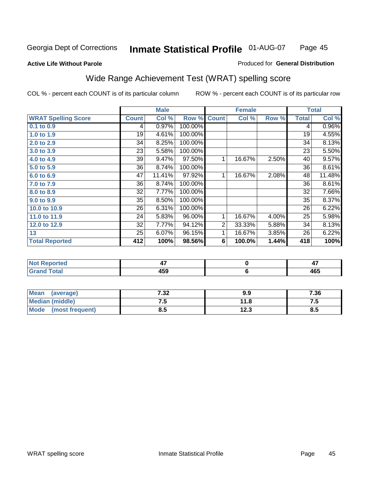#### **Active Life Without Parole**

### Produced for **General Distribution**

# Wide Range Achievement Test (WRAT) spelling score

| <b>WRAT Spelling Score</b><br>$0.1$ to $0.9$<br>1.0 to 1.9<br>2.0 to 2.9<br>3.0 to 3.9<br>4.0 to 4.9 | <b>Count</b><br>4<br>19<br>34<br>23 | Col %<br>0.97%<br>4.61%<br>8.25% | Row %<br>100.00%<br>100.00%<br>100.00% | <b>Count</b>   | Col %     | Row % | <b>Total</b><br>4<br>19 | Col %    |
|------------------------------------------------------------------------------------------------------|-------------------------------------|----------------------------------|----------------------------------------|----------------|-----------|-------|-------------------------|----------|
|                                                                                                      |                                     |                                  |                                        |                |           |       |                         | $0.96\%$ |
|                                                                                                      |                                     |                                  |                                        |                |           |       |                         |          |
|                                                                                                      |                                     |                                  |                                        |                |           |       |                         | 4.55%    |
|                                                                                                      |                                     |                                  |                                        |                |           |       | 34                      | 8.13%    |
|                                                                                                      |                                     | 5.58%                            | 100.00%                                |                |           |       | 23                      | 5.50%    |
|                                                                                                      | 39                                  | 9.47%                            | 97.50%                                 | 1              | 16.67%    | 2.50% | 40                      | 9.57%    |
| 5.0 to 5.9                                                                                           | 36                                  | 8.74%                            | 100.00%                                |                |           |       | 36                      | 8.61%    |
| 6.0 to 6.9                                                                                           | 47                                  | 11.41%                           | 97.92%                                 | 1              | 16.67%    | 2.08% | 48                      | 11.48%   |
| 7.0 to 7.9                                                                                           | 36                                  | 8.74%                            | 100.00%                                |                |           |       | 36                      | 8.61%    |
| 8.0 to 8.9                                                                                           | 32                                  | 7.77%                            | 100.00%                                |                |           |       | 32                      | 7.66%    |
| 9.0 to 9.9                                                                                           | 35                                  | 8.50%                            | 100.00%                                |                |           |       | 35                      | 8.37%    |
| 10.0 to 10.9                                                                                         | 26                                  | 6.31%                            | 100.00%                                |                |           |       | 26                      | 6.22%    |
| 11.0 to 11.9                                                                                         | 24                                  | 5.83%                            | 96.00%                                 | 1              | 16.67%    | 4.00% | 25                      | 5.98%    |
| 12.0 to 12.9                                                                                         | 32                                  | 7.77%                            | 94.12%                                 | $\overline{2}$ | 33.33%    | 5.88% | 34                      | 8.13%    |
| 13                                                                                                   | $\overline{25}$                     | 6.07%                            | 96.15%                                 | 1              | 16.67%    | 3.85% | $\overline{26}$         | 6.22%    |
| <b>Total Reported</b>                                                                                | 412                                 | 100%                             | 98.56%                                 | 6              | 100.0%    | 1.44% | 418                     | 100%     |
|                                                                                                      |                                     |                                  |                                        |                |           |       |                         |          |
| <b>Not Reported</b>                                                                                  |                                     | 47                               |                                        |                | $\pmb{0}$ |       |                         | 47       |
| <b>Grand Total</b>                                                                                   |                                     | 459                              |                                        |                | $\bf 6$   |       |                         | 465      |

| <b>Mean</b><br>(average) | 7.32 | 9.9  | 7.36 |
|--------------------------|------|------|------|
| <b>Median (middle)</b>   |      | 11.8 | ن. ا |
| Mode<br>(most frequent)  | 8.5  | 12.3 | 8.5  |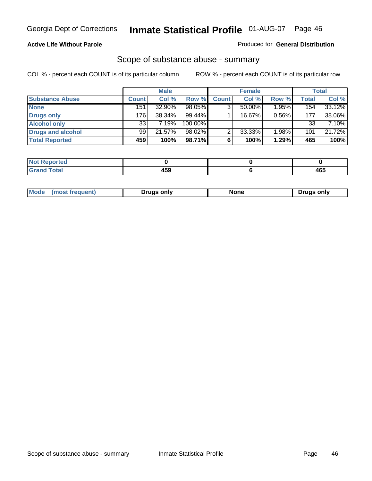### **Active Life Without Parole**

#### Produced for **General Distribution**

### Scope of substance abuse - summary

|                        |              | <b>Male</b> |            |              | <b>Female</b> |          |                  | <b>Total</b> |
|------------------------|--------------|-------------|------------|--------------|---------------|----------|------------------|--------------|
| <b>Substance Abuse</b> | <b>Count</b> | Col %       | Row %      | <b>Count</b> | Col %         | Row %    | <b>Total</b>     | Col %        |
| <b>None</b>            | 151          | 32.90%      | 98.05%     | ◠            | $50.00\%$     | $1.95\%$ | 154 <sub>1</sub> | $33.12\%$    |
| Drugs only             | 176          | $38.34\%$   | $99.44\%$  |              | 16.67%        | 0.56%    | 177              | 38.06%       |
| <b>Alcohol only</b>    | 33           | 7.19%       | $100.00\%$ |              |               |          | 33               | 7.10%        |
| Drugs and alcohol      | 99           | 21.57%      | $98.02\%$  | ◠            | 33.33%        | 1.98%    | 101              | 21.72%       |
| <b>Total Reported</b>  | 459          | 100%        | 98.71%     | 6            | 100%          | 1.29%    | 465              | 100%         |

| المتمتلين<br>Reportea  |     |                       |
|------------------------|-----|-----------------------|
| <b>Total</b><br>$\sim$ | --- | $\overline{ }$<br>70c |

|  | Mode<br>ונוצוווי | Druas onlv | None | only<br>Pruas . |
|--|------------------|------------|------|-----------------|
|--|------------------|------------|------|-----------------|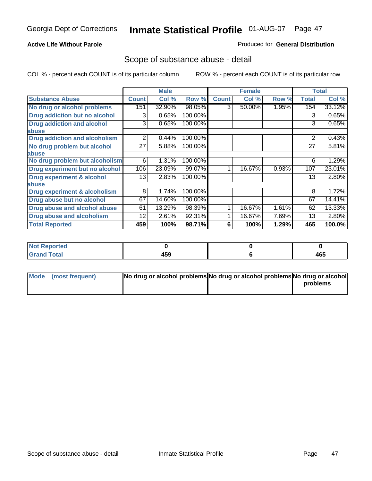### **Active Life Without Parole**

### Produced for **General Distribution**

### Scope of substance abuse - detail

|                                         |              | <b>Male</b> |         |              | <b>Female</b> |       |              | <b>Total</b> |
|-----------------------------------------|--------------|-------------|---------|--------------|---------------|-------|--------------|--------------|
| <b>Substance Abuse</b>                  | <b>Count</b> | Col %       | Row %   | <b>Count</b> | Col %         | Row % | <b>Total</b> | Col %        |
| No drug or alcohol problems             | 151          | 32.90%      | 98.05%  | 3            | 50.00%        | 1.95% | 154          | 33.12%       |
| Drug addiction but no alcohol           | 3            | 0.65%       | 100.00% |              |               |       | 3            | 0.65%        |
| <b>Drug addiction and alcohol</b>       | 3            | 0.65%       | 100.00% |              |               |       | 3            | 0.65%        |
| abuse                                   |              |             |         |              |               |       |              |              |
| <b>Drug addiction and alcoholism</b>    | 2            | 0.44%       | 100.00% |              |               |       | 2            | 0.43%        |
| No drug problem but alcohol             | 27           | 5.88%       | 100.00% |              |               |       | 27           | 5.81%        |
| abuse                                   |              |             |         |              |               |       |              |              |
| No drug problem but alcoholism          | 6            | 1.31%       | 100.00% |              |               |       | 6            | 1.29%        |
| Drug experiment but no alcohol          | 106          | 23.09%      | 99.07%  |              | 16.67%        | 0.93% | 107          | 23.01%       |
| <b>Drug experiment &amp; alcohol</b>    | 13           | 2.83%       | 100.00% |              |               |       | 13           | 2.80%        |
| abuse                                   |              |             |         |              |               |       |              |              |
| <b>Drug experiment &amp; alcoholism</b> | 8            | 1.74%       | 100.00% |              |               |       | 8            | 1.72%        |
| Drug abuse but no alcohol               | 67           | 14.60%      | 100.00% |              |               |       | 67           | 14.41%       |
| Drug abuse and alcohol abuse            | 61           | 13.29%      | 98.39%  |              | 16.67%        | 1.61% | 62           | 13.33%       |
| <b>Drug abuse and alcoholism</b>        | 12           | 2.61%       | 92.31%  |              | 16.67%        | 7.69% | 13           | 2.80%        |
| <b>Total Reported</b>                   | 459          | 100%        | 98.71%  | 6            | 100%          | 1.29% | 465          | 100.0%       |

| <b>Not Reported</b> |     |     |
|---------------------|-----|-----|
| <b>Total</b>        | 459 | 465 |

| Mode (most frequent) | No drug or alcohol problems No drug or alcohol problems No drug or alcohol |          |
|----------------------|----------------------------------------------------------------------------|----------|
|                      |                                                                            | problems |
|                      |                                                                            |          |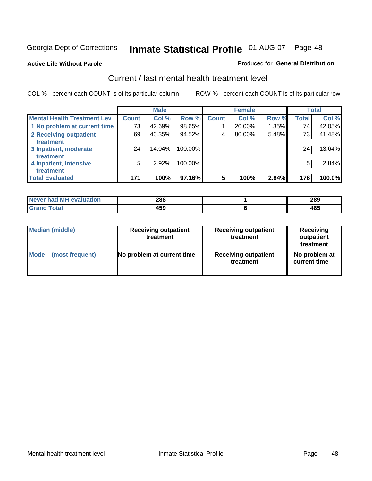#### **Active Life Without Parole**

#### Produced for **General Distribution**

### Current / last mental health treatment level

|                                    |              | <b>Male</b> |         |              | <b>Female</b> |          |              | <b>Total</b> |
|------------------------------------|--------------|-------------|---------|--------------|---------------|----------|--------------|--------------|
| <b>Mental Health Treatment Lev</b> | <b>Count</b> | Col %       | Row %   | <b>Count</b> | Col %         | Row %    | <b>Total</b> | Col %        |
| 1 No problem at current time       | 73           | 42.69%      | 98.65%  |              | 20.00%        | $1.35\%$ | 74           | 42.05%       |
| 2 Receiving outpatient             | 69           | 40.35%      | 94.52%  | 4            | 80.00%        | 5.48%    | 73           | 41.48%       |
| treatment                          |              |             |         |              |               |          |              |              |
| 3 Inpatient, moderate              | 24           | 14.04%      | 100.00% |              |               |          | 24           | 13.64%       |
| treatment                          |              |             |         |              |               |          |              |              |
| 4 Inpatient, intensive             | 5            | $2.92\%$    | 100.00% |              |               |          | 5            | 2.84%        |
| treatment                          |              |             |         |              |               |          |              |              |
| <b>Total Evaluated</b>             | 171          | 100%        | 97.16%  | 5            | 100%          | 2.84%    | 176          | 100.0%       |

| Never had MH evaluation | 288 | 289 |
|-------------------------|-----|-----|
| Total                   | 459 | 465 |

| <b>Median (middle)</b> | <b>Receiving outpatient</b><br>treatment |                             | <b>Receiving</b><br>outpatient<br>treatment |  |
|------------------------|------------------------------------------|-----------------------------|---------------------------------------------|--|
| <b>Mode</b>            | No problem at current time               | <b>Receiving outpatient</b> | No problem at                               |  |
| (most frequent)        |                                          | treatment                   | current time                                |  |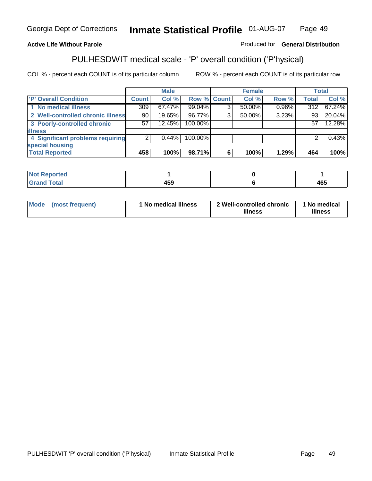### **Active Life Without Parole**

#### Produced for **General Distribution**

### PULHESDWIT medical scale - 'P' overall condition ('P'hysical)

|                                   |                 | <b>Male</b> |                    |   | <b>Female</b> |          |              | <b>Total</b> |
|-----------------------------------|-----------------|-------------|--------------------|---|---------------|----------|--------------|--------------|
| 'P' Overall Condition             | <b>Count</b>    | Col %       | <b>Row % Count</b> |   | Col %         | Row %    | <b>Total</b> | Col %        |
| 1 No medical illness              | 309             | $67.47\%$   | 99.04%             | ົ | $50.00\%$     | $0.96\%$ | 312          | 67.24%       |
| 2 Well-controlled chronic illness | 90 <sub>1</sub> | 19.65%      | 96.77%             | 3 | $50.00\%$     | 3.23%    | 93           | 20.04%       |
| 3 Poorly-controlled chronic       | 57              | 12.45%      | 100.00%            |   |               |          | 57           | 12.28%       |
| <b>illness</b>                    |                 |             |                    |   |               |          |              |              |
| 4 Significant problems requiring  | 2               | $0.44\%$    | 100.00%            |   |               |          | 2            | 0.43%        |
| special housing                   |                 |             |                    |   |               |          |              |              |
| <b>Total Reported</b>             | 458             | 100%        | 98.71%             | 6 | 100%          | 1.29%    | 464          | 100%         |

| <b>Not Reported</b> |              |     |
|---------------------|--------------|-----|
| <b>Grand Total</b>  | 1 F A<br>40Y | 465 |

| <b>Mode</b> | (most frequent) | <sup>1</sup> No medical illness | 2 Well-controlled chronic<br>illness | 1 No medical<br>illness |
|-------------|-----------------|---------------------------------|--------------------------------------|-------------------------|
|-------------|-----------------|---------------------------------|--------------------------------------|-------------------------|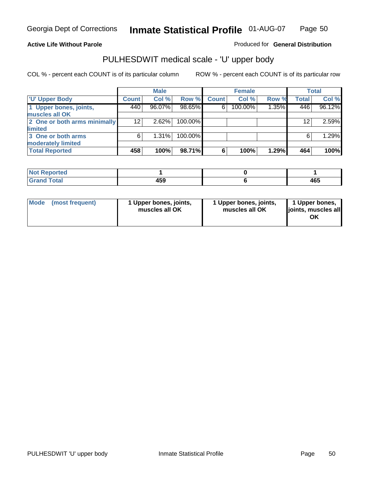### **Active Life Without Parole**

Produced for **General Distribution**

### PULHESDWIT medical scale - 'U' upper body

|                              |              | <b>Male</b> |         |              | <b>Female</b> |       |              | <b>Total</b> |
|------------------------------|--------------|-------------|---------|--------------|---------------|-------|--------------|--------------|
| <b>U' Upper Body</b>         | <b>Count</b> | Col %       | Row %   | <b>Count</b> | Col %         | Row % | <b>Total</b> | Col %        |
| 1 Upper bones, joints,       | 440          | 96.07%      | 98.65%  | 6            | 100.00%       | 1.35% | 446          | 96.12%       |
| muscles all OK               |              |             |         |              |               |       |              |              |
| 2 One or both arms minimally | 12           | 2.62%       | 100.00% |              |               |       | 12           | 2.59%        |
| limited                      |              |             |         |              |               |       |              |              |
| 3 One or both arms           | 6            | $1.31\%$    | 100.00% |              |               |       | 6            | 1.29%        |
| moderately limited           |              |             |         |              |               |       |              |              |
| <b>Total Reported</b>        | 458          | 100%        | 98.71%  | 6            | 100%          | 1.29% | 464          | 100%         |

| <b>Reported</b><br><b>NOT</b> |             |     |
|-------------------------------|-------------|-----|
| <b>Cotal</b><br>_____         | 459<br>$ -$ | 465 |

| Mode | (most frequent) | 1 Upper bones, joints,<br>muscles all OK | 1 Upper bones, joints,<br>muscles all OK | 1 Upper bones,<br>joints, muscles all |
|------|-----------------|------------------------------------------|------------------------------------------|---------------------------------------|
|------|-----------------|------------------------------------------|------------------------------------------|---------------------------------------|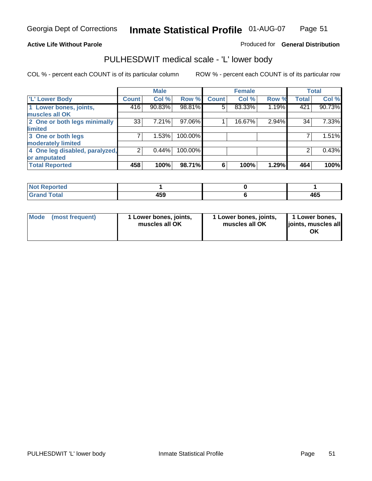#### **Active Life Without Parole**

#### Produced for **General Distribution**

### PULHESDWIT medical scale - 'L' lower body

|                                |                | <b>Male</b> |         |              | <b>Female</b> |       |              | <b>Total</b> |
|--------------------------------|----------------|-------------|---------|--------------|---------------|-------|--------------|--------------|
| 'L' Lower Body                 | <b>Count</b>   | Col %       | Row %   | <b>Count</b> | Col %         | Row % | <b>Total</b> | Col %        |
| 1 Lower bones, joints,         | 416            | 90.83%      | 98.81%  | 5            | 83.33%        | 1.19% | 421          | 90.73%       |
| muscles all OK                 |                |             |         |              |               |       |              |              |
| 2 One or both legs minimally   | 33             | 7.21%       | 97.06%  |              | 16.67%        | 2.94% | 34           | 7.33%        |
| limited                        |                |             |         |              |               |       |              |              |
| 3 One or both legs             | 7              | 1.53%       | 100.00% |              |               |       |              | 1.51%        |
| moderately limited             |                |             |         |              |               |       |              |              |
| 4 One leg disabled, paralyzed, | $\overline{2}$ | 0.44%       | 100.00% |              |               |       | 2            | 0.43%        |
| or amputated                   |                |             |         |              |               |       |              |              |
| <b>Total Reported</b>          | 458            | 100%        | 98.71%  | 6            | 100%          | 1.29% | 464          | 100%         |

| and an a<br>τeα<br>'N 6<br>. |     |     |
|------------------------------|-----|-----|
| $T0+0$<br>υιαι               | 459 | 465 |

|  | Mode (most frequent) | 1 Lower bones, joints,<br>muscles all OK | 1 Lower bones, joints,<br>muscles all OK | 1 Lower bones,<br>joints, muscles all<br>OK |
|--|----------------------|------------------------------------------|------------------------------------------|---------------------------------------------|
|--|----------------------|------------------------------------------|------------------------------------------|---------------------------------------------|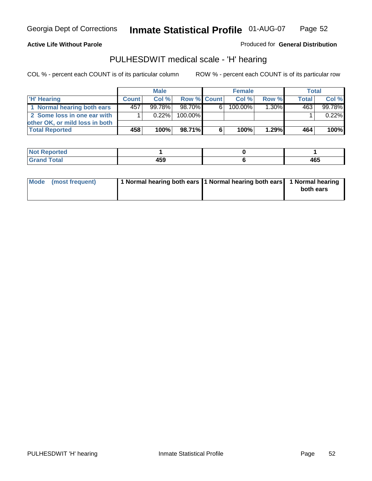#### **Active Life Without Parole**

Produced for **General Distribution**

### PULHESDWIT medical scale - 'H' hearing

|                                |              | <b>Male</b> |             |    | <b>Female</b> |          | Total        |         |
|--------------------------------|--------------|-------------|-------------|----|---------------|----------|--------------|---------|
| 'H' Hearing                    | <b>Count</b> | Col%        | Row % Count |    | Col%          | Row %    | <b>Total</b> | Col %   |
| 1 Normal hearing both ears     | 457'         | $99.78\%$   | 98.70%      | 61 | 100.00%       | $1.30\%$ | 463          | 99.78%  |
| 2 Some loss in one ear with    |              | $0.22\%$    | 100.00%     |    |               |          |              | 0.22%   |
| other OK, or mild loss in both |              |             |             |    |               |          |              |         |
| <b>Total Reported</b>          | 458          | 100%        | 98.71%I     | 6  | 100%          | 1.29%    | 464          | $100\%$ |

| prted<br>Nt          |            |     |
|----------------------|------------|-----|
| <b>otal</b><br>_____ | . רמ<br>__ | 465 |

| 1 Normal hearing both ears 1 Normal hearing both ears 1 Normal hearing<br>Mode (most frequent)<br>both ears |
|-------------------------------------------------------------------------------------------------------------|
|-------------------------------------------------------------------------------------------------------------|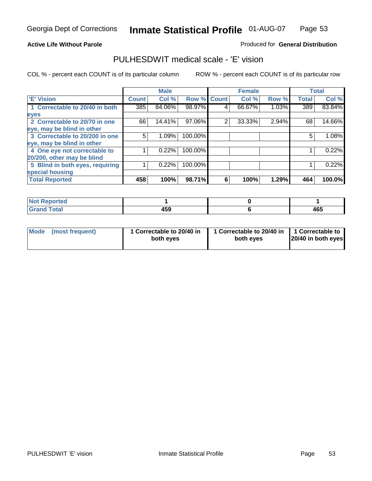#### **Active Life Without Parole**

#### Produced for **General Distribution**

### PULHESDWIT medical scale - 'E' vision

|                                 |              | <b>Male</b> |                    |   | <b>Female</b> |       |              | <b>Total</b> |
|---------------------------------|--------------|-------------|--------------------|---|---------------|-------|--------------|--------------|
| 'E' Vision                      | <b>Count</b> | Col %       | <b>Row % Count</b> |   | Col %         | Row % | <b>Total</b> | Col %        |
| 1 Correctable to 20/40 in both  | 385          | 84.06%      | 98.97%             | 4 | 66.67%        | 1.03% | 389          | 83.84%       |
| eyes                            |              |             |                    |   |               |       |              |              |
| 2 Correctable to 20/70 in one   | 66           | 14.41%      | 97.06%             | 2 | 33.33%        | 2.94% | 68           | 14.66%       |
| eye, may be blind in other      |              |             |                    |   |               |       |              |              |
| 3 Correctable to 20/200 in one  | 5            | 1.09%       | 100.00%            |   |               |       | 5            | 1.08%        |
| eye, may be blind in other      |              |             |                    |   |               |       |              |              |
| 4 One eye not correctable to    |              | 0.22%       | 100.00%            |   |               |       |              | 0.22%        |
| 20/200, other may be blind      |              |             |                    |   |               |       |              |              |
| 5 Blind in both eyes, requiring |              | 0.22%       | 100.00%            |   |               |       |              | 0.22%        |
| special housing                 |              |             |                    |   |               |       |              |              |
| <b>Total Reported</b>           | 458          | 100%        | 98.71%             | 6 | 100%          | 1.29% | 464          | 100.0%       |

| <b>Not Reported</b> |     |     |
|---------------------|-----|-----|
| <b>Total</b><br>Grs | 459 | 465 |

| <b>Mode</b>     | 1 Correctable to 20/40 in | 1 Correctable to 20/40 in   1 Correctable to | 20/40 in both eyes |
|-----------------|---------------------------|----------------------------------------------|--------------------|
| (most frequent) | both eyes                 | both eves                                    |                    |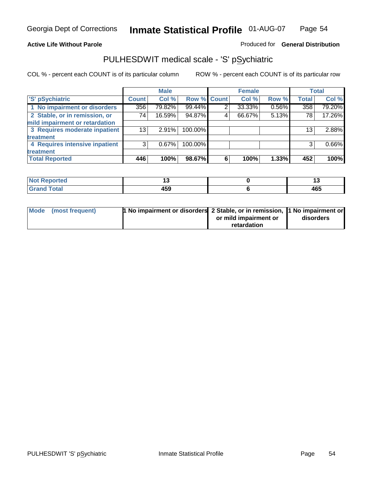### **Active Life Without Parole**

### Produced for **General Distribution**

### PULHESDWIT medical scale - 'S' pSychiatric

|                                |              | <b>Male</b> |             |   | <b>Female</b> |       |              | <b>Total</b> |
|--------------------------------|--------------|-------------|-------------|---|---------------|-------|--------------|--------------|
| 'S' pSychiatric                | <b>Count</b> | Col %       | Row % Count |   | Col %         | Row % | <b>Total</b> | Col %        |
| 1 No impairment or disorders   | 356          | 79.82%      | 99.44%      | 2 | 33.33%        | 0.56% | 358          | 79.20%       |
| 2 Stable, or in remission, or  | 74           | 16.59%      | 94.87%      | 4 | 66.67%        | 5.13% | 78           | 17.26%       |
| mild impairment or retardation |              |             |             |   |               |       |              |              |
| 3 Requires moderate inpatient  | 13           | $2.91\%$    | 100.00%     |   |               |       | 13           | 2.88%        |
| treatment                      |              |             |             |   |               |       |              |              |
| 4 Requires intensive inpatient | 3            | $0.67\%$    | 100.00%     |   |               |       | 3            | 0.66%        |
| treatment                      |              |             |             |   |               |       |              |              |
| <b>Total Reported</b>          | 446          | 100%        | 98.67%      | 6 | 100%          | 1.33% | 452          | 100%         |

| orted        | . .                             |     |
|--------------|---------------------------------|-----|
| <b>Total</b> | $\overline{\phantom{a}}$<br>433 | 465 |

| Mode (most frequent) | 1 No impairment or disorders 2 Stable, or in remission, 11 No impairment or |                       |           |
|----------------------|-----------------------------------------------------------------------------|-----------------------|-----------|
|                      |                                                                             | or mild impairment or | disorders |
|                      |                                                                             | retardation           |           |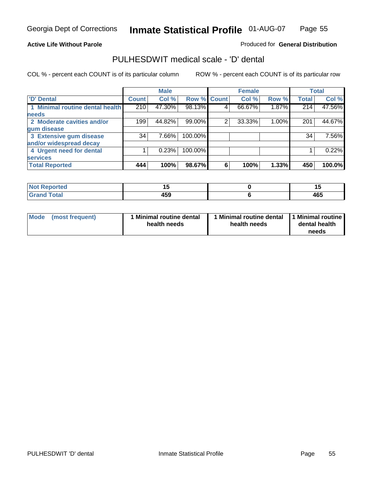#### **Active Life Without Parole**

#### Produced for **General Distribution**

### PULHESDWIT medical scale - 'D' dental

|                                 |                  | <b>Male</b> |                    |   | <b>Female</b> |       |              | <b>Total</b> |
|---------------------------------|------------------|-------------|--------------------|---|---------------|-------|--------------|--------------|
| 'D' Dental                      | <b>Count</b>     | Col %       | <b>Row % Count</b> |   | Col %         | Row % | <b>Total</b> | Col %        |
| 1 Minimal routine dental health | $\overline{210}$ | 47.30%      | 98.13%             | 4 | 66.67%        | 1.87% | 214          | 47.56%       |
| <b>needs</b>                    |                  |             |                    |   |               |       |              |              |
| 2 Moderate cavities and/or      | 199              | 44.82%      | 99.00%             | 2 | 33.33%        | 1.00% | 201          | 44.67%       |
| gum disease                     |                  |             |                    |   |               |       |              |              |
| 3 Extensive gum disease         | 34               | 7.66%       | 100.00%            |   |               |       | 34           | 7.56%        |
| and/or widespread decay         |                  |             |                    |   |               |       |              |              |
| 4 Urgent need for dental        |                  | 0.23%       | 100.00%            |   |               |       |              | 0.22%        |
| <b>services</b>                 |                  |             |                    |   |               |       |              |              |
| <b>Total Reported</b>           | 444              | 100%        | 98.67%             | 6 | 100%          | 1.33% | 450          | 100.0%       |

| <b>Not Reported</b><br>. | - -                   | . . |
|--------------------------|-----------------------|-----|
| <b>Total</b><br>Cron     | $\overline{a}$<br>103 | 465 |

| <b>Mode</b><br>(most frequent) | <b>Minimal routine dental</b><br>health needs | 1 Minimal routine dental<br>health needs | 11 Minimal routine<br>dental health<br>needs |
|--------------------------------|-----------------------------------------------|------------------------------------------|----------------------------------------------|
|--------------------------------|-----------------------------------------------|------------------------------------------|----------------------------------------------|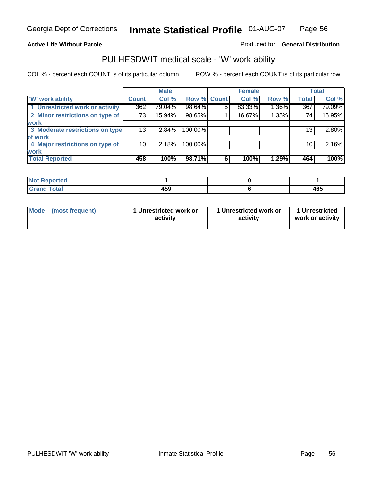### **Active Life Without Parole**

### Produced for **General Distribution**

### PULHESDWIT medical scale - 'W' work ability

|                                 |              | <b>Male</b> |             |   | <b>Female</b> |       |                 | <b>Total</b> |
|---------------------------------|--------------|-------------|-------------|---|---------------|-------|-----------------|--------------|
| <b>W' work ability</b>          | <b>Count</b> | Col %       | Row % Count |   | Col %         | Row % | <b>Total</b>    | Col %        |
| 1 Unrestricted work or activity | 362          | 79.04%      | 98.64%      | 5 | 83.33%        | 1.36% | 367             | 79.09%       |
| 2 Minor restrictions on type of | 73           | $15.94\%$   | 98.65%      |   | 16.67%        | 1.35% | 74              | 15.95%       |
| <b>work</b>                     |              |             |             |   |               |       |                 |              |
| 3 Moderate restrictions on type | 13           | 2.84%       | 100.00%     |   |               |       | 13 <sub>1</sub> | 2.80%        |
| of work                         |              |             |             |   |               |       |                 |              |
| 4 Major restrictions on type of | 10           | 2.18%       | 100.00%     |   |               |       | 10              | 2.16%        |
| <b>work</b>                     |              |             |             |   |               |       |                 |              |
| <b>Total Reported</b>           | 458          | 100%        | 98.71%      | 6 | 100%          | 1.29% | 464             | 100%         |

| اد د قس<br>ттео           |                                 |     |
|---------------------------|---------------------------------|-----|
| T <sub>ofol</sub><br>υιαι | $\overline{\phantom{a}}$<br>435 | 465 |

| Mode | (most frequent) | 1 Unrestricted work or<br>activity | 1 Unrestricted work or<br>activity | 1 Unrestricted<br>work or activity |  |
|------|-----------------|------------------------------------|------------------------------------|------------------------------------|--|
|      |                 |                                    |                                    |                                    |  |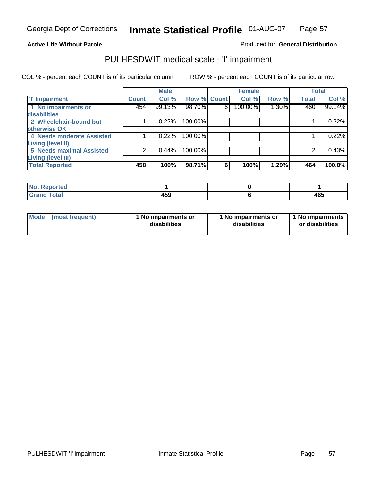#### **Active Life Without Parole**

### Produced for **General Distribution**

### PULHESDWIT medical scale - 'I' impairment

|                                 |              | <b>Male</b> |             |   | <b>Female</b> |       |              | <b>Total</b> |
|---------------------------------|--------------|-------------|-------------|---|---------------|-------|--------------|--------------|
| <b>T' Impairment</b>            | <b>Count</b> | Col %       | Row % Count |   | Col %         | Row % | <b>Total</b> | Col %        |
| 1 No impairments or             | 454          | 99.13%      | 98.70%      | 6 | 100.00%       | 1.30% | 460          | 99.14%       |
| disabilities                    |              |             |             |   |               |       |              |              |
| 2 Wheelchair-bound but          |              | 0.22%       | 100.00%     |   |               |       |              | 0.22%        |
| otherwise OK                    |              |             |             |   |               |       |              |              |
| 4 Needs moderate Assisted       |              | 0.22%       | 100.00%     |   |               |       |              | 0.22%        |
| Living (level II)               |              |             |             |   |               |       |              |              |
| <b>5 Needs maximal Assisted</b> |              | 0.44%       | 100.00%     |   |               |       |              | 0.43%        |
| <b>Living (level III)</b>       |              |             |             |   |               |       |              |              |
| <b>Total Reported</b>           | 458          | 100%        | 98.71%      | 6 | 100%          | 1.29% | 464          | 100.0%       |

| Reported                    |     |     |
|-----------------------------|-----|-----|
| <b>Total</b><br><b>Gran</b> | 459 | 465 |

| <b>Mode</b> | (most frequent) | 1 No impairments or<br>disabilities | 1 No impairments or<br>disabilities | 1 No impairments  <br>or disabilities |
|-------------|-----------------|-------------------------------------|-------------------------------------|---------------------------------------|
|-------------|-----------------|-------------------------------------|-------------------------------------|---------------------------------------|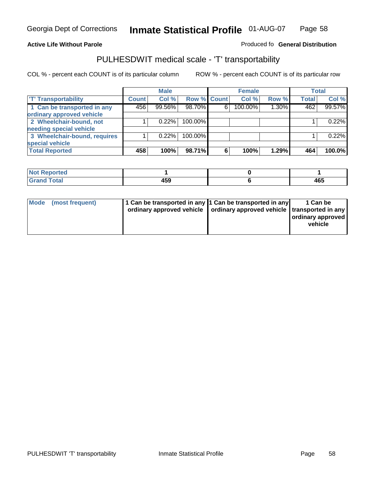#### **Inmate Statistical Profile** 01-AUG-07 Page Page 58

### **Active Life Without Parole Produced fo Seneral Distribution**

### PULHESDWIT medical scale - 'T' transportability

|                              |              | <b>Male</b> |             |   | <b>Female</b> |       |              | <b>Total</b> |
|------------------------------|--------------|-------------|-------------|---|---------------|-------|--------------|--------------|
| <b>T' Transportability</b>   | <b>Count</b> | Col %       | Row % Count |   | Col %         | Row % | <b>Total</b> | Col %        |
| 1 Can be transported in any  | 456          | 99.56%      | 98.70%      | 6 | 100.00%       | 1.30% | 462          | 99.57%       |
| ordinary approved vehicle    |              |             |             |   |               |       |              |              |
| 2 Wheelchair-bound, not      |              | 0.22%       | 100.00%     |   |               |       |              | 0.22%        |
| needing special vehicle      |              |             |             |   |               |       |              |              |
| 3 Wheelchair-bound, requires |              | 0.22%       | 100.00%     |   |               |       |              | 0.22%        |
| special vehicle              |              |             |             |   |               |       |              |              |
| <b>Total Reported</b>        | 458          | 100%        | 98.71%      | 6 | 100%          | 1.29% | 464          | 100.0%       |

| <b>Not</b><br><b>Reported</b> |       |               |
|-------------------------------|-------|---------------|
| <b>Total</b><br>$\sim$        | I E C | $AC^r$<br>TV. |

| Mode (most frequent) | 1 Can be transported in any 1 Can be transported in any<br>ordinary approved vehicle   ordinary approved vehicle   transported in any | 1 Can be<br>  ordinary approved  <br>vehicle |
|----------------------|---------------------------------------------------------------------------------------------------------------------------------------|----------------------------------------------|
|----------------------|---------------------------------------------------------------------------------------------------------------------------------------|----------------------------------------------|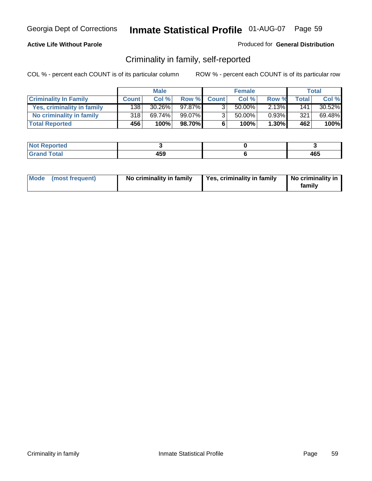#### **Active Life Without Parole**

#### Produced for **General Distribution**

### Criminality in family, self-reported

|                              |              | <b>Male</b> |        |                | <b>Female</b> |       |              | Total  |
|------------------------------|--------------|-------------|--------|----------------|---------------|-------|--------------|--------|
| <b>Criminality In Family</b> | <b>Count</b> | Col %       | Row %  | <b>Count</b>   | Col %         | Row % | <b>Total</b> | Col %  |
| Yes, criminality in family   | 1381         | 30.26%      | 97.87% | 3              | 50.00%        | 2.13% | 141          | 30.52% |
| No criminality in family     | 318          | 69.74%      | 99.07% | 3 <sub>1</sub> | 50.00%        | 0.93% | 321          | 69.48% |
| <b>Total Reported</b>        | 456          | 100%        | 98.70% | 6              | 100%          | 1.30% | 462          | 100%   |

| ported<br><b>NOT</b><br><b>IJCI</b> |     |     |
|-------------------------------------|-----|-----|
| $\sim$<br>Grar<br>--                | 459 | 465 |

|  | Mode (most frequent) | No criminality in family | Yes, criminality in family | No criminality in<br>family |
|--|----------------------|--------------------------|----------------------------|-----------------------------|
|--|----------------------|--------------------------|----------------------------|-----------------------------|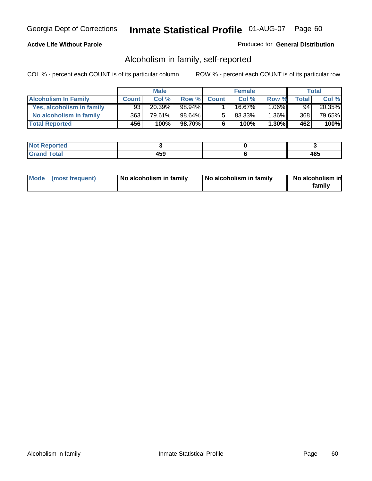### **Active Life Without Parole**

#### Produced for **General Distribution**

### Alcoholism in family, self-reported

|                             |              | <b>Male</b> |        |              | <b>Female</b> |          |       | Total  |
|-----------------------------|--------------|-------------|--------|--------------|---------------|----------|-------|--------|
| <b>Alcoholism In Family</b> | <b>Count</b> | Col %       | Row %  | <b>Count</b> | Col %         | Row %    | Total | Col %  |
| Yes, alcoholism in family   | 93           | 20.39%      | 98.94% |              | 16.67%        | $1.06\%$ | 94    | 20.35% |
| No alcoholism in family     | 363          | 79.61%      | 98.64% | 5            | 83.33%        | $1.36\%$ | 368   | 79.65% |
| <b>Total Reported</b>       | 456          | 100%        | 98.70% | 6            | 100%          | $1.30\%$ | 462   | 100%   |

| oorted<br><b>NOT</b><br><b>IJCI</b> |              |            |
|-------------------------------------|--------------|------------|
| <b>c</b> otal<br>Gran<br>$\sim$     | 4 E O<br>433 | ARF<br>40. |

|  | Mode (most frequent) | No alcoholism in family | No alcoholism in family | No alcoholism in<br>family |
|--|----------------------|-------------------------|-------------------------|----------------------------|
|--|----------------------|-------------------------|-------------------------|----------------------------|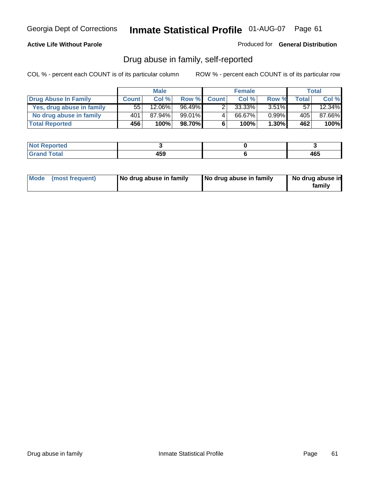### **Active Life Without Parole**

Produced for **General Distribution**

### Drug abuse in family, self-reported

|                           |              | <b>Male</b>          |           |              | <b>Female</b> |          |       | <b>Total</b> |
|---------------------------|--------------|----------------------|-----------|--------------|---------------|----------|-------|--------------|
| Drug Abuse In Family      | <b>Count</b> | Col %                | Row %     | <b>Count</b> | Col %         | Row %    | Total | Col %        |
| Yes, drug abuse in family | 55           | $12.\overline{06\%}$ | $96.49\%$ | າ            | 33.33%        | $3.51\%$ | 57    | 12.34%       |
| No drug abuse in family   | 401          | 87.94%               | 99.01%I   | 4            | 66.67%        | $0.99\%$ | 405   | 87.66%       |
| <b>Total Reported</b>     | 456          | 100%                 | 98.70%    | 6            | 100%          | $1.30\%$ | 462   | 100%         |

| oorted<br><b>NOT</b><br><b>IJCI</b> |              |            |
|-------------------------------------|--------------|------------|
| <b>c</b> otal<br>Gran<br>$\sim$     | 4 E O<br>433 | ARF<br>40. |

|  | Mode (most frequent) | No drug abuse in family | No drug abuse in family | No drug abuse in<br>family |
|--|----------------------|-------------------------|-------------------------|----------------------------|
|--|----------------------|-------------------------|-------------------------|----------------------------|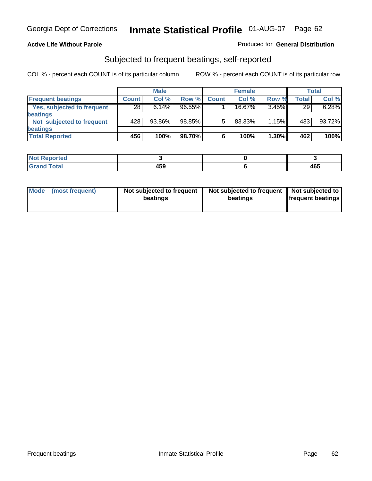#### **Active Life Without Parole**

#### Produced for **General Distribution**

### Subjected to frequent beatings, self-reported

|                            |              | <b>Male</b> |           |              | <b>Female</b> |       |       | <b>Total</b> |
|----------------------------|--------------|-------------|-----------|--------------|---------------|-------|-------|--------------|
| <b>Frequent beatings</b>   | <b>Count</b> | Col%        | Row %     | <b>Count</b> | Col%          | Row % | Total | Col %        |
| Yes, subjected to frequent | 28           | 6.14%       | $96.55\%$ |              | $16.67\%$     | 3.45% | 29    | 6.28%        |
| beatings                   |              |             |           |              |               |       |       |              |
| Not subjected to frequent  | 428          | 93.86%      | 98.85%    | 5            | 83.33%        | 1.15% | 433   | 93.72%       |
| beatings                   |              |             |           |              |               |       |       |              |
| <b>Total Reported</b>      | 456          | 100%        | 98.70%    | 6            | 100%          | 1.30% | 462   | 100%         |

| المستقلب والمستحدث<br>rtea<br>N<br><b>Report</b><br>$\sim$ |                     |     |
|------------------------------------------------------------|---------------------|-----|
| <b>Cotol</b>                                               | $\mathbf{A}$<br>ruu | 465 |

| Mode<br>(most frequent) | beatings | Not subjected to frequent | Not subjected to frequent<br>beatings | Not subjected to<br><b>frequent beatings</b> |
|-------------------------|----------|---------------------------|---------------------------------------|----------------------------------------------|
|                         |          |                           |                                       |                                              |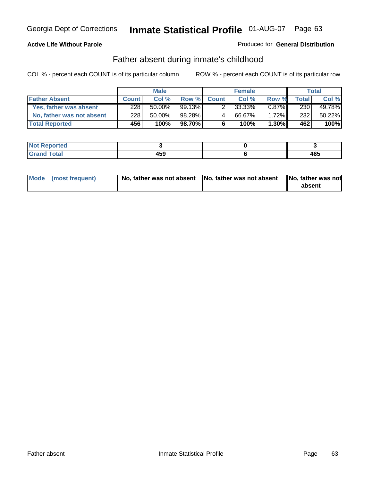#### **Active Life Without Parole**

#### Produced for **General Distribution**

### Father absent during inmate's childhood

|                           |              | <b>Male</b> |           |              | <b>Female</b> |          |       | Total  |
|---------------------------|--------------|-------------|-----------|--------------|---------------|----------|-------|--------|
| <b>Father Absent</b>      | <b>Count</b> | Col %       | Row %     | <b>Count</b> | Col %         | Row %    | Total | Col %  |
| Yes, father was absent    | 228          | $50.00\%$   | $99.13\%$ |              | 33.33%        | $0.87\%$ | 230   | 49.78% |
| No, father was not absent | 228          | 50.00%      | 98.28%    | 4            | 66.67%        | $1.72\%$ | 232   | 50.22% |
| <b>Total Reported</b>     | 456          | 100%        | 98.70%    | 6            | 100%          | $1.30\%$ | 462   | 100%   |

| <b>Not Reported</b>   |             |     |
|-----------------------|-------------|-----|
| <b>Total</b><br>Grano | 459<br>$ -$ | 465 |

| Mode (most frequent) |  | 「No, father was not absent ┃No, father was not absent ┃No, father was not | absent |
|----------------------|--|---------------------------------------------------------------------------|--------|
|----------------------|--|---------------------------------------------------------------------------|--------|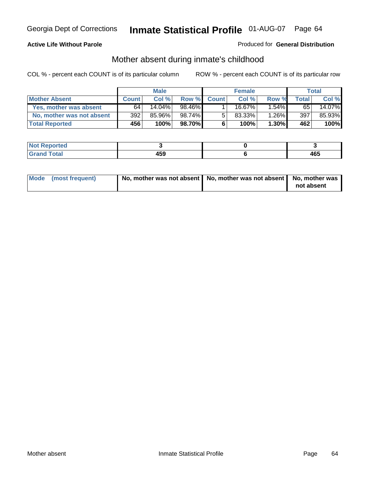#### **Active Life Without Parole**

#### Produced for **General Distribution**

# Mother absent during inmate's childhood

|                           |              | <b>Male</b> |         |              | <b>Female</b> |          |       | Total  |
|---------------------------|--------------|-------------|---------|--------------|---------------|----------|-------|--------|
| <b>Mother Absent</b>      | <b>Count</b> | Col%        | Row %I  | <b>Count</b> | Col %         | Row %    | Total | Col %  |
| Yes, mother was absent    | 64           | 14.04%      | 98.46%  |              | 16.67%        | $1.54\%$ | 65    | 14.07% |
| No, mother was not absent | 392          | 85.96%      | 98.74%  | 5            | 83.33%        | $1.26\%$ | 397   | 85.93% |
| <b>Total Reported</b>     | 456          | $100\%$     | 98.70%I | 6            | 100%          | $1.30\%$ | 462   | 100%   |

| <b>Reported</b><br><b>NOT</b> |     |     |
|-------------------------------|-----|-----|
| <b>Total</b>                  | 459 | 465 |

| Mode (most frequent) | No, mother was not absent   No, mother was not absent   No, mother was | not absent |
|----------------------|------------------------------------------------------------------------|------------|
|----------------------|------------------------------------------------------------------------|------------|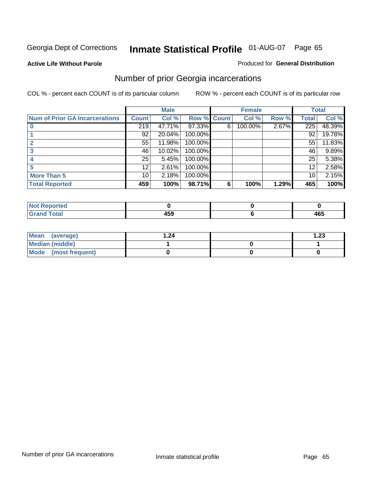#### **Active Life Without Parole**

#### Produced for **General Distribution**

### Number of prior Georgia incarcerations

|                                       |                 | <b>Male</b> |                    |   | <b>Female</b> |       |       | <b>Total</b> |
|---------------------------------------|-----------------|-------------|--------------------|---|---------------|-------|-------|--------------|
| <b>Num of Prior GA Incarcerations</b> | <b>Count</b>    | Col %       | <b>Row % Count</b> |   | Col %         | Row % | Total | Col %        |
|                                       | 219             | 47.71%      | 97.33%             | 6 | 100.00%       | 2.67% | 225   | 48.39%       |
|                                       | 92              | 20.04%      | 100.00%            |   |               |       | 92    | 19.78%       |
|                                       | 55              | 11.98%      | 100.00%            |   |               |       | 55    | 11.83%       |
|                                       | 46              | 10.02%      | 100.00%            |   |               |       | 46    | 9.89%        |
|                                       | 25 <sub>1</sub> | 5.45%       | 100.00%            |   |               |       | 25    | 5.38%        |
| 5                                     | 12 <sup>2</sup> | 2.61%       | 100.00%            |   |               |       | 12    | 2.58%        |
| <b>More Than 5</b>                    | 10 <sup>1</sup> | 2.18%       | 100.00%            |   |               |       | 10    | 2.15%        |
| <b>Total Reported</b>                 | 459             | 100%        | 98.71%             | 6 | 100%          | 1.29% | 465   | 100%         |

| .<br>тео<br>w |      |       |
|---------------|------|-------|
| $\sim$        | ---  | 1 A F |
|               | $ -$ | 465   |

| Mean (average)       | 24. ا | $\overline{.23}$ |
|----------------------|-------|------------------|
| Median (middle)      |       |                  |
| Mode (most frequent) |       |                  |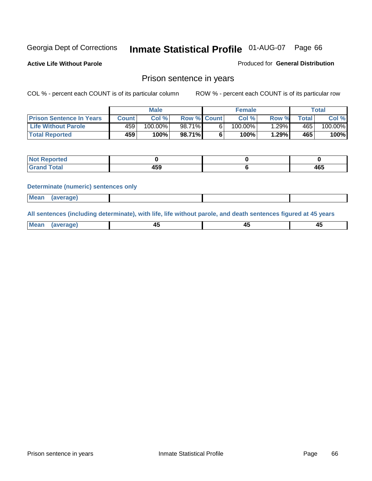**Active Life Without Parole** 

Produced for **General Distribution**

### Prison sentence in years

COL % - percent each COUNT is of its particular column ROW % - percent each COUNT is of its particular row

|                                 | <b>Male</b> |            |                    | <b>Female</b> | Total |                          |         |
|---------------------------------|-------------|------------|--------------------|---------------|-------|--------------------------|---------|
| <b>Prison Sentence In Years</b> | Count       | Col %1     | <b>Row % Count</b> | Col %         | Row % | $\mathsf{Total}_{\perp}$ | Col %   |
| <b>Life Without Parole</b>      | 459         | $100.00\%$ | 98.71%             | $100.00\%$    | .29%  | 465                      | 100.00% |
| <b>Total Reported</b>           | 459         | 100%       | 98.71%             | 100%          | 1.29% | 465                      | 100%    |

| porteg                           |          |     |
|----------------------------------|----------|-----|
| <b>Total</b><br>$\mathbf{v}$ and | .<br>າວວ | 465 |

#### **Determinate (numeric) sentences only**

| <b>Mean</b> | <i>(average)</i> |  |  |
|-------------|------------------|--|--|

**All sentences (including determinate), with life, life without parole, and death sentences figured at 45 years**

| Me:<br>anei<br>.<br>᠇<br>$\sim$ | -- | т.<br>$\sim$ |
|---------------------------------|----|--------------|
|---------------------------------|----|--------------|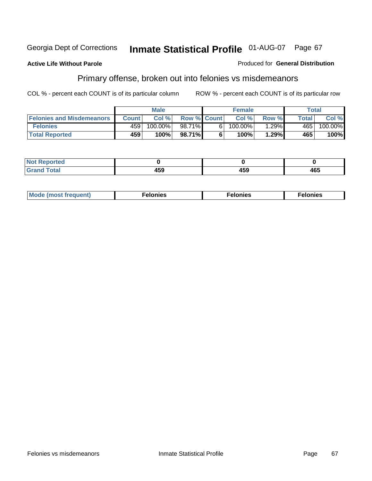#### **Active Life Without Parole**

#### Produced for **General Distribution**

# Primary offense, broken out into felonies vs misdemeanors

|                                  | <b>Male</b>  |         |                    | <b>Female</b> |            |       | Total  |            |
|----------------------------------|--------------|---------|--------------------|---------------|------------|-------|--------|------------|
| <b>Felonies and Misdemeanors</b> | <b>Count</b> | Col%    | <b>Row % Count</b> |               | Col%       | Row % | Total. | Col %      |
| <b>Felonies</b>                  | 459          | 100.00% | 98.71%             | 61            | $100.00\%$ | .29%  | 465'   | $100.00\%$ |
| <b>Total Reported</b>            | 459          | 100%    | 98.71%I            |               | 100%       | .29%  | 465    | 100%       |

| <b>Not</b><br>$\lceil \cdot \rceil$ nted<br>$\sim$          |                 |              |     |
|-------------------------------------------------------------|-----------------|--------------|-----|
| $\mathcal{L}$ at all<br>Grar<br>$\mathbf{v}$ . $\mathbf{u}$ | $\cdots$<br>7JJ | 1 F A<br>199 | 465 |

| M<br>$\cdots$<br>пю.<br>. | nies<br>. | . |
|---------------------------|-----------|---|
|---------------------------|-----------|---|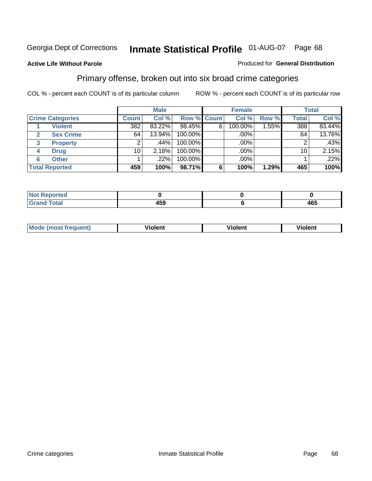#### **Active Life Without Parole**

#### Produced for **General Distribution**

### Primary offense, broken out into six broad crime categories

|                                 | <b>Male</b>  |        |                    | <b>Female</b> |         |          | <b>Total</b> |        |
|---------------------------------|--------------|--------|--------------------|---------------|---------|----------|--------------|--------|
| <b>Crime Categories</b>         | <b>Count</b> | Col %  | <b>Row % Count</b> |               | Col %   | Row %    | <b>Total</b> | Col %  |
| <b>Violent</b>                  | 382          | 83.22% | 98.45%             | 6             | 100.00% | $1.55\%$ | 388          | 83.44% |
| <b>Sex Crime</b>                | 64           | 13.94% | 100.00%            |               | .00%    |          | 64           | 13.76% |
| $\mathbf{3}$<br><b>Property</b> | 2            | .44%'  | 100.00%            |               | .00%    |          |              | .43%   |
| <b>Drug</b><br>4                | 10           | 2.18%  | 100.00%            |               | .00%    |          | 10           | 2.15%  |
| <b>Other</b><br>6               |              | .22%   | 100.00%            |               | .00%    |          |              | .22%   |
| <b>Total Reported</b>           | 459          | 100%   | 98.71%             | 6             | 100%    | 1.29%    | 465          | 100%   |

| <b>Reported</b><br>NOT<br>. |              |     |
|-----------------------------|--------------|-----|
| <b>Total</b><br>Cror        | 1 E O<br>439 | 465 |

| Mo | n n | winlor" | ılen' |
|----|-----|---------|-------|
|    |     |         |       |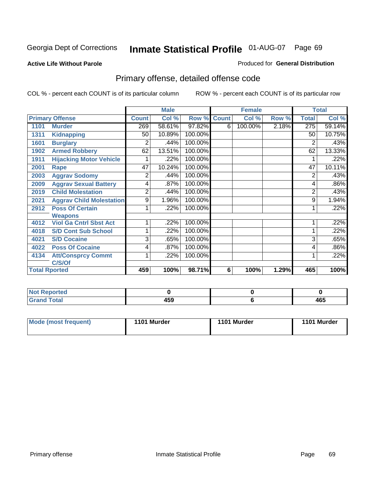#### **Active Life Without Parole**

#### Produced for **General Distribution**

# Primary offense, detailed offense code

|      |                                 |                | <b>Male</b> |             |   | <b>Female</b> |       |              | <b>Total</b> |
|------|---------------------------------|----------------|-------------|-------------|---|---------------|-------|--------------|--------------|
|      | <b>Primary Offense</b>          | <b>Count</b>   | Col %       | Row % Count |   | Col %         | Row % | <b>Total</b> | Col %        |
| 1101 | <b>Murder</b>                   | 269            | 58.61%      | 97.82%      | 6 | 100.00%       | 2.18% | 275          | 59.14%       |
| 1311 | <b>Kidnapping</b>               | 50             | 10.89%      | 100.00%     |   |               |       | 50           | 10.75%       |
| 1601 | <b>Burglary</b>                 | 2              | .44%        | 100.00%     |   |               |       | 2            | .43%         |
| 1902 | <b>Armed Robbery</b>            | 62             | 13.51%      | 100.00%     |   |               |       | 62           | 13.33%       |
| 1911 | <b>Hijacking Motor Vehicle</b>  |                | .22%        | 100.00%     |   |               |       |              | .22%         |
| 2001 | Rape                            | 47             | 10.24%      | 100.00%     |   |               |       | 47           | 10.11%       |
| 2003 | <b>Aggrav Sodomy</b>            | 2              | .44%        | 100.00%     |   |               |       | 2            | .43%         |
| 2009 | <b>Aggrav Sexual Battery</b>    | 4              | .87%        | 100.00%     |   |               |       | 4            | .86%         |
| 2019 | <b>Child Molestation</b>        | $\overline{2}$ | .44%        | 100.00%     |   |               |       | 2            | .43%         |
| 2021 | <b>Aggrav Child Molestation</b> | 9              | 1.96%       | 100.00%     |   |               |       | 9            | 1.94%        |
| 2912 | <b>Poss Of Certain</b>          |                | .22%        | 100.00%     |   |               |       |              | .22%         |
|      | <b>Weapons</b>                  |                |             |             |   |               |       |              |              |
| 4012 | <b>Viol Ga Cntrl Sbst Act</b>   |                | .22%        | 100.00%     |   |               |       |              | .22%         |
| 4018 | <b>S/D Cont Sub School</b>      | 1              | .22%        | 100.00%     |   |               |       |              | .22%         |
| 4021 | <b>S/D Cocaine</b>              | 3              | .65%        | 100.00%     |   |               |       | 3            | .65%         |
| 4022 | <b>Poss Of Cocaine</b>          | 4              | .87%        | 100.00%     |   |               |       | 4            | .86%         |
| 4134 | <b>Att/Consprcy Commt</b>       | 1              | .22%        | 100.00%     |   |               |       | 1            | .22%         |
|      | C/S/Of                          |                |             |             |   |               |       |              |              |
|      | <b>Total Rported</b>            | 459            | 100%        | 98.71%      | 6 | 100%          | 1.29% | 465          | 100%         |

| <b>Not Reported</b> |     |            |
|---------------------|-----|------------|
| <b>Grand Total</b>  | 459 | ACE<br>40L |

| <b>Mode (most frequent)</b> | 1101 Murder | 1101 Murder | 1101 Murder |
|-----------------------------|-------------|-------------|-------------|
|-----------------------------|-------------|-------------|-------------|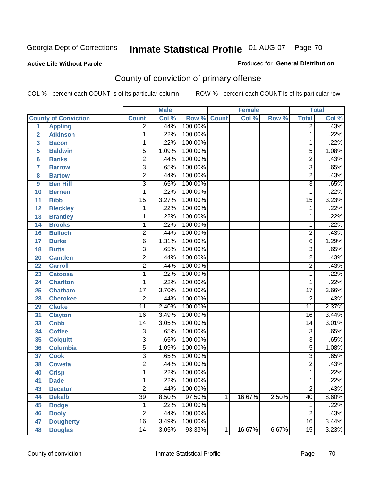#### **Active Life Without Parole**

#### Produced for **General Distribution**

# County of conviction of primary offense

|                         |                             |                 | <b>Male</b> |         |              | <b>Female</b> |       |                 | <b>Total</b> |
|-------------------------|-----------------------------|-----------------|-------------|---------|--------------|---------------|-------|-----------------|--------------|
|                         | <b>County of Conviction</b> | <b>Count</b>    | Col %       | Row %   | <b>Count</b> | Col %         | Row % | <b>Total</b>    | Col %        |
| 1                       | <b>Appling</b>              | $\overline{2}$  | .44%        | 100.00% |              |               |       | $\overline{2}$  | .43%         |
| $\overline{2}$          | <b>Atkinson</b>             | 1               | .22%        | 100.00% |              |               |       | 1               | .22%         |
| $\overline{\mathbf{3}}$ | <b>Bacon</b>                | 1               | .22%        | 100.00% |              |               |       | 1               | .22%         |
| 5                       | <b>Baldwin</b>              | $\overline{5}$  | 1.09%       | 100.00% |              |               |       | 5               | 1.08%        |
| 6                       | <b>Banks</b>                | $\overline{2}$  | .44%        | 100.00% |              |               |       | $\overline{c}$  | .43%         |
| $\overline{7}$          | <b>Barrow</b>               | $\overline{3}$  | .65%        | 100.00% |              |               |       | $\overline{3}$  | .65%         |
| 8                       | <b>Bartow</b>               | $\overline{2}$  | .44%        | 100.00% |              |               |       | $\overline{2}$  | .43%         |
| 9                       | <b>Ben Hill</b>             | $\overline{3}$  | .65%        | 100.00% |              |               |       | $\overline{3}$  | .65%         |
| 10                      | <b>Berrien</b>              | 1               | .22%        | 100.00% |              |               |       | 1               | .22%         |
| 11                      | <b>Bibb</b>                 | $\overline{15}$ | 3.27%       | 100.00% |              |               |       | $\overline{15}$ | 3.23%        |
| 12                      | <b>Bleckley</b>             | 1               | .22%        | 100.00% |              |               |       | 1               | .22%         |
| 13                      | <b>Brantley</b>             | 1               | .22%        | 100.00% |              |               |       | 1               | .22%         |
| 14                      | <b>Brooks</b>               | 1               | .22%        | 100.00% |              |               |       | 1               | .22%         |
| 16                      | <b>Bulloch</b>              | $\overline{2}$  | .44%        | 100.00% |              |               |       | $\overline{2}$  | .43%         |
| 17                      | <b>Burke</b>                | $\overline{6}$  | 1.31%       | 100.00% |              |               |       | $\overline{6}$  | 1.29%        |
| 18                      | <b>Butts</b>                | $\overline{3}$  | .65%        | 100.00% |              |               |       | $\overline{3}$  | .65%         |
| 20                      | <b>Camden</b>               | $\overline{2}$  | .44%        | 100.00% |              |               |       | $\overline{2}$  | .43%         |
| 22                      | <b>Carroll</b>              | $\overline{2}$  | .44%        | 100.00% |              |               |       | $\overline{2}$  | .43%         |
| 23                      | <b>Catoosa</b>              | 1               | .22%        | 100.00% |              |               |       | 1               | .22%         |
| 24                      | <b>Charlton</b>             | 1               | .22%        | 100.00% |              |               |       | 1               | .22%         |
| 25                      | <b>Chatham</b>              | $\overline{17}$ | 3.70%       | 100.00% |              |               |       | $\overline{17}$ | 3.66%        |
| 28                      | <b>Cherokee</b>             | $\overline{2}$  | .44%        | 100.00% |              |               |       | $\overline{2}$  | .43%         |
| 29                      | <b>Clarke</b>               | $\overline{11}$ | 2.40%       | 100.00% |              |               |       | $\overline{11}$ | 2.37%        |
| 31                      | <b>Clayton</b>              | $\overline{16}$ | 3.49%       | 100.00% |              |               |       | 16              | 3.44%        |
| 33                      | <b>Cobb</b>                 | 14              | 3.05%       | 100.00% |              |               |       | 14              | 3.01%        |
| 34                      | <b>Coffee</b>               | 3               | .65%        | 100.00% |              |               |       | $\overline{3}$  | .65%         |
| 35                      | <b>Colquitt</b>             | $\overline{3}$  | .65%        | 100.00% |              |               |       | $\overline{3}$  | .65%         |
| 36                      | <b>Columbia</b>             | $\overline{5}$  | 1.09%       | 100.00% |              |               |       | $\overline{5}$  | 1.08%        |
| 37                      | <b>Cook</b>                 | $\overline{3}$  | .65%        | 100.00% |              |               |       | $\overline{3}$  | .65%         |
| 38                      | <b>Coweta</b>               | $\overline{2}$  | .44%        | 100.00% |              |               |       | $\overline{2}$  | .43%         |
| 40                      | <b>Crisp</b>                | 1               | .22%        | 100.00% |              |               |       | 1               | .22%         |
| 41                      | <b>Dade</b>                 | 1               | .22%        | 100.00% |              |               |       | 1               | .22%         |
| 43                      | <b>Decatur</b>              | $\overline{2}$  | .44%        | 100.00% |              |               |       | $\overline{2}$  | .43%         |
| 44                      | <b>Dekalb</b>               | $\overline{39}$ | 8.50%       | 97.50%  | 1            | 16.67%        | 2.50% | $\overline{40}$ | 8.60%        |
| 45                      | <b>Dodge</b>                | 1               | .22%        | 100.00% |              |               |       | 1               | .22%         |
| 46                      | <b>Dooly</b>                | $\overline{2}$  | .44%        | 100.00% |              |               |       | $\overline{2}$  | .43%         |
| 47                      | <b>Dougherty</b>            | $\overline{16}$ | 3.49%       | 100.00% |              |               |       | 16              | 3.44%        |
| 48                      | <b>Douglas</b>              | $\overline{14}$ | 3.05%       | 93.33%  | 1            | 16.67%        | 6.67% | $\overline{15}$ | 3.23%        |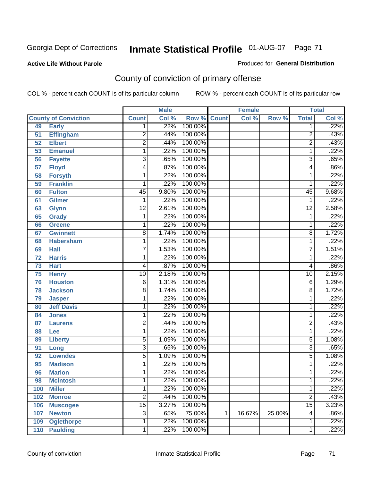#### **Active Life Without Parole**

#### Produced for **General Distribution**

# County of conviction of primary offense

|     |                             |                 | <b>Male</b> |                    |   | <b>Female</b> |        |                 | <b>Total</b> |
|-----|-----------------------------|-----------------|-------------|--------------------|---|---------------|--------|-----------------|--------------|
|     | <b>County of Conviction</b> | <b>Count</b>    | Col %       | <b>Row % Count</b> |   | Col %         | Row %  | <b>Total</b>    | Col %        |
| 49  | <b>Early</b>                | 1               | .22%        | 100.00%            |   |               |        | 1               | .22%         |
| 51  | <b>Effingham</b>            | $\overline{2}$  | .44%        | 100.00%            |   |               |        | $\overline{2}$  | .43%         |
| 52  | <b>Elbert</b>               | $\overline{2}$  | .44%        | 100.00%            |   |               |        | $\overline{2}$  | .43%         |
| 53  | <b>Emanuel</b>              | 1               | .22%        | 100.00%            |   |               |        | 1               | .22%         |
| 56  | <b>Fayette</b>              | $\overline{3}$  | .65%        | 100.00%            |   |               |        | $\overline{3}$  | .65%         |
| 57  | <b>Floyd</b>                | 4               | .87%        | 100.00%            |   |               |        | 4               | .86%         |
| 58  | <b>Forsyth</b>              | 1               | .22%        | 100.00%            |   |               |        | 1               | .22%         |
| 59  | <b>Franklin</b>             | 1               | .22%        | 100.00%            |   |               |        | 1               | .22%         |
| 60  | <b>Fulton</b>               | $\overline{45}$ | 9.80%       | 100.00%            |   |               |        | $\overline{45}$ | 9.68%        |
| 61  | <b>Gilmer</b>               | 1               | .22%        | 100.00%            |   |               |        | 1               | .22%         |
| 63  | <b>Glynn</b>                | $\overline{12}$ | 2.61%       | 100.00%            |   |               |        | $\overline{12}$ | 2.58%        |
| 65  | <b>Grady</b>                | 1               | .22%        | 100.00%            |   |               |        | 1               | .22%         |
| 66  | Greene                      | 1               | .22%        | 100.00%            |   |               |        | 1               | .22%         |
| 67  | <b>Gwinnett</b>             | $\overline{8}$  | 1.74%       | 100.00%            |   |               |        | 8               | 1.72%        |
| 68  | <b>Habersham</b>            | 1               | .22%        | 100.00%            |   |               |        | 1               | .22%         |
| 69  | <b>Hall</b>                 | $\overline{7}$  | 1.53%       | 100.00%            |   |               |        | $\overline{7}$  | 1.51%        |
| 72  | <b>Harris</b>               | 1               | .22%        | 100.00%            |   |               |        | 1               | .22%         |
| 73  | <b>Hart</b>                 | 4               | .87%        | 100.00%            |   |               |        | 4               | .86%         |
| 75  | <b>Henry</b>                | $\overline{10}$ | 2.18%       | 100.00%            |   |               |        | 10              | 2.15%        |
| 76  | <b>Houston</b>              | 6               | 1.31%       | 100.00%            |   |               |        | 6               | 1.29%        |
| 78  | <b>Jackson</b>              | $\overline{8}$  | 1.74%       | 100.00%            |   |               |        | 8               | 1.72%        |
| 79  | <b>Jasper</b>               | 1               | .22%        | 100.00%            |   |               |        | 1               | .22%         |
| 80  | <b>Jeff Davis</b>           | 1               | .22%        | 100.00%            |   |               |        | 1               | .22%         |
| 84  | <b>Jones</b>                | 1               | .22%        | 100.00%            |   |               |        | 1               | .22%         |
| 87  | <b>Laurens</b>              | $\overline{2}$  | .44%        | 100.00%            |   |               |        | 2               | .43%         |
| 88  | Lee                         | 1               | .22%        | 100.00%            |   |               |        | 1               | .22%         |
| 89  | <b>Liberty</b>              | $\overline{5}$  | 1.09%       | 100.00%            |   |               |        | 5               | 1.08%        |
| 91  | Long                        | $\overline{3}$  | .65%        | 100.00%            |   |               |        | $\overline{3}$  | .65%         |
| 92  | <b>Lowndes</b>              | $\overline{5}$  | 1.09%       | 100.00%            |   |               |        | 5               | 1.08%        |
| 95  | <b>Madison</b>              | 1               | .22%        | 100.00%            |   |               |        | 1               | .22%         |
| 96  | <b>Marion</b>               | 1               | .22%        | 100.00%            |   |               |        | 1               | .22%         |
| 98  | <b>Mcintosh</b>             | 1               | .22%        | 100.00%            |   |               |        | 1               | .22%         |
| 100 | <b>Miller</b>               | 1               | .22%        | 100.00%            |   |               |        | 1               | .22%         |
| 102 | <b>Monroe</b>               | $\overline{2}$  | .44%        | 100.00%            |   |               |        | $\overline{2}$  | .43%         |
| 106 | <b>Muscogee</b>             | $\overline{15}$ | 3.27%       | 100.00%            |   |               |        | $\overline{15}$ | 3.23%        |
| 107 | <b>Newton</b>               | $\overline{3}$  | .65%        | 75.00%             | 1 | 16.67%        | 25.00% | 4               | .86%         |
| 109 | <b>Oglethorpe</b>           | 1               | .22%        | 100.00%            |   |               |        | 1               | .22%         |
| 110 | <b>Paulding</b>             | $\mathbf 1$     | .22%        | 100.00%            |   |               |        | 1               | .22%         |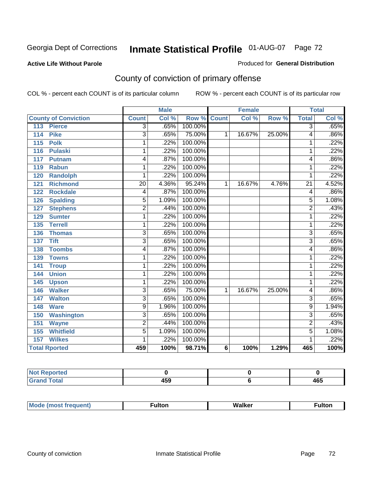#### **Active Life Without Parole**

#### Produced for **General Distribution**

# County of conviction of primary offense

|                             |                 | <b>Male</b> |         |                 | <b>Female</b> |        |                 | <b>Total</b> |
|-----------------------------|-----------------|-------------|---------|-----------------|---------------|--------|-----------------|--------------|
| <b>County of Conviction</b> | <b>Count</b>    | Col %       | Row %   | <b>Count</b>    | Col %         | Row %  | <b>Total</b>    | CoI%         |
| 113<br><b>Pierce</b>        | 3               | .65%        | 100.00% |                 |               |        | 3               | .65%         |
| 114<br><b>Pike</b>          | $\overline{3}$  | .65%        | 75.00%  | $\mathbf{1}$    | 16.67%        | 25.00% | 4               | .86%         |
| 115<br><b>Polk</b>          | 1               | .22%        | 100.00% |                 |               |        | 1               | .22%         |
| 116<br><b>Pulaski</b>       | 1               | .22%        | 100.00% |                 |               |        | 1               | .22%         |
| 117<br><b>Putnam</b>        | 4               | .87%        | 100.00% |                 |               |        | 4               | .86%         |
| 119<br><b>Rabun</b>         | 1               | .22%        | 100.00% |                 |               |        | 1               | .22%         |
| 120<br><b>Randolph</b>      | 1               | .22%        | 100.00% |                 |               |        | 1               | .22%         |
| <b>Richmond</b><br>121      | $\overline{20}$ | 4.36%       | 95.24%  | 1               | 16.67%        | 4.76%  | $\overline{21}$ | 4.52%        |
| <b>Rockdale</b><br>122      | 4               | .87%        | 100.00% |                 |               |        | 4               | .86%         |
| 126<br><b>Spalding</b>      | 5               | 1.09%       | 100.00% |                 |               |        | $\overline{5}$  | 1.08%        |
| <b>Stephens</b><br>127      | $\overline{c}$  | .44%        | 100.00% |                 |               |        | $\overline{2}$  | .43%         |
| <b>Sumter</b><br>129        | 1               | .22%        | 100.00% |                 |               |        | 1               | .22%         |
| <b>Terrell</b><br>135       | 1               | .22%        | 100.00% |                 |               |        | 1               | .22%         |
| 136<br><b>Thomas</b>        | $\overline{3}$  | .65%        | 100.00% |                 |               |        | $\overline{3}$  | .65%         |
| <b>Tift</b><br>137          | $\overline{3}$  | .65%        | 100.00% |                 |               |        | $\overline{3}$  | .65%         |
| <b>Toombs</b><br>138        | 4               | .87%        | 100.00% |                 |               |        | 4               | .86%         |
| <b>Towns</b><br>139         | 1               | .22%        | 100.00% |                 |               |        | 1               | .22%         |
| 141<br><b>Troup</b>         | 1               | .22%        | 100.00% |                 |               |        | 1               | .22%         |
| <b>Union</b><br>144         | 1               | .22%        | 100.00% |                 |               |        | 1               | .22%         |
| 145<br><b>Upson</b>         | 1               | .22%        | 100.00% |                 |               |        | 1               | .22%         |
| <b>Walker</b><br>146        | 3               | .65%        | 75.00%  | 1               | 16.67%        | 25.00% | 4               | .86%         |
| <b>Walton</b><br>147        | $\overline{3}$  | .65%        | 100.00% |                 |               |        | $\overline{3}$  | .65%         |
| 148<br><b>Ware</b>          | $\overline{9}$  | 1.96%       | 100.00% |                 |               |        | 9               | 1.94%        |
| <b>Washington</b><br>150    | $\overline{3}$  | .65%        | 100.00% |                 |               |        | $\overline{3}$  | .65%         |
| 151<br><b>Wayne</b>         | $\overline{2}$  | .44%        | 100.00% |                 |               |        | $\overline{2}$  | .43%         |
| <b>Whitfield</b><br>155     | $\overline{5}$  | 1.09%       | 100.00% |                 |               |        | $\overline{5}$  | 1.08%        |
| <b>Wilkes</b><br>157        | 1               | .22%        | 100.00% |                 |               |        | 1               | .22%         |
| <b>Total Rported</b>        | 459             | 100%        | 98.71%  | $6\phantom{1}6$ | 100%          | 1.29%  | 465             | 100%         |

| $N$ nt<br><b>Peported</b> |              |     |
|---------------------------|--------------|-----|
| <b>Total</b>              | 1 E O<br>133 | 465 |

| Mc<br>ultoı<br>Walker<br>----<br>6 S T |
|----------------------------------------|
|----------------------------------------|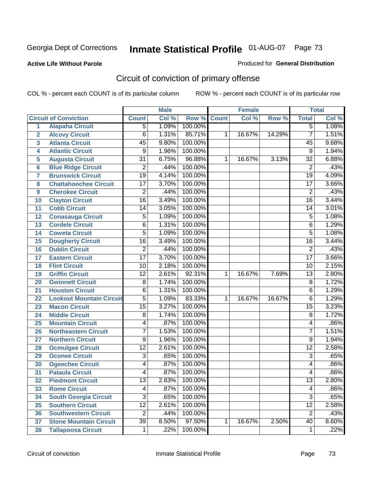#### **Active Life Without Parole**

#### Produced for **General Distribution**

# Circuit of conviction of primary offense

|                         |                                 |                 | <b>Male</b> |         |              | <b>Female</b> |        |                 | <b>Total</b> |
|-------------------------|---------------------------------|-----------------|-------------|---------|--------------|---------------|--------|-----------------|--------------|
|                         | <b>Circuit of Conviction</b>    | <b>Count</b>    | Col %       | Row %   | <b>Count</b> | Col %         | Row %  | <b>Total</b>    | Col %        |
| 1                       | <b>Alapaha Circuit</b>          | $\overline{5}$  | 1.09%       | 100.00% |              |               |        | $\overline{5}$  | 1.08%        |
| $\overline{2}$          | <b>Alcovy Circuit</b>           | $\overline{6}$  | 1.31%       | 85.71%  | 1            | 16.67%        | 14.29% | $\overline{7}$  | 1.51%        |
| $\overline{\mathbf{3}}$ | <b>Atlanta Circuit</b>          | $\overline{45}$ | 9.80%       | 100.00% |              |               |        | 45              | 9.68%        |
| 4                       | <b>Atlantic Circuit</b>         | 9               | 1.96%       | 100.00% |              |               |        | 9               | 1.94%        |
| 5                       | <b>Augusta Circuit</b>          | $\overline{31}$ | 6.75%       | 96.88%  | 1            | 16.67%        | 3.13%  | $\overline{32}$ | 6.88%        |
| $6\phantom{a}$          | <b>Blue Ridge Circuit</b>       | $\overline{2}$  | .44%        | 100.00% |              |               |        | $\overline{2}$  | .43%         |
| $\overline{7}$          | <b>Brunswick Circuit</b>        | $\overline{19}$ | 4.14%       | 100.00% |              |               |        | $\overline{19}$ | 4.09%        |
| 8                       | <b>Chattahoochee Circuit</b>    | $\overline{17}$ | 3.70%       | 100.00% |              |               |        | $\overline{17}$ | 3.66%        |
| 9                       | <b>Cherokee Circuit</b>         | $\overline{2}$  | .44%        | 100.00% |              |               |        | $\overline{2}$  | .43%         |
| 10                      | <b>Clayton Circuit</b>          | $\overline{16}$ | 3.49%       | 100.00% |              |               |        | $\overline{16}$ | 3.44%        |
| 11                      | <b>Cobb Circuit</b>             | 14              | 3.05%       | 100.00% |              |               |        | 14              | 3.01%        |
| 12                      | <b>Conasauga Circuit</b>        | $\overline{5}$  | 1.09%       | 100.00% |              |               |        | 5               | 1.08%        |
| 13                      | <b>Cordele Circuit</b>          | 6               | 1.31%       | 100.00% |              |               |        | 6               | 1.29%        |
| 14                      | <b>Coweta Circuit</b>           | $\overline{5}$  | 1.09%       | 100.00% |              |               |        | $\overline{5}$  | 1.08%        |
| 15                      | <b>Dougherty Circuit</b>        | $\overline{16}$ | 3.49%       | 100.00% |              |               |        | $\overline{16}$ | 3.44%        |
| 16                      | <b>Dublin Circuit</b>           | $\overline{2}$  | .44%        | 100.00% |              |               |        | $\overline{2}$  | .43%         |
| 17                      | <b>Eastern Circuit</b>          | $\overline{17}$ | 3.70%       | 100.00% |              |               |        | $\overline{17}$ | 3.66%        |
| 18                      | <b>Flint Circuit</b>            | $\overline{10}$ | 2.18%       | 100.00% |              |               |        | 10              | 2.15%        |
| 19                      | <b>Griffin Circuit</b>          | $\overline{12}$ | 2.61%       | 92.31%  | $\mathbf{1}$ | 16.67%        | 7.69%  | $\overline{13}$ | 2.80%        |
| 20                      | <b>Gwinnett Circuit</b>         | $\overline{8}$  | 1.74%       | 100.00% |              |               |        | $\overline{8}$  | 1.72%        |
| 21                      | <b>Houston Circuit</b>          | 6               | 1.31%       | 100.00% |              |               |        | $\overline{6}$  | 1.29%        |
| 22                      | <b>Lookout Mountain Circuit</b> | $\overline{5}$  | 1.09%       | 83.33%  | 1            | 16.67%        | 16.67% | 6               | 1.29%        |
| 23                      | <b>Macon Circuit</b>            | $\overline{15}$ | 3.27%       | 100.00% |              |               |        | $\overline{15}$ | 3.23%        |
| 24                      | <b>Middle Circuit</b>           | $\overline{8}$  | 1.74%       | 100.00% |              |               |        | 8               | 1.72%        |
| 25                      | <b>Mountain Circuit</b>         | 4               | .87%        | 100.00% |              |               |        | 4               | .86%         |
| 26                      | <b>Northeastern Circuit</b>     | $\overline{7}$  | 1.53%       | 100.00% |              |               |        | $\overline{7}$  | 1.51%        |
| 27                      | <b>Northern Circuit</b>         | 9               | 1.96%       | 100.00% |              |               |        | 9               | 1.94%        |
| 28                      | <b>Ocmulgee Circuit</b>         | $\overline{12}$ | 2.61%       | 100.00% |              |               |        | $\overline{12}$ | 2.58%        |
| 29                      | <b>Oconee Circuit</b>           | $\overline{3}$  | .65%        | 100.00% |              |               |        | $\overline{3}$  | .65%         |
| 30                      | <b>Ogeechee Circuit</b>         | 4               | .87%        | 100.00% |              |               |        | 4               | .86%         |
| $\overline{31}$         | <b>Pataula Circuit</b>          | 4               | .87%        | 100.00% |              |               |        | 4               | .86%         |
| 32                      | <b>Piedmont Circuit</b>         | 13              | 2.83%       | 100.00% |              |               |        | 13              | 2.80%        |
| 33                      | <b>Rome Circuit</b>             | 4               | .87%        | 100.00% |              |               |        | 4               | .86%         |
| 34                      | <b>South Georgia Circuit</b>    | $\overline{3}$  | .65%        | 100.00% |              |               |        | $\overline{3}$  | .65%         |
| 35                      | <b>Southern Circuit</b>         | $\overline{12}$ | 2.61%       | 100.00% |              |               |        | $\overline{12}$ | 2.58%        |
| 36                      | <b>Southwestern Circuit</b>     | $\overline{2}$  | .44%        | 100.00% |              |               |        | $\overline{2}$  | .43%         |
| 37                      | <b>Stone Mountain Circuit</b>   | $\overline{39}$ | 8.50%       | 97.50%  | 1            | 16.67%        | 2.50%  | 40              | 8.60%        |
| 38                      | <b>Tallapoosa Circuit</b>       | $\mathbf 1$     | .22%        | 100.00% |              |               |        | 1               | .22%         |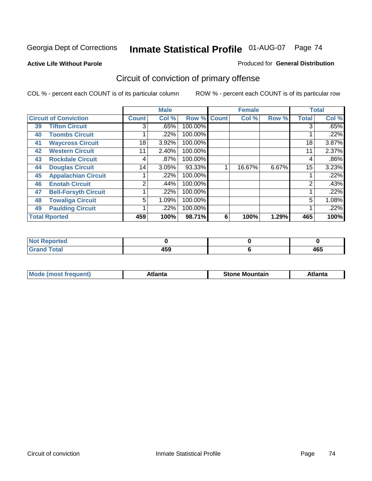### **Active Life Without Parole**

#### Produced for **General Distribution**

# Circuit of conviction of primary offense

|    |                              |              | <b>Male</b> |             |   | <b>Female</b> |       |                | <b>Total</b> |
|----|------------------------------|--------------|-------------|-------------|---|---------------|-------|----------------|--------------|
|    | <b>Circuit of Conviction</b> | <b>Count</b> | Col %       | Row % Count |   | Col %         | Row % | <b>Total</b>   | Col %        |
| 39 | <b>Tifton Circuit</b>        | 3            | .65%        | 100.00%     |   |               |       | 3              | .65%         |
| 40 | <b>Toombs Circuit</b>        |              | .22%        | 100.00%     |   |               |       |                | .22%         |
| 41 | <b>Waycross Circuit</b>      | 18           | 3.92%       | 100.00%     |   |               |       | 18             | 3.87%        |
| 42 | <b>Western Circuit</b>       | 11           | 2.40%       | 100.00%     |   |               |       | 11             | 2.37%        |
| 43 | <b>Rockdale Circuit</b>      | 4            | .87%        | 100.00%     |   |               |       | 4              | .86%         |
| 44 | <b>Douglas Circuit</b>       | 14           | 3.05%       | 93.33%      |   | 16.67%        | 6.67% | 15             | 3.23%        |
| 45 | <b>Appalachian Circuit</b>   |              | .22%        | 100.00%     |   |               |       |                | .22%         |
| 46 | <b>Enotah Circuit</b>        | ◠            | .44%        | 100.00%     |   |               |       | $\overline{2}$ | .43%         |
| 47 | <b>Bell-Forsyth Circuit</b>  |              | .22%        | 100.00%     |   |               |       |                | .22%         |
| 48 | <b>Towaliga Circuit</b>      | 5            | 1.09%       | 100.00%     |   |               |       | 5              | 1.08%        |
| 49 | <b>Paulding Circuit</b>      |              | .22%        | 100.00%     |   |               |       |                | .22%         |
|    | <b>Total Rported</b>         | 459          | 100%        | 98.71%      | 6 | 100%          | 1.29% | 465            | 100%         |

| ported<br>NI.                |              |            |
|------------------------------|--------------|------------|
| $\sim$<br>υιαι<br><b>VIU</b> | 1 E O<br>4ວນ | "^"<br>4υJ |

| īМ<br>----<br>taın<br>----<br>514<br>MOL<br>нс |
|------------------------------------------------|
|------------------------------------------------|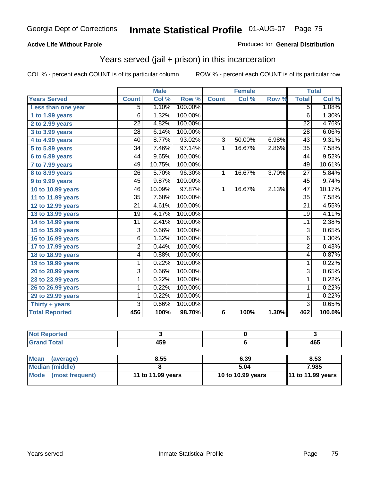### **Active Life Without Parole**

### Produced for **General Distribution**

## Years served (jail + prison) in this incarceration

|                       |                 | <b>Male</b> |         |                 | <b>Female</b> |       |                 | <b>Total</b> |
|-----------------------|-----------------|-------------|---------|-----------------|---------------|-------|-----------------|--------------|
| <b>Years Served</b>   | <b>Count</b>    | Col %       | Row %   | <b>Count</b>    | Col %         | Row % | <b>Total</b>    | Col %        |
| Less than one year    | $\overline{5}$  | 1.10%       | 100.00% |                 |               |       | $\overline{5}$  | 1.08%        |
| 1 to 1.99 years       | $\overline{6}$  | 1.32%       | 100.00% |                 |               |       | 6               | 1.30%        |
| 2 to 2.99 years       | $\overline{22}$ | 4.82%       | 100.00% |                 |               |       | $\overline{22}$ | 4.76%        |
| 3 to 3.99 years       | $\overline{28}$ | 6.14%       | 100.00% |                 |               |       | $\overline{28}$ | 6.06%        |
| 4 to 4.99 years       | 40              | 8.77%       | 93.02%  | 3               | 50.00%        | 6.98% | $\overline{43}$ | 9.31%        |
| 5 to 5.99 years       | 34              | 7.46%       | 97.14%  | 1               | 16.67%        | 2.86% | 35              | 7.58%        |
| 6 to 6.99 years       | 44              | 9.65%       | 100.00% |                 |               |       | 44              | 9.52%        |
| 7 to 7.99 years       | 49              | 10.75%      | 100.00% |                 |               |       | 49              | 10.61%       |
| 8 to 8.99 years       | $\overline{26}$ | 5.70%       | 96.30%  | 1               | 16.67%        | 3.70% | 27              | 5.84%        |
| 9 to 9.99 years       | 45              | 9.87%       | 100.00% |                 |               |       | 45              | 9.74%        |
| 10 to 10.99 years     | 46              | 10.09%      | 97.87%  | 1               | 16.67%        | 2.13% | 47              | 10.17%       |
| 11 to 11.99 years     | 35              | 7.68%       | 100.00% |                 |               |       | 35              | 7.58%        |
| 12 to 12.99 years     | $\overline{21}$ | 4.61%       | 100.00% |                 |               |       | $\overline{21}$ | 4.55%        |
| 13 to 13.99 years     | 19              | 4.17%       | 100.00% |                 |               |       | 19              | 4.11%        |
| 14 to 14.99 years     | 11              | 2.41%       | 100.00% |                 |               |       | 11              | 2.38%        |
| 15 to 15.99 years     | 3               | 0.66%       | 100.00% |                 |               |       | $\overline{3}$  | 0.65%        |
| 16 to 16.99 years     | 6               | 1.32%       | 100.00% |                 |               |       | 6               | 1.30%        |
| 17 to 17.99 years     | 2               | 0.44%       | 100.00% |                 |               |       | $\overline{2}$  | 0.43%        |
| 18 to 18.99 years     | 4               | 0.88%       | 100.00% |                 |               |       | $\overline{4}$  | 0.87%        |
| 19 to 19.99 years     | 1               | 0.22%       | 100.00% |                 |               |       | 1               | 0.22%        |
| 20 to 20.99 years     | 3               | 0.66%       | 100.00% |                 |               |       | $\overline{3}$  | 0.65%        |
| 23 to 23.99 years     | 1               | 0.22%       | 100.00% |                 |               |       | $\mathbf{1}$    | 0.22%        |
| 26 to 26.99 years     | 1               | 0.22%       | 100.00% |                 |               |       | 1               | 0.22%        |
| 29 to 29.99 years     | 1               | 0.22%       | 100.00% |                 |               |       | 1               | 0.22%        |
| Thirty + years        | 3               | 0.66%       | 100.00% |                 |               |       | 3               | 0.65%        |
| <b>Total Reported</b> | 456             | 100%        | 98.70%  | $6\phantom{1}6$ | 100%          | 1.30% | 462             | 100.0%       |

| <b>Not Reported</b>            |                   |                   |                   |
|--------------------------------|-------------------|-------------------|-------------------|
| <b>Grand Total</b>             | 459               |                   | 465               |
|                                |                   |                   |                   |
| <b>Mean</b><br>(average)       | 8.55              | 6.39              | 8.53              |
| Median (middle)                |                   | 5.04              | 7.985             |
| <b>Mode</b><br>(most frequent) | 11 to 11.99 years | 10 to 10.99 years | 11 to 11.99 years |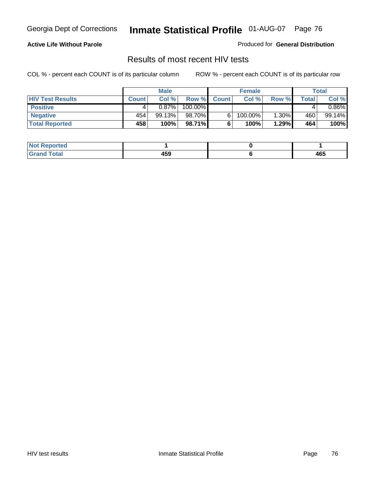### **Active Life Without Parole**

Produced for **General Distribution**

## Results of most recent HIV tests

|                         |              | <b>Male</b> |         |              | <b>Female</b> |          |       | Total    |
|-------------------------|--------------|-------------|---------|--------------|---------------|----------|-------|----------|
| <b>HIV Test Results</b> | <b>Count</b> | Col %       | Row %I  | <b>Count</b> | Col %         | Row %    | Total | Col %    |
| <b>Positive</b>         |              | 0.87%       | 100.00% |              |               |          |       | $0.86\%$ |
| <b>Negative</b>         | 454          | 99.13%      | 98.70%  |              | 100.00%       | $1.30\%$ | 460   | 99.14%   |
| <b>Total Reported</b>   | 458          | 100%        | 98.71%  |              | 100%          | 1.29%    | 464   | 100%     |

| <b>Not Reported</b>  |     |     |
|----------------------|-----|-----|
| <b>Fotal</b><br>Gr2r | 459 | 465 |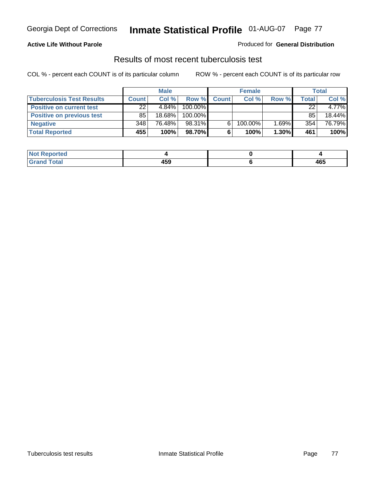### **Active Life Without Parole**

### Produced for **General Distribution**

## Results of most recent tuberculosis test

|                                  |              | <b>Male</b> |         |              | <b>Female</b> |       |       | Total    |
|----------------------------------|--------------|-------------|---------|--------------|---------------|-------|-------|----------|
| <b>Tuberculosis Test Results</b> | <b>Count</b> | Col%        | Row %   | <b>Count</b> | Col%          | Row % | Total | Col %    |
| <b>Positive on current test</b>  | 22           | $4.84\%$    | 100.00% |              |               |       | 22    | $4.77\%$ |
| <b>Positive on previous test</b> | 85           | 18.68%      | 100.00% |              |               |       | 85    | 18.44%   |
| <b>Negative</b>                  | 348          | 76.48%      | 98.31%  | 6.           | 100.00%       | 1.69% | 354   | 76.79%   |
| <b>Total Reported</b>            | 455          | 100%        | 98.70%I | 6            | 100%          | 1.30% | 461   | 100%     |

| <b>Not</b><br><b>Reported</b> |     |     |
|-------------------------------|-----|-----|
| <b>Total</b>                  | 459 | 465 |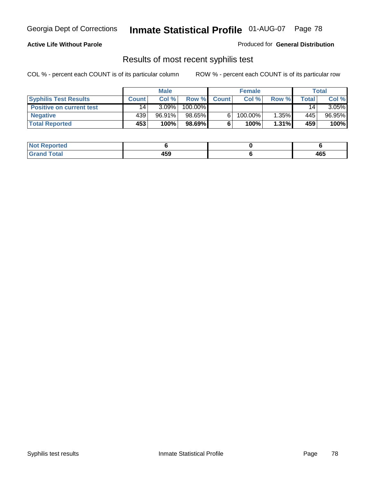## **Active Life Without Parole**

Produced for **General Distribution**

## Results of most recent syphilis test

|                                 |                 | <b>Male</b> |         |              | <b>Female</b> |          |       | <b>Total</b> |
|---------------------------------|-----------------|-------------|---------|--------------|---------------|----------|-------|--------------|
| <b>Syphilis Test Results</b>    | <b>Count</b>    | Col%        | Row %   | <b>Count</b> | Col%          | Row %    | Total | Col %        |
| <b>Positive on current test</b> | 14 <sub>1</sub> | $3.09\%$    | 100.00% |              |               |          | 14    | $3.05\%$     |
| <b>Negative</b>                 | 439'            | 96.91%      | 98.65%  |              | $100.00\%$    | 1.35%    | 445   | 96.95%       |
| <b>Total Reported</b>           | 453             | 100%        | 98.69%  |              | 100%          | $1.31\%$ | 459   | 100%         |

| <b>Not Reported</b> |            |     |
|---------------------|------------|-----|
| <b>Grand Total</b>  | 160<br>433 | 465 |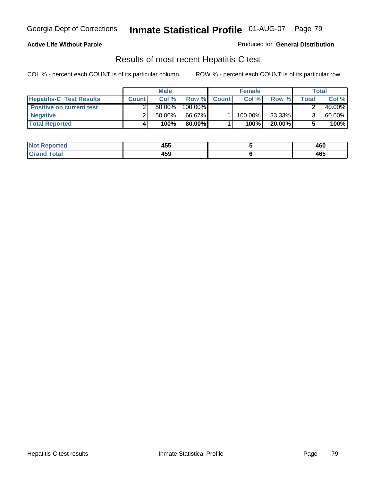## **Active Life Without Parole**

Produced for **General Distribution**

## Results of most recent Hepatitis-C test

|                                 | <b>Male</b>  |           |         | <b>Female</b> |         |           | Total |        |
|---------------------------------|--------------|-----------|---------|---------------|---------|-----------|-------|--------|
| <b>Hepatitis-C Test Results</b> | <b>Count</b> | Col %     | Row %   | <b>Count</b>  | Col %   | Row %     | Total | Col %  |
| <b>Positive on current test</b> |              | $50.00\%$ | 100.00% |               |         |           |       | 40.00% |
| <b>Negative</b>                 |              | $50.00\%$ | 66.67%  |               | 100.00% | 33.33%    |       | 60.00% |
| <b>Total Reported</b>           |              | 100%      | 80.00%I |               | 100%    | $20.00\%$ |       | 100%   |

| <b>Not Reported</b>  | <b>ARF</b><br>ฯงง | 460 |
|----------------------|-------------------|-----|
| <b>Fotal</b><br>Gret | 459               | 465 |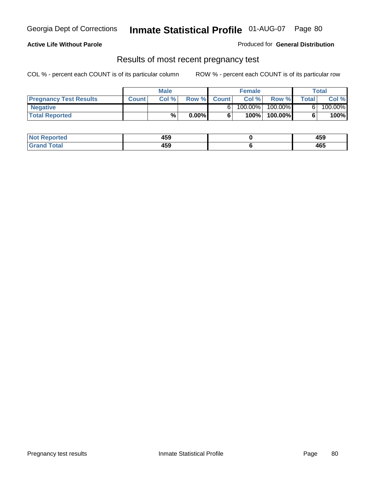## **Active Life Without Parole**

Produced for **General Distribution**

## Results of most recent pregnancy test

|                               | Male         |       |          | <b>Female</b> |         |            | Total |         |
|-------------------------------|--------------|-------|----------|---------------|---------|------------|-------|---------|
| <b>Pregnancy Test Results</b> | <b>Count</b> | Col % | Row %    | <b>Count</b>  | Col %   | Row %      | Total | Col %   |
| <b>Negative</b>               |              |       |          |               | 100.00% | $100.00\%$ |       | 100.00% |
| <b>Total Reported</b>         |              | %     | $0.00\%$ |               | 100%    | 100.00%    |       | 100%    |

| <b>Not Reported</b> | 459 | AFC<br>403 |
|---------------------|-----|------------|
| <b>Grand Total</b>  | 459 | 465        |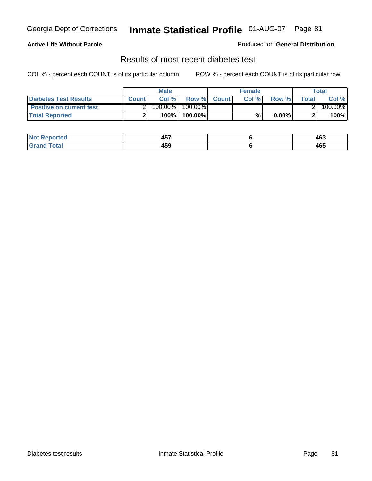## **Active Life Without Parole**

### Produced for **General Distribution**

## Results of most recent diabetes test

|                                 |              | <b>Male</b> |            |             | <b>Female</b> |          |        | Total   |
|---------------------------------|--------------|-------------|------------|-------------|---------------|----------|--------|---------|
| <b>Diabetes Test Results</b>    | <b>Count</b> | Col %       |            | Row % Count | Col%          | Row %    | Totall | Col %   |
| <b>Positive on current test</b> |              | 100.00%     | $100.00\%$ |             |               |          |        | 100.00% |
| <b>Total Reported</b>           |              | 100%        | 100.00%    |             | %.            | $0.00\%$ |        | 100%    |

| .≺eported<br>NOT | ---<br>л н<br>− ∪ ∙ | 463 |
|------------------|---------------------|-----|
| <b>otal</b><br>. | 459                 | 465 |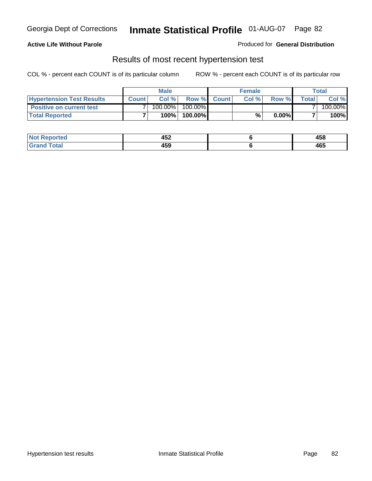### **Active Life Without Parole**

### Produced for **General Distribution**

## Results of most recent hypertension test

|                                  | <b>Male</b>  |         |            | <b>Female</b> |      |          | <b>Total</b> |         |
|----------------------------------|--------------|---------|------------|---------------|------|----------|--------------|---------|
| <b>Hypertension Test Results</b> | <b>Count</b> | Col %   |            | Row % Count   | Col% | Row %    | Totall       | Col %   |
| <b>Positive on current test</b>  |              | 100.00% | $100.00\%$ |               |      |          |              | 100.00% |
| <b>Total Reported</b>            |              | 100%    | 100.00%    |               | %    | $0.00\%$ |              | 100%    |

| 'eported     | ハドウ<br>494<br>$-$ | AFC<br>400 |
|--------------|-------------------|------------|
| <b>Total</b> | 459               | 465        |